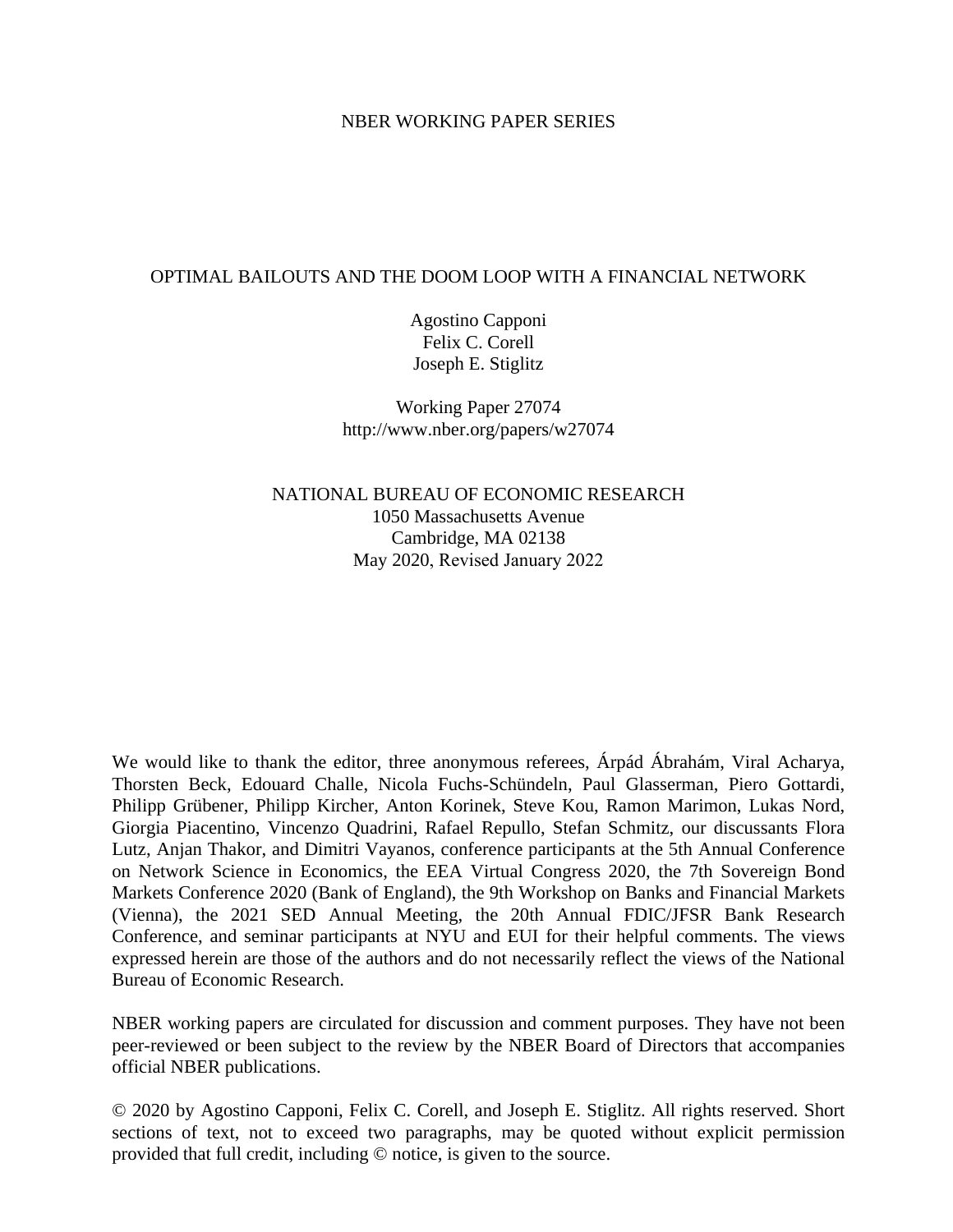# NBER WORKING PAPER SERIES

# OPTIMAL BAILOUTS AND THE DOOM LOOP WITH A FINANCIAL NETWORK

Agostino Capponi Felix C. Corell Joseph E. Stiglitz

Working Paper 27074 http://www.nber.org/papers/w27074

NATIONAL BUREAU OF ECONOMIC RESEARCH 1050 Massachusetts Avenue Cambridge, MA 02138 May 2020, Revised January 2022

We would like to thank the editor, three anonymous referees, Árpád Ábrahám, Viral Acharya, Thorsten Beck, Edouard Challe, Nicola Fuchs-Schündeln, Paul Glasserman, Piero Gottardi, Philipp Grübener, Philipp Kircher, Anton Korinek, Steve Kou, Ramon Marimon, Lukas Nord, Giorgia Piacentino, Vincenzo Quadrini, Rafael Repullo, Stefan Schmitz, our discussants Flora Lutz, Anjan Thakor, and Dimitri Vayanos, conference participants at the 5th Annual Conference on Network Science in Economics, the EEA Virtual Congress 2020, the 7th Sovereign Bond Markets Conference 2020 (Bank of England), the 9th Workshop on Banks and Financial Markets (Vienna), the 2021 SED Annual Meeting, the 20th Annual FDIC/JFSR Bank Research Conference, and seminar participants at NYU and EUI for their helpful comments. The views expressed herein are those of the authors and do not necessarily reflect the views of the National Bureau of Economic Research.

NBER working papers are circulated for discussion and comment purposes. They have not been peer-reviewed or been subject to the review by the NBER Board of Directors that accompanies official NBER publications.

© 2020 by Agostino Capponi, Felix C. Corell, and Joseph E. Stiglitz. All rights reserved. Short sections of text, not to exceed two paragraphs, may be quoted without explicit permission provided that full credit, including © notice, is given to the source.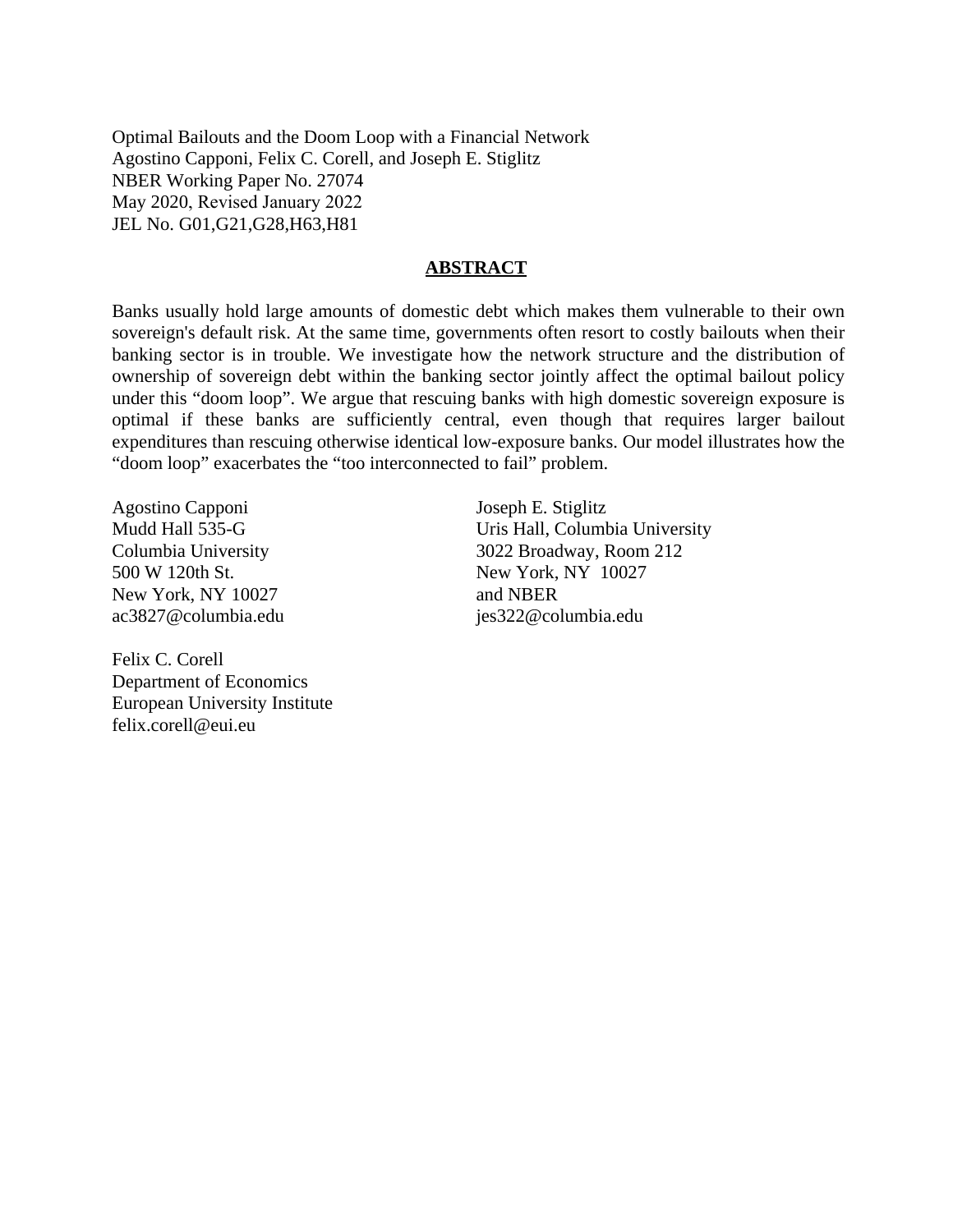Optimal Bailouts and the Doom Loop with a Financial Network Agostino Capponi, Felix C. Corell, and Joseph E. Stiglitz NBER Working Paper No. 27074 May 2020, Revised January 2022 JEL No. G01,G21,G28,H63,H81

## **ABSTRACT**

Banks usually hold large amounts of domestic debt which makes them vulnerable to their own sovereign's default risk. At the same time, governments often resort to costly bailouts when their banking sector is in trouble. We investigate how the network structure and the distribution of ownership of sovereign debt within the banking sector jointly affect the optimal bailout policy under this "doom loop". We argue that rescuing banks with high domestic sovereign exposure is optimal if these banks are sufficiently central, even though that requires larger bailout expenditures than rescuing otherwise identical low-exposure banks. Our model illustrates how the "doom loop" exacerbates the "too interconnected to fail" problem.

Agostino Capponi Mudd Hall 535-G Columbia University 500 W 120th St. New York, NY 10027 ac3827@columbia.edu

Felix C. Corell Department of Economics European University Institute felix.corell@eui.eu

Joseph E. Stiglitz Uris Hall, Columbia University 3022 Broadway, Room 212 New York, NY 10027 and NBER jes322@columbia.edu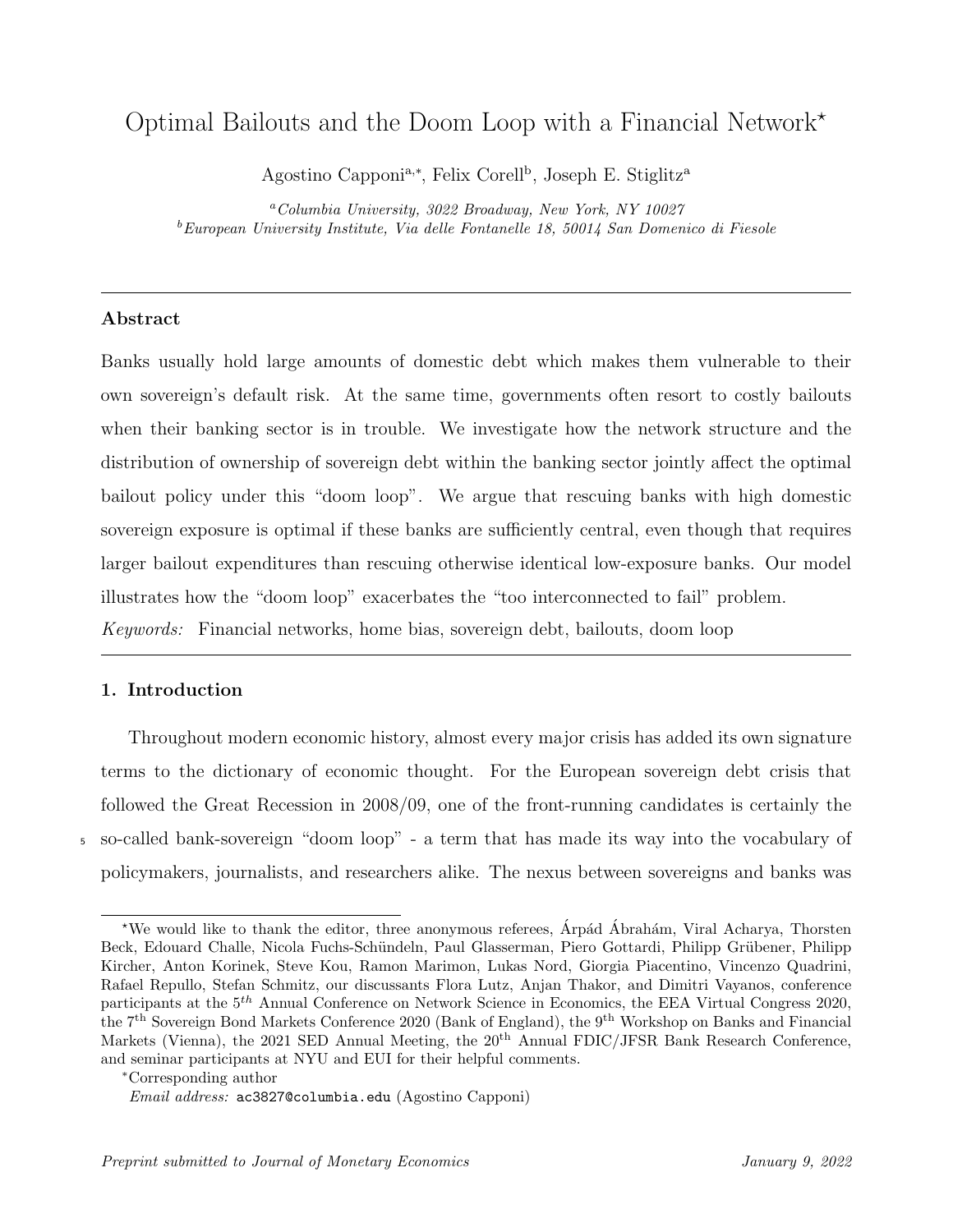# <span id="page-2-0"></span>Optimal Bailouts and the Doom Loop with a Financial Network?

Agostino Capponi<sup>a,\*</sup>, Felix Corell<sup>b</sup>, Joseph E. Stiglitz<sup>a</sup>

<sup>a</sup>Columbia University, 3022 Broadway, New York, NY 10027 <sup>b</sup>European University Institute, Via delle Fontanelle 18, 50014 San Domenico di Fiesole

## Abstract

Banks usually hold large amounts of domestic debt which makes them vulnerable to their own sovereign's default risk. At the same time, governments often resort to costly bailouts when their banking sector is in trouble. We investigate how the network structure and the distribution of ownership of sovereign debt within the banking sector jointly affect the optimal bailout policy under this "doom loop". We argue that rescuing banks with high domestic sovereign exposure is optimal if these banks are sufficiently central, even though that requires larger bailout expenditures than rescuing otherwise identical low-exposure banks. Our model illustrates how the "doom loop" exacerbates the "too interconnected to fail" problem. Keywords: Financial networks, home bias, sovereign debt, bailouts, doom loop

# 1. Introduction

Throughout modern economic history, almost every major crisis has added its own signature terms to the dictionary of economic thought. For the European sovereign debt crisis that followed the Great Recession in 2008/09, one of the front-running candidates is certainly the <sup>5</sup> so-called bank-sovereign "doom loop" - a term that has made its way into the vocabulary of policymakers, journalists, and researchers alike. The nexus between sovereigns and banks was

<sup>\*</sup>We would like to thank the editor, three anonymous referees, Arpád Abrahám, Viral Acharya, Thorsten Beck, Edouard Challe, Nicola Fuchs-Schündeln, Paul Glasserman, Piero Gottardi, Philipp Grübener, Philipp Kircher, Anton Korinek, Steve Kou, Ramon Marimon, Lukas Nord, Giorgia Piacentino, Vincenzo Quadrini, Rafael Repullo, Stefan Schmitz, our discussants Flora Lutz, Anjan Thakor, and Dimitri Vayanos, conference participants at the  $5<sup>th</sup>$  Annual Conference on Network Science in Economics, the EEA Virtual Congress 2020, the 7th Sovereign Bond Markets Conference 2020 (Bank of England), the 9th Workshop on Banks and Financial Markets (Vienna), the 2021 SED Annual Meeting, the 20<sup>th</sup> Annual FDIC/JFSR Bank Research Conference, and seminar participants at NYU and EUI for their helpful comments.

<sup>∗</sup>Corresponding author

Email address: ac3827@columbia.edu (Agostino Capponi)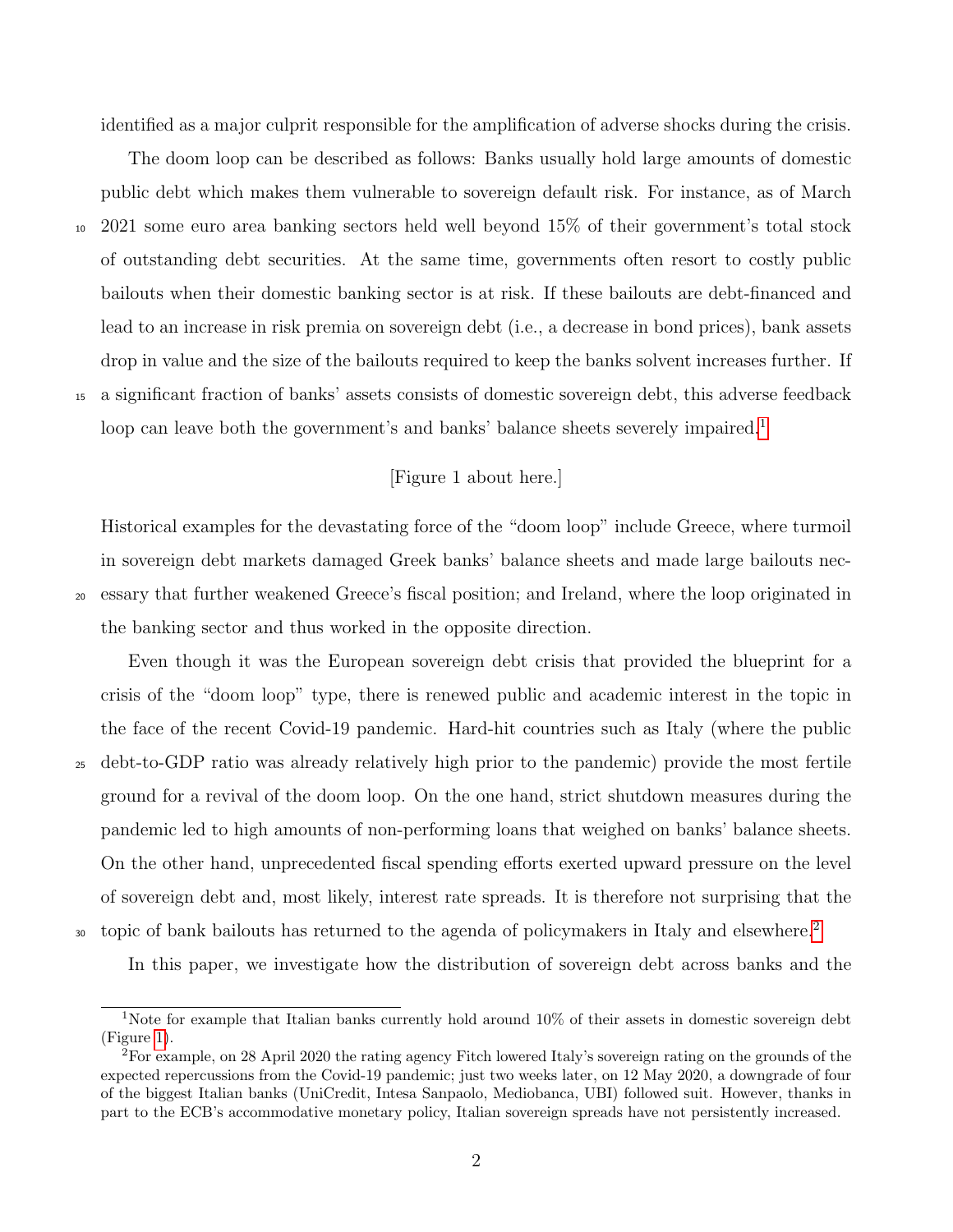identified as a major culprit responsible for the amplification of adverse shocks during the crisis.

The doom loop can be described as follows: Banks usually hold large amounts of domestic public debt which makes them vulnerable to sovereign default risk. For instance, as of March <sup>10</sup> 2021 some euro area banking sectors held well beyond 15% of their government's total stock of outstanding debt securities. At the same time, governments often resort to costly public bailouts when their domestic banking sector is at risk. If these bailouts are debt-financed and lead to an increase in risk premia on sovereign debt (i.e., a decrease in bond prices), bank assets drop in value and the size of the bailouts required to keep the banks solvent increases further. If <sup>15</sup> a significant fraction of banks' assets consists of domestic sovereign debt, this adverse feedback loop can leave both the government's and banks' balance sheets severely impaired.<sup>[1](#page-2-0)</sup>

# [Figure 1 about here.]

Historical examples for the devastating force of the "doom loop" include Greece, where turmoil in sovereign debt markets damaged Greek banks' balance sheets and made large bailouts nec-<sup>20</sup> essary that further weakened Greece's fiscal position; and Ireland, where the loop originated in the banking sector and thus worked in the opposite direction.

Even though it was the European sovereign debt crisis that provided the blueprint for a crisis of the "doom loop" type, there is renewed public and academic interest in the topic in the face of the recent Covid-19 pandemic. Hard-hit countries such as Italy (where the public <sup>25</sup> debt-to-GDP ratio was already relatively high prior to the pandemic) provide the most fertile ground for a revival of the doom loop. On the one hand, strict shutdown measures during the pandemic led to high amounts of non-performing loans that weighed on banks' balance sheets. On the other hand, unprecedented fiscal spending efforts exerted upward pressure on the level of sovereign debt and, most likely, interest rate spreads. It is therefore not surprising that the topic of bank bailouts has returned to the agenda of policymakers in Italy and elsewhere.<sup>[2](#page-2-0)</sup>

In this paper, we investigate how the distribution of sovereign debt across banks and the

<sup>&</sup>lt;sup>1</sup>Note for example that Italian banks currently hold around 10% of their assets in domestic sovereign debt (Figure [1\)](#page-37-0).

<sup>2</sup>For example, on 28 April 2020 the rating agency Fitch lowered Italy's sovereign rating on the grounds of the expected repercussions from the Covid-19 pandemic; just two weeks later, on 12 May 2020, a downgrade of four of the biggest Italian banks (UniCredit, Intesa Sanpaolo, Mediobanca, UBI) followed suit. However, thanks in part to the ECB's accommodative monetary policy, Italian sovereign spreads have not persistently increased.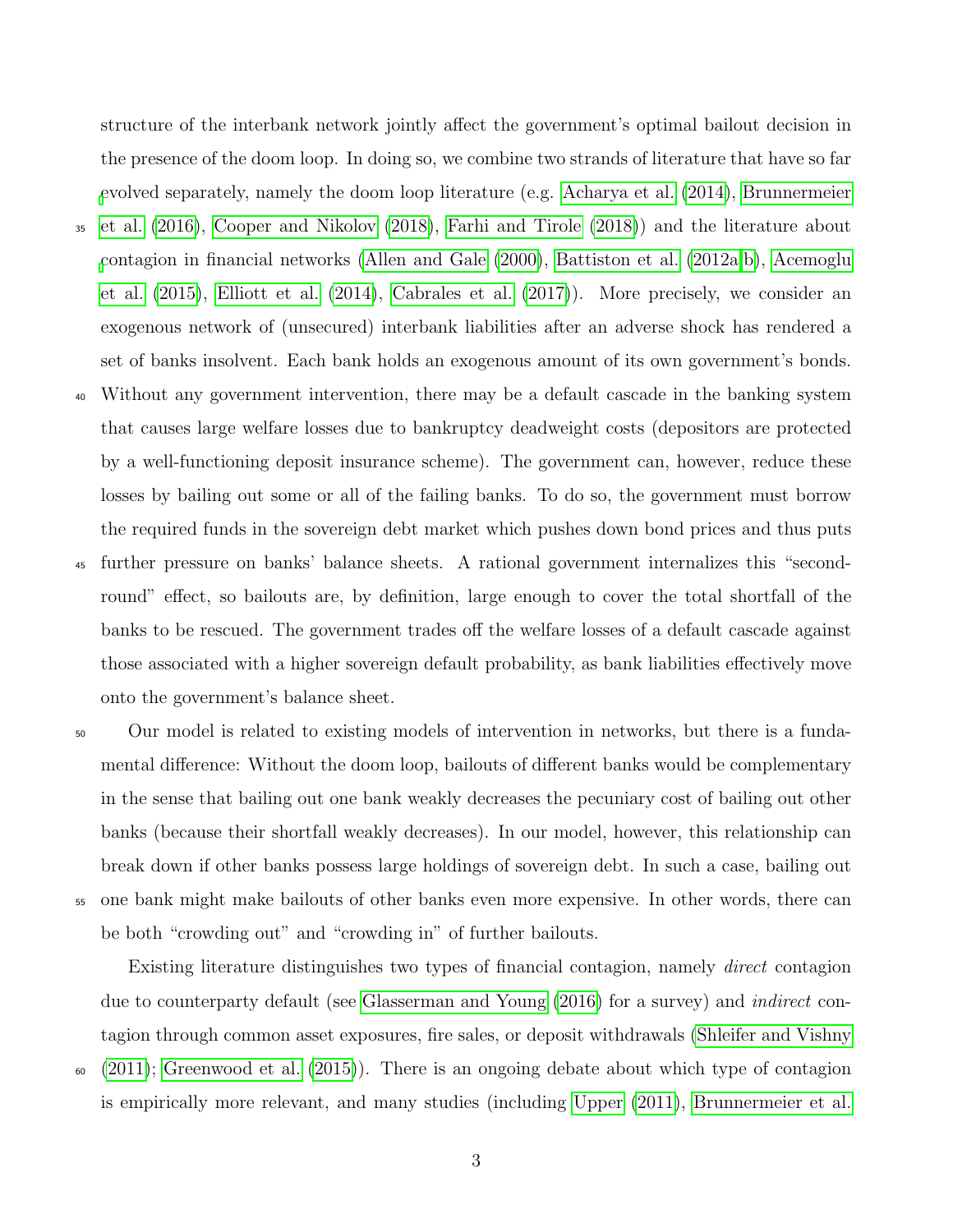structure of the interbank network jointly affect the government's optimal bailout decision in the presence of the doom loop. In doing so, we combine two strands of literature that have so far [e](#page-34-0)volved separately, namely the doom loop literature (e.g. [Acharya et al.](#page-33-0) [\(2014\)](#page-33-0), [Brunnermeier](#page-34-0) <sup>35</sup> [et al.](#page-34-0) [\(2016\)](#page-34-0), [Cooper and Nikolov](#page-34-1) [\(2018\)](#page-34-1), [Farhi and Tirole](#page-35-0) [\(2018\)](#page-35-0)) and the literature about [c](#page-33-3)ontagion in financial networks [\(Allen and Gale](#page-33-1) [\(2000\)](#page-33-1), [Battiston et al.](#page-33-2) [\(2012a,](#page-33-2)[b\)](#page-34-2), [Acemoglu](#page-33-3) [et al.](#page-33-3) [\(2015\)](#page-33-3), [Elliott et al.](#page-34-3) [\(2014\)](#page-34-3), [Cabrales et al.](#page-34-4) [\(2017\)](#page-34-4)). More precisely, we consider an exogenous network of (unsecured) interbank liabilities after an adverse shock has rendered a set of banks insolvent. Each bank holds an exogenous amount of its own government's bonds.

- <sup>40</sup> Without any government intervention, there may be a default cascade in the banking system that causes large welfare losses due to bankruptcy deadweight costs (depositors are protected by a well-functioning deposit insurance scheme). The government can, however, reduce these losses by bailing out some or all of the failing banks. To do so, the government must borrow the required funds in the sovereign debt market which pushes down bond prices and thus puts
- <sup>45</sup> further pressure on banks' balance sheets. A rational government internalizes this "secondround" effect, so bailouts are, by definition, large enough to cover the total shortfall of the banks to be rescued. The government trades off the welfare losses of a default cascade against those associated with a higher sovereign default probability, as bank liabilities effectively move onto the government's balance sheet.
- <sup>50</sup> Our model is related to existing models of intervention in networks, but there is a fundamental difference: Without the doom loop, bailouts of different banks would be complementary in the sense that bailing out one bank weakly decreases the pecuniary cost of bailing out other banks (because their shortfall weakly decreases). In our model, however, this relationship can break down if other banks possess large holdings of sovereign debt. In such a case, bailing out <sup>55</sup> one bank might make bailouts of other banks even more expensive. In other words, there can be both "crowding out" and "crowding in" of further bailouts.

Existing literature distinguishes two types of financial contagion, namely direct contagion due to counterparty default (see [Glasserman and Young](#page-35-1) [\(2016\)](#page-35-1) for a survey) and indirect contagion through common asset exposures, fire sales, or deposit withdrawals [\(Shleifer and Vishny](#page-35-2)  $60 \quad (2011)$  $60 \quad (2011)$ ; [Greenwood et al.](#page-35-3) [\(2015\)](#page-35-3)). There is an ongoing debate about which type of contagion

3

is empirically more relevant, and many studies (including [Upper](#page-35-4) [\(2011\)](#page-35-4), [Brunnermeier et al.](#page-34-5)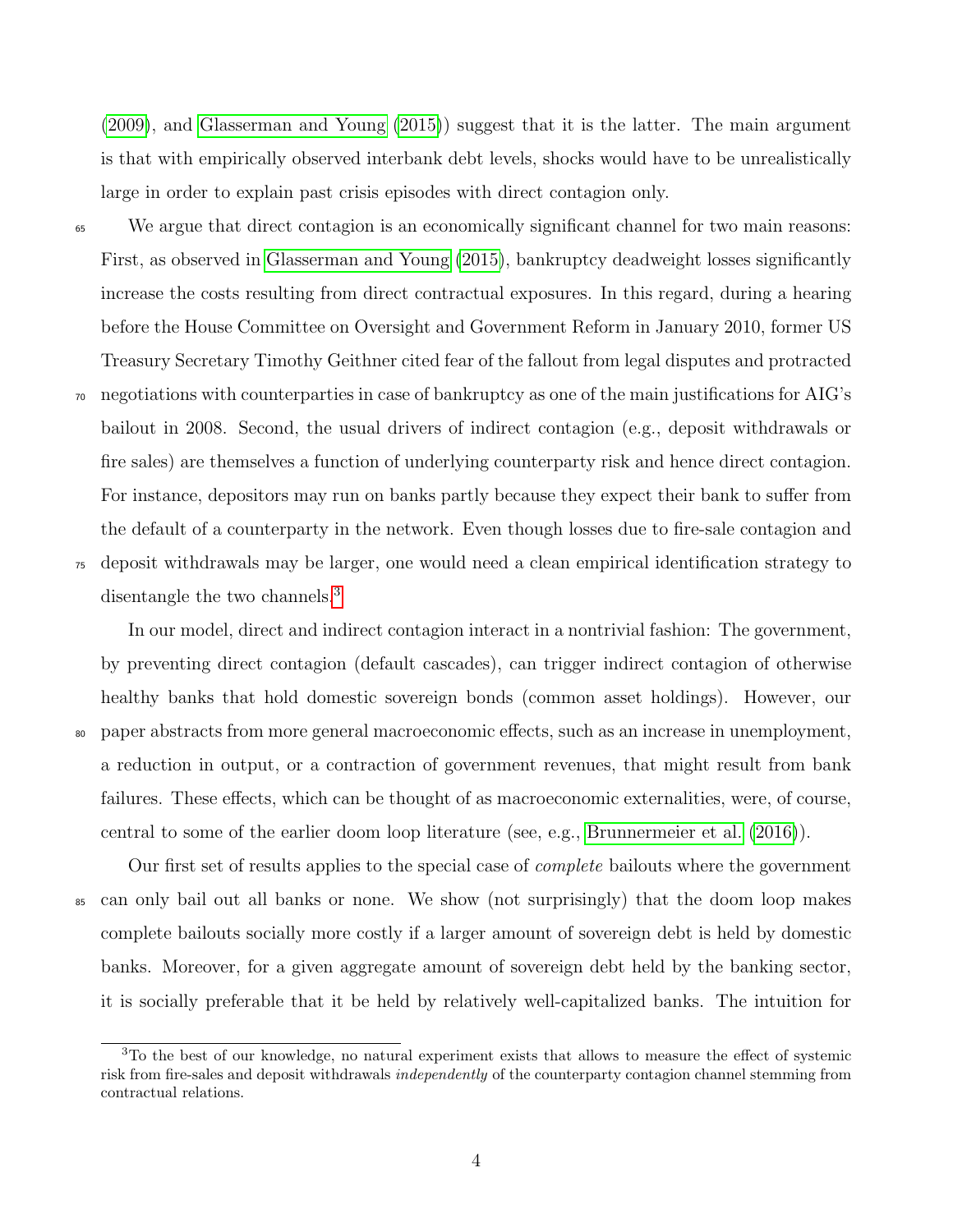[\(2009\)](#page-34-5), and [Glasserman and Young](#page-35-5) [\(2015\)](#page-35-5)) suggest that it is the latter. The main argument is that with empirically observed interbank debt levels, shocks would have to be unrealistically large in order to explain past crisis episodes with direct contagion only.

<sup>65</sup> We argue that direct contagion is an economically significant channel for two main reasons: First, as observed in [Glasserman and Young](#page-35-5) [\(2015\)](#page-35-5), bankruptcy deadweight losses significantly increase the costs resulting from direct contractual exposures. In this regard, during a hearing before the House Committee on Oversight and Government Reform in January 2010, former US Treasury Secretary Timothy Geithner cited fear of the fallout from legal disputes and protracted <sup>70</sup> negotiations with counterparties in case of bankruptcy as one of the main justifications for AIG's bailout in 2008. Second, the usual drivers of indirect contagion (e.g., deposit withdrawals or fire sales) are themselves a function of underlying counterparty risk and hence direct contagion. For instance, depositors may run on banks partly because they expect their bank to suffer from the default of a counterparty in the network. Even though losses due to fire-sale contagion and <sup>75</sup> deposit withdrawals may be larger, one would need a clean empirical identification strategy to

disentangle the two channels.<sup>[3](#page-2-0)</sup>

In our model, direct and indirect contagion interact in a nontrivial fashion: The government, by preventing direct contagion (default cascades), can trigger indirect contagion of otherwise healthy banks that hold domestic sovereign bonds (common asset holdings). However, our <sup>80</sup> paper abstracts from more general macroeconomic effects, such as an increase in unemployment, a reduction in output, or a contraction of government revenues, that might result from bank failures. These effects, which can be thought of as macroeconomic externalities, were, of course, central to some of the earlier doom loop literature (see, e.g., [Brunnermeier et al.](#page-34-0) [\(2016\)](#page-34-0)).

Our first set of results applies to the special case of complete bailouts where the government <sup>85</sup> can only bail out all banks or none. We show (not surprisingly) that the doom loop makes complete bailouts socially more costly if a larger amount of sovereign debt is held by domestic banks. Moreover, for a given aggregate amount of sovereign debt held by the banking sector, it is socially preferable that it be held by relatively well-capitalized banks. The intuition for

 $3$ To the best of our knowledge, no natural experiment exists that allows to measure the effect of systemic risk from fire-sales and deposit withdrawals *independently* of the counterparty contagion channel stemming from contractual relations.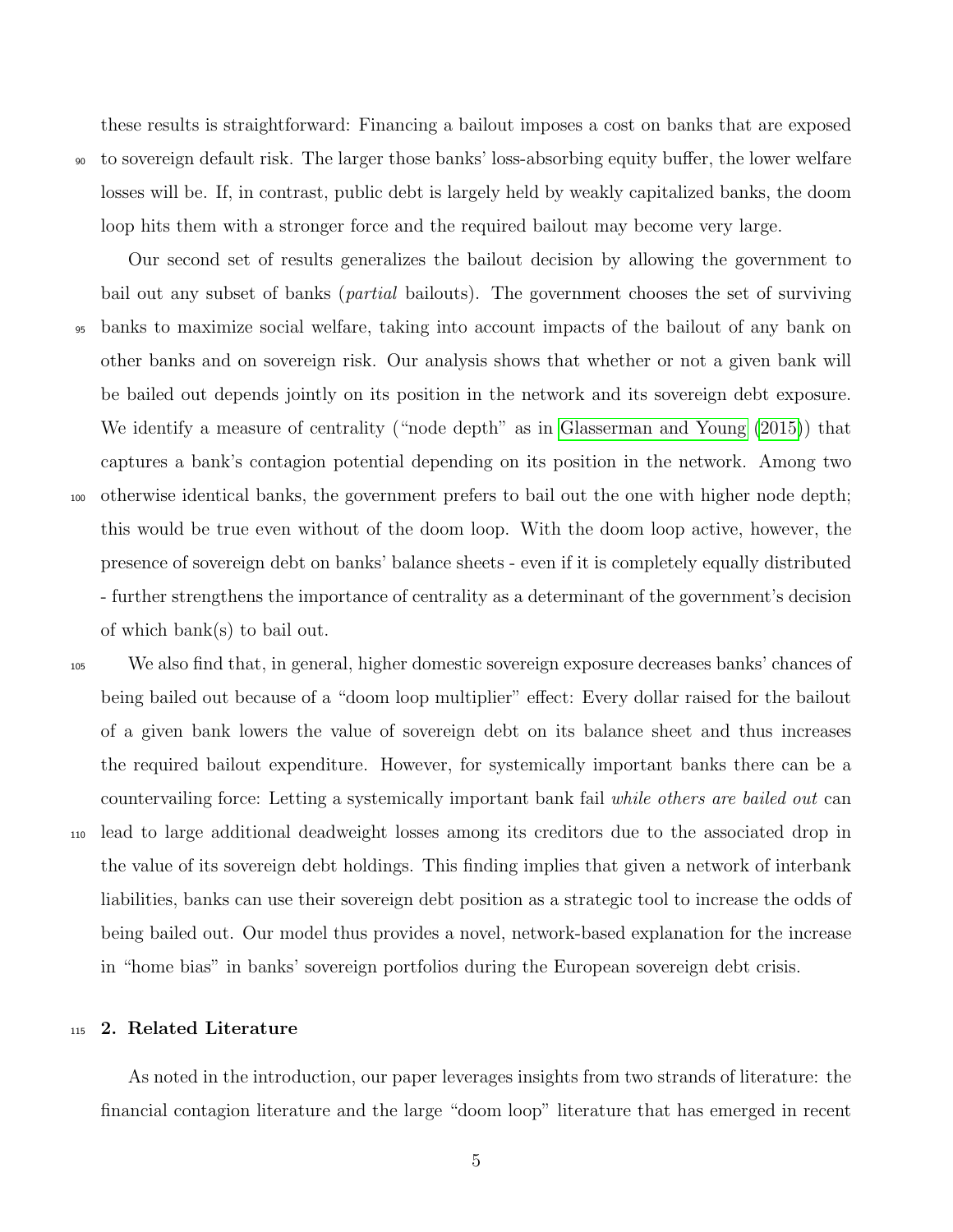these results is straightforward: Financing a bailout imposes a cost on banks that are exposed <sup>90</sup> to sovereign default risk. The larger those banks' loss-absorbing equity buffer, the lower welfare losses will be. If, in contrast, public debt is largely held by weakly capitalized banks, the doom loop hits them with a stronger force and the required bailout may become very large.

Our second set of results generalizes the bailout decision by allowing the government to bail out any subset of banks (partial bailouts). The government chooses the set of surviving <sup>95</sup> banks to maximize social welfare, taking into account impacts of the bailout of any bank on other banks and on sovereign risk. Our analysis shows that whether or not a given bank will be bailed out depends jointly on its position in the network and its sovereign debt exposure. We identify a measure of centrality ("node depth" as in [Glasserman and Young](#page-35-5) [\(2015\)](#page-35-5)) that captures a bank's contagion potential depending on its position in the network. Among two <sup>100</sup> otherwise identical banks, the government prefers to bail out the one with higher node depth; this would be true even without of the doom loop. With the doom loop active, however, the presence of sovereign debt on banks' balance sheets - even if it is completely equally distributed - further strengthens the importance of centrality as a determinant of the government's decision of which bank(s) to bail out.

<sup>105</sup> We also find that, in general, higher domestic sovereign exposure decreases banks' chances of being bailed out because of a "doom loop multiplier" effect: Every dollar raised for the bailout of a given bank lowers the value of sovereign debt on its balance sheet and thus increases the required bailout expenditure. However, for systemically important banks there can be a countervailing force: Letting a systemically important bank fail while others are bailed out can <sup>110</sup> lead to large additional deadweight losses among its creditors due to the associated drop in the value of its sovereign debt holdings. This finding implies that given a network of interbank liabilities, banks can use their sovereign debt position as a strategic tool to increase the odds of being bailed out. Our model thus provides a novel, network-based explanation for the increase in "home bias" in banks' sovereign portfolios during the European sovereign debt crisis.

# <sup>115</sup> 2. Related Literature

As noted in the introduction, our paper leverages insights from two strands of literature: the financial contagion literature and the large "doom loop" literature that has emerged in recent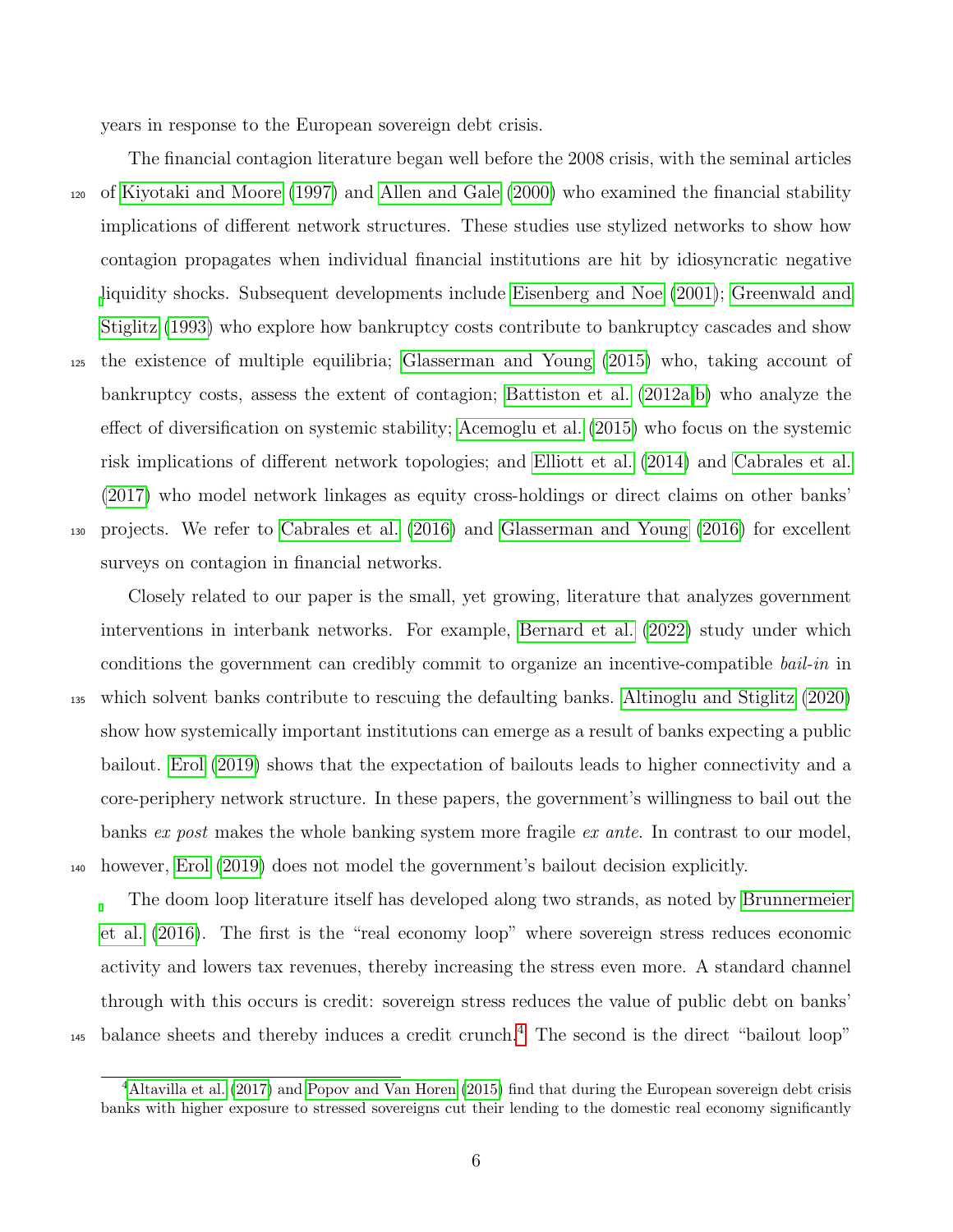years in response to the European sovereign debt crisis.

The financial contagion literature began well before the 2008 crisis, with the seminal articles <sup>120</sup> of [Kiyotaki and Moore](#page-35-6) [\(1997\)](#page-35-6) and [Allen and Gale](#page-33-1) [\(2000\)](#page-33-1) who examined the financial stability implications of different network structures. These studies use stylized networks to show how contagion propagates when individual financial institutions are hit by idiosyncratic negative [l](#page-35-7)iquidity shocks. Subsequent developments include [Eisenberg and Noe](#page-34-6) [\(2001\)](#page-34-6); [Greenwald and](#page-35-7) [Stiglitz](#page-35-7) [\(1993\)](#page-35-7) who explore how bankruptcy costs contribute to bankruptcy cascades and show <sup>125</sup> the existence of multiple equilibria; [Glasserman and Young](#page-35-5) [\(2015\)](#page-35-5) who, taking account of bankruptcy costs, assess the extent of contagion; [Battiston et al.](#page-33-2) [\(2012a,](#page-33-2)[b\)](#page-34-2) who analyze the effect of diversification on systemic stability; [Acemoglu et al.](#page-33-3) [\(2015\)](#page-33-3) who focus on the systemic risk implications of different network topologies; and [Elliott et al.](#page-34-3) [\(2014\)](#page-34-3) and [Cabrales et al.](#page-34-4) [\(2017\)](#page-34-4) who model network linkages as equity cross-holdings or direct claims on other banks' <sup>130</sup> projects. We refer to [Cabrales et al.](#page-34-7) [\(2016\)](#page-34-7) and [Glasserman and Young](#page-35-1) [\(2016\)](#page-35-1) for excellent surveys on contagion in financial networks.

Closely related to our paper is the small, yet growing, literature that analyzes government interventions in interbank networks. For example, [Bernard et al.](#page-34-8) [\(2022\)](#page-34-8) study under which conditions the government can credibly commit to organize an incentive-compatible *bail-in* in <sup>135</sup> which solvent banks contribute to rescuing the defaulting banks. [Altinoglu and Stiglitz](#page-33-4) [\(2020\)](#page-33-4) show how systemically important institutions can emerge as a result of banks expecting a public bailout. [Erol](#page-34-9) [\(2019\)](#page-34-9) shows that the expectation of bailouts leads to higher connectivity and a core-periphery network structure. In these papers, the government's willingness to bail out the banks ex post makes the whole banking system more fragile ex ante. In contrast to our model, <sup>140</sup> however, [Erol](#page-34-9) [\(2019\)](#page-34-9) does not model the government's bailout decision explicitly.

The doom loop literature itself has developed along two strands, as noted by [Brunnermeier](#page-34-0) [et al.](#page-34-0) [\(2016\)](#page-34-0). The first is the "real economy loop" where sovereign stress reduces economic activity and lowers tax revenues, thereby increasing the stress even more. A standard channel through with this occurs is credit: sovereign stress reduces the value of public debt on banks'  $_{145}$  $_{145}$  $_{145}$  balance sheets and thereby induces a credit crunch.<sup>4</sup> The second is the direct "bailout loop"

<sup>&</sup>lt;sup>4</sup>[Altavilla et al.](#page-33-5) [\(2017\)](#page-33-5) and [Popov and Van Horen](#page-35-8) [\(2015\)](#page-35-8) find that during the European sovereign debt crisis banks with higher exposure to stressed sovereigns cut their lending to the domestic real economy significantly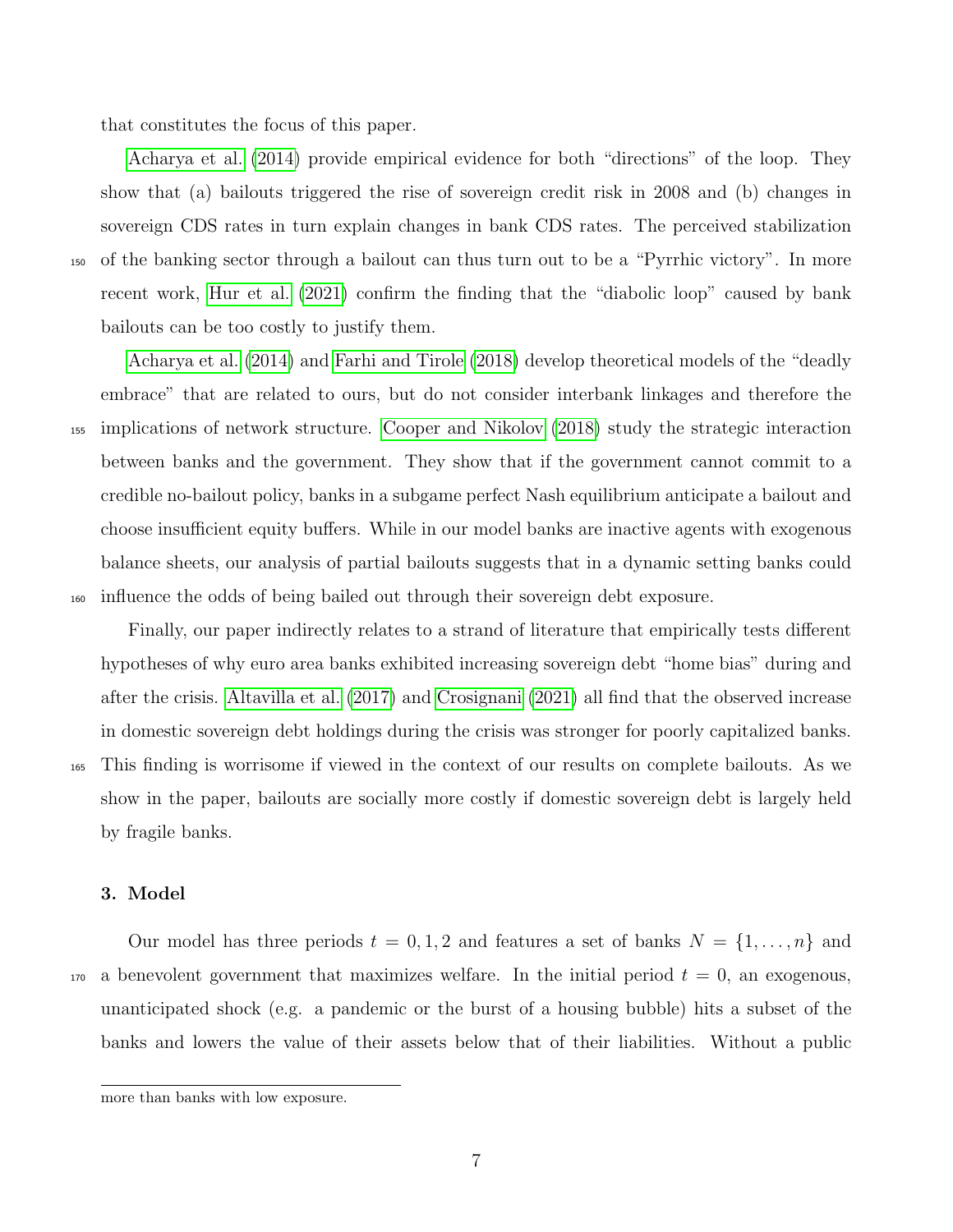that constitutes the focus of this paper.

[Acharya et al.](#page-33-0) [\(2014\)](#page-33-0) provide empirical evidence for both "directions" of the loop. They show that (a) bailouts triggered the rise of sovereign credit risk in 2008 and (b) changes in sovereign CDS rates in turn explain changes in bank CDS rates. The perceived stabilization <sup>150</sup> of the banking sector through a bailout can thus turn out to be a "Pyrrhic victory". In more recent work, [Hur et al.](#page-35-9) [\(2021\)](#page-35-9) confirm the finding that the "diabolic loop" caused by bank bailouts can be too costly to justify them.

[Acharya et al.](#page-33-0) [\(2014\)](#page-33-0) and [Farhi and Tirole](#page-35-0) [\(2018\)](#page-35-0) develop theoretical models of the "deadly embrace" that are related to ours, but do not consider interbank linkages and therefore the <sup>155</sup> implications of network structure. [Cooper and Nikolov](#page-34-1) [\(2018\)](#page-34-1) study the strategic interaction between banks and the government. They show that if the government cannot commit to a credible no-bailout policy, banks in a subgame perfect Nash equilibrium anticipate a bailout and choose insufficient equity buffers. While in our model banks are inactive agents with exogenous balance sheets, our analysis of partial bailouts suggests that in a dynamic setting banks could <sup>160</sup> influence the odds of being bailed out through their sovereign debt exposure.

Finally, our paper indirectly relates to a strand of literature that empirically tests different hypotheses of why euro area banks exhibited increasing sovereign debt "home bias" during and after the crisis. [Altavilla et al.](#page-33-5) [\(2017\)](#page-33-5) and [Crosignani](#page-34-10) [\(2021\)](#page-34-10) all find that the observed increase in domestic sovereign debt holdings during the crisis was stronger for poorly capitalized banks. <sup>165</sup> This finding is worrisome if viewed in the context of our results on complete bailouts. As we show in the paper, bailouts are socially more costly if domestic sovereign debt is largely held by fragile banks.

## 3. Model

Our model has three periods  $t = 0, 1, 2$  and features a set of banks  $N = \{1, \ldots, n\}$  and  $170$  a benevolent government that maximizes welfare. In the initial period  $t = 0$ , an exogenous, unanticipated shock (e.g. a pandemic or the burst of a housing bubble) hits a subset of the banks and lowers the value of their assets below that of their liabilities. Without a public

more than banks with low exposure.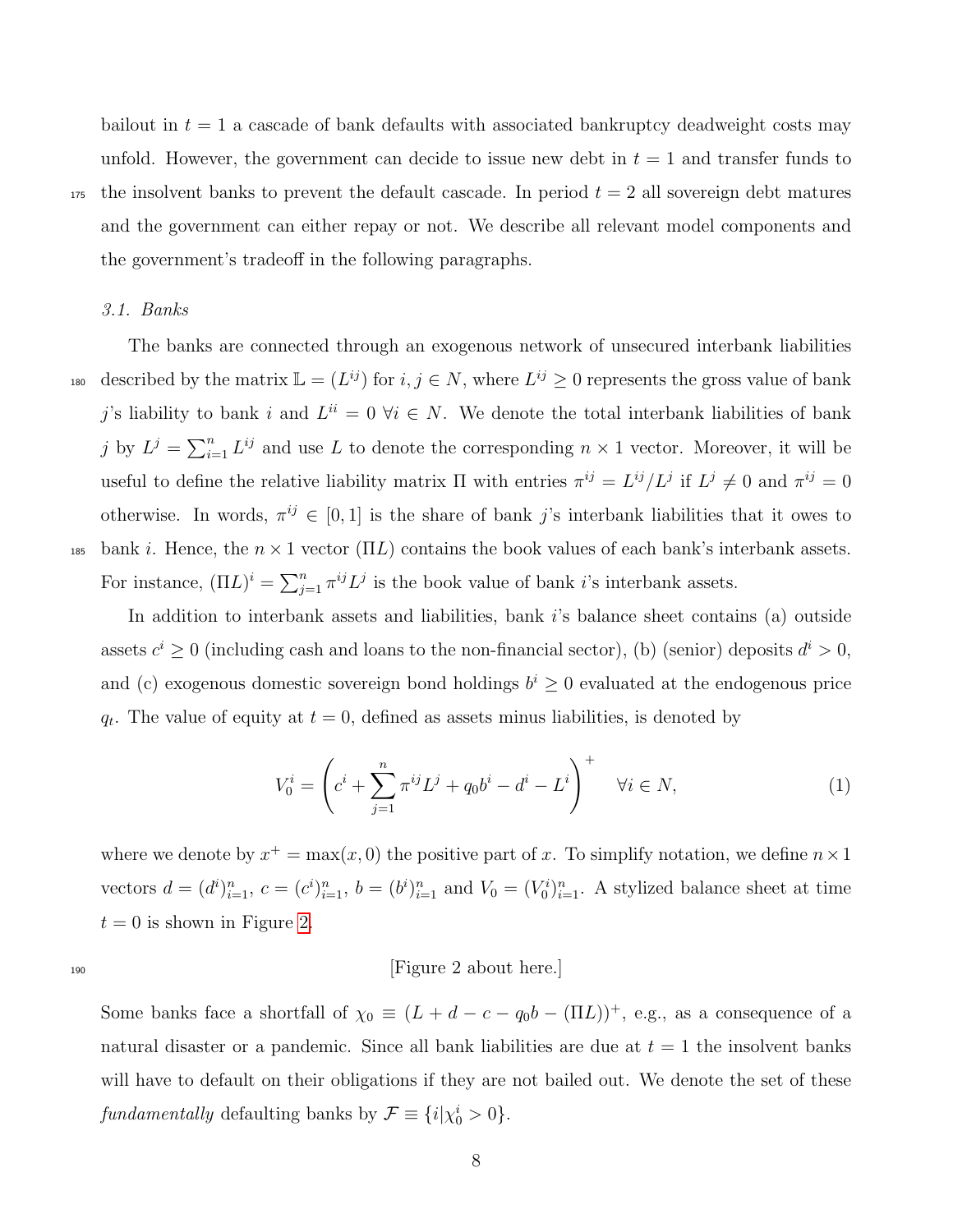bailout in  $t = 1$  a cascade of bank defaults with associated bankruptcy deadweight costs may unfold. However, the government can decide to issue new debt in  $t = 1$  and transfer funds to  $175$  the insolvent banks to prevent the default cascade. In period  $t = 2$  all sovereign debt matures and the government can either repay or not. We describe all relevant model components and the government's tradeoff in the following paragraphs.

#### 3.1. Banks

The banks are connected through an exogenous network of unsecured interbank liabilities 180 described by the matrix  $\mathbb{L} = (L^{ij})$  for  $i, j \in \mathbb{N}$ , where  $L^{ij} \geq 0$  represents the gross value of bank j's liability to bank i and  $L^{ii} = 0$   $\forall i \in N$ . We denote the total interbank liabilities of bank j by  $L^j = \sum_{i=1}^n L^{ij}$  and use L to denote the corresponding  $n \times 1$  vector. Moreover, it will be useful to define the relative liability matrix  $\Pi$  with entries  $\pi^{ij} = L^{ij}/L^j$  if  $L^j \neq 0$  and  $\pi^{ij} = 0$ otherwise. In words,  $\pi^{ij} \in [0,1]$  is the share of bank j's interbank liabilities that it owes to 185 bank i. Hence, the  $n \times 1$  vector (ΠL) contains the book values of each bank's interbank assets. For instance,  $(\Pi L)^i = \sum_{j=1}^n \pi^{ij} L^j$  is the book value of bank *i*'s interbank assets.

In addition to interbank assets and liabilities, bank  $i$ 's balance sheet contains (a) outside assets  $c^i \geq 0$  (including cash and loans to the non-financial sector), (b) (senior) deposits  $d^i > 0$ , and (c) exogenous domestic sovereign bond holdings  $b^i \geq 0$  evaluated at the endogenous price  $q_t$ . The value of equity at  $t = 0$ , defined as assets minus liabilities, is denoted by

$$
V_0^i = \left( c^i + \sum_{j=1}^n \pi^{ij} L^j + q_0 b^i - d^i - L^i \right)^+ \quad \forall i \in N,
$$
\n(1)

where we denote by  $x^+ = \max(x, 0)$  the positive part of x. To simplify notation, we define  $n \times 1$ vectors  $d = (d^i)_{i=1}^n$ ,  $c = (c^i)_{i=1}^n$ ,  $b = (b^i)_{i=1}^n$  and  $V_0 = (V_0^i)_{i=1}^n$ . A stylized balance sheet at time  $t = 0$  is shown in Figure [2.](#page-38-0)

<sup>190</sup> [Figure 2 about here.]

Some banks face a shortfall of  $\chi_0 \equiv (L + d - c - q_0b - (\Pi L))^+$ , e.g., as a consequence of a natural disaster or a pandemic. Since all bank liabilities are due at  $t = 1$  the insolvent banks will have to default on their obligations if they are not bailed out. We denote the set of these fundamentally defaulting banks by  $\mathcal{F} \equiv \{i | \chi_0^i > 0\}.$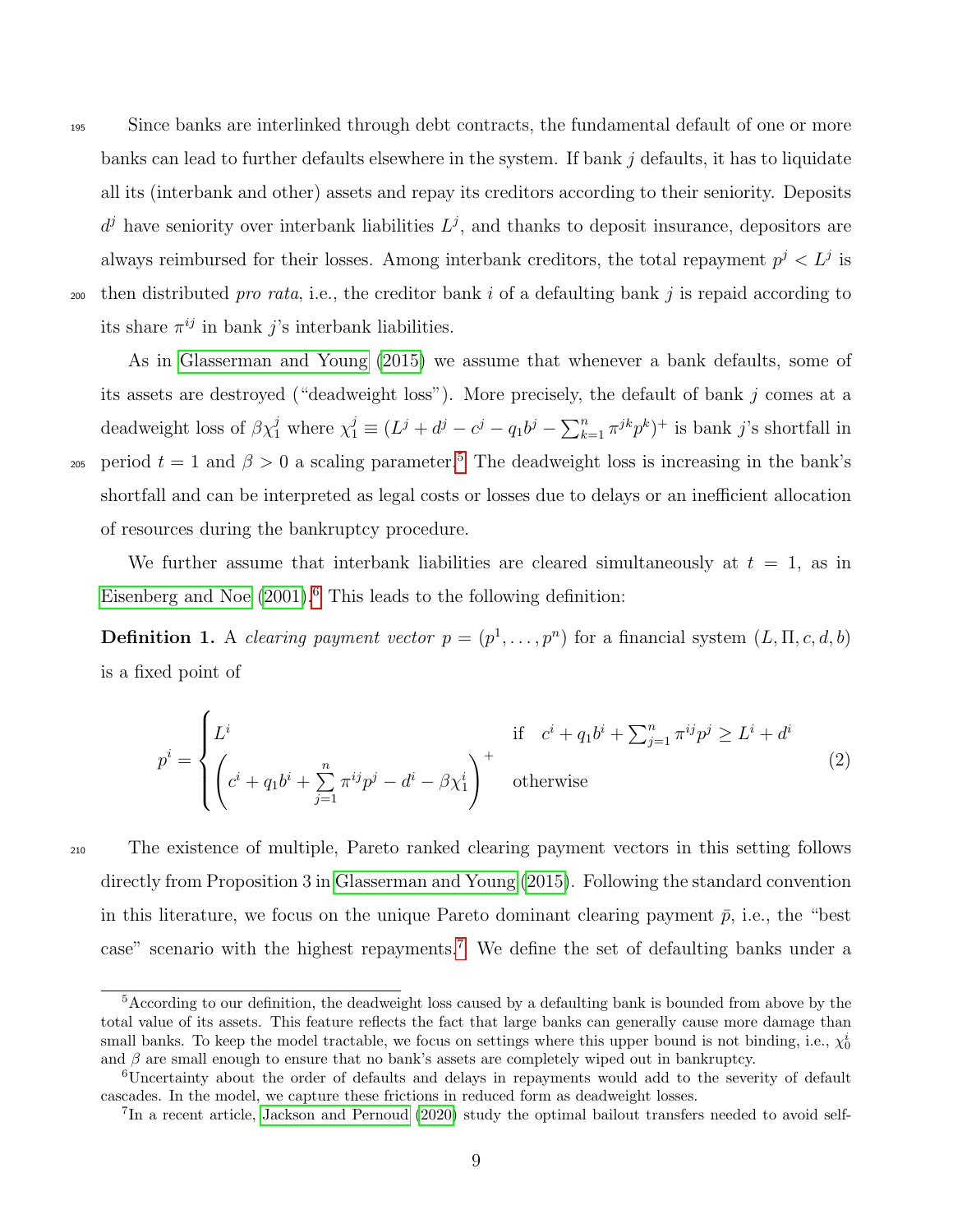<sup>195</sup> Since banks are interlinked through debt contracts, the fundamental default of one or more banks can lead to further defaults elsewhere in the system. If bank j defaults, it has to liquidate all its (interbank and other) assets and repay its creditors according to their seniority. Deposits  $d^{j}$  have seniority over interbank liabilities  $L^{j}$ , and thanks to deposit insurance, depositors are always reimbursed for their losses. Among interbank creditors, the total repayment  $p^{j} < L^{j}$  is 200 then distributed pro rata, i.e., the creditor bank i of a defaulting bank j is repaid according to its share  $\pi^{ij}$  in bank j's interbank liabilities.

As in [Glasserman and Young](#page-35-5) [\(2015\)](#page-35-5) we assume that whenever a bank defaults, some of its assets are destroyed ("deadweight loss"). More precisely, the default of bank j comes at a deadweight loss of  $\beta \chi_1^j$  where  $\chi_1^j \equiv (L^j + d^j - c^j - q_1 b^j - \sum_{k=1}^n \pi^{jk} p^k)^+$  is bank j's shortfall in 20[5](#page-2-0) period  $t = 1$  and  $\beta > 0$  a scaling parameter.<sup>5</sup> The deadweight loss is increasing in the bank's shortfall and can be interpreted as legal costs or losses due to delays or an inefficient allocation of resources during the bankruptcy procedure.

We further assume that interbank liabilities are cleared simultaneously at  $t = 1$ , as in [Eisenberg and Noe](#page-34-6)  $(2001)$ <sup>[6](#page-2-0)</sup>. This leads to the following definition:

<span id="page-10-0"></span>**Definition 1.** A clearing payment vector  $p = (p^1, \ldots, p^n)$  for a financial system  $(L, \Pi, c, d, b)$ is a fixed point of

$$
p^{i} = \begin{cases} L^{i} & \text{if } c^{i} + q_{1}b^{i} + \sum_{j=1}^{n} \pi^{ij}p^{j} \ge L^{i} + d^{i} \\ \left(c^{i} + q_{1}b^{i} + \sum_{j=1}^{n} \pi^{ij}p^{j} - d^{i} - \beta\chi_{1}^{i}\right)^{+} & \text{otherwise} \end{cases}
$$
(2)

<sup>210</sup> The existence of multiple, Pareto ranked clearing payment vectors in this setting follows directly from Proposition 3 in [Glasserman and Young](#page-35-5) [\(2015\)](#page-35-5). Following the standard convention in this literature, we focus on the unique Pareto dominant clearing payment  $\bar{p}$ , i.e., the "best" case" scenario with the highest repayments.[7](#page-2-0) We define the set of defaulting banks under a

<sup>&</sup>lt;sup>5</sup>According to our definition, the deadweight loss caused by a defaulting bank is bounded from above by the total value of its assets. This feature reflects the fact that large banks can generally cause more damage than small banks. To keep the model tractable, we focus on settings where this upper bound is not binding, i.e.,  $\chi_0^i$ and  $\beta$  are small enough to ensure that no bank's assets are completely wiped out in bankruptcy.

<sup>6</sup>Uncertainty about the order of defaults and delays in repayments would add to the severity of default cascades. In the model, we capture these frictions in reduced form as deadweight losses.

<sup>&</sup>lt;sup>7</sup>In a recent article, [Jackson and Pernoud](#page-35-10) [\(2020\)](#page-35-10) study the optimal bailout transfers needed to avoid self-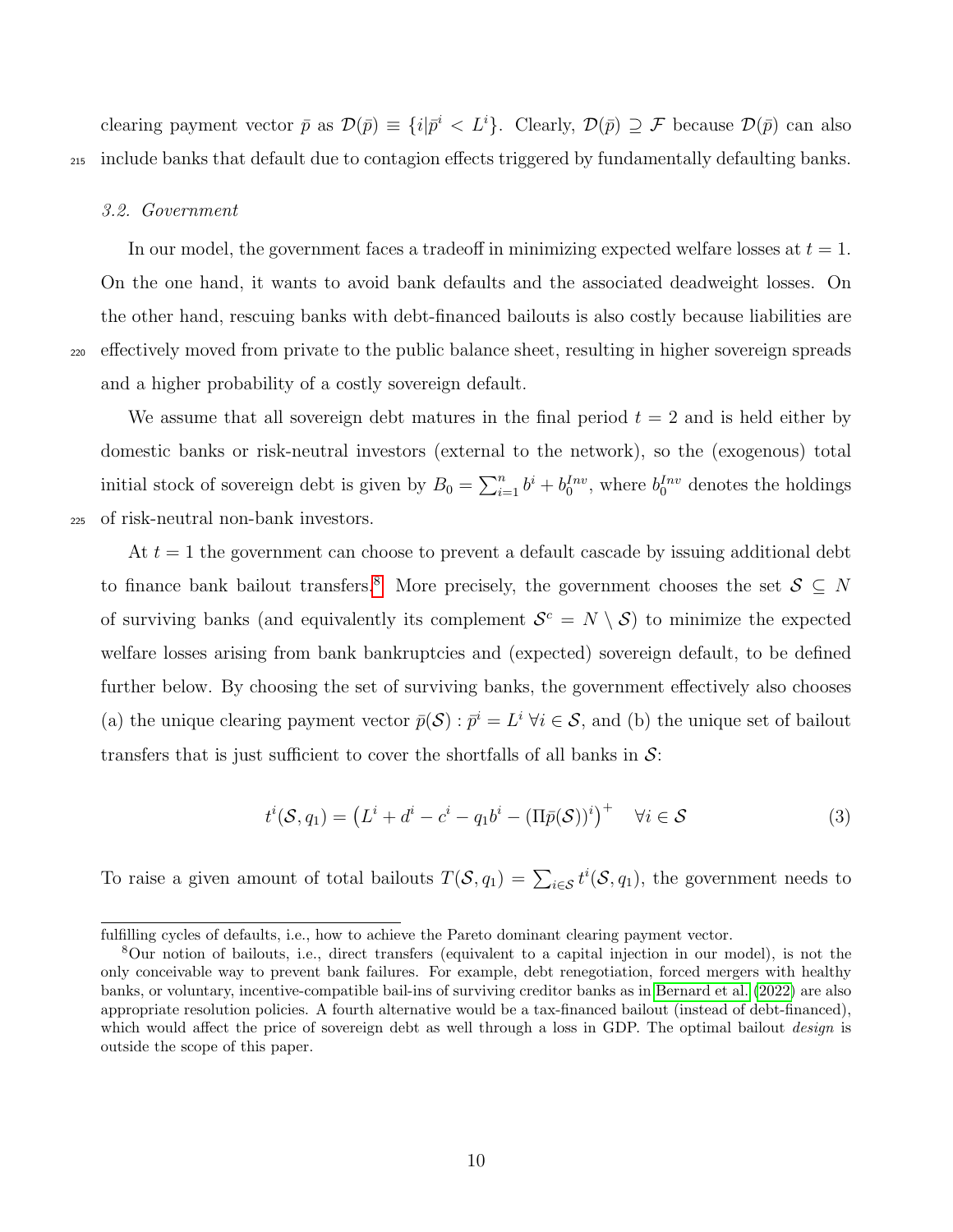clearing payment vector  $\bar{p}$  as  $\mathcal{D}(\bar{p}) \equiv \{i|\bar{p}^i < L^i\}$ . Clearly,  $\mathcal{D}(\bar{p}) \supseteq \mathcal{F}$  because  $\mathcal{D}(\bar{p})$  can also <sup>215</sup> include banks that default due to contagion effects triggered by fundamentally defaulting banks.

#### 3.2. Government

In our model, the government faces a tradeoff in minimizing expected welfare losses at  $t = 1$ . On the one hand, it wants to avoid bank defaults and the associated deadweight losses. On the other hand, rescuing banks with debt-financed bailouts is also costly because liabilities are <sup>220</sup> effectively moved from private to the public balance sheet, resulting in higher sovereign spreads and a higher probability of a costly sovereign default.

We assume that all sovereign debt matures in the final period  $t = 2$  and is held either by domestic banks or risk-neutral investors (external to the network), so the (exogenous) total initial stock of sovereign debt is given by  $B_0 = \sum_{i=1}^n b^i + b_0^{Inv}$ , where  $b_0^{Inv}$  denotes the holdings <sup>225</sup> of risk-neutral non-bank investors.

At  $t = 1$  the government can choose to prevent a default cascade by issuing additional debt to finance bank bailout transfers.<sup>[8](#page-2-0)</sup> More precisely, the government chooses the set  $S \subseteq N$ of surviving banks (and equivalently its complement  $\mathcal{S}^c = N \setminus \mathcal{S}$ ) to minimize the expected welfare losses arising from bank bankruptcies and (expected) sovereign default, to be defined further below. By choosing the set of surviving banks, the government effectively also chooses (a) the unique clearing payment vector  $\bar{p}(S)$ :  $\bar{p}^i = L^i \forall i \in S$ , and (b) the unique set of bailout transfers that is just sufficient to cover the shortfalls of all banks in  $\mathcal{S}$ :

<span id="page-11-0"></span>
$$
t^{i}(\mathcal{S}, q_{1}) = \left(L^{i} + d^{i} - c^{i} - q_{1}b^{i} - (\Pi \bar{p}(\mathcal{S}))^{i}\right)^{+} \quad \forall i \in \mathcal{S}
$$
\n
$$
(3)
$$

To raise a given amount of total bailouts  $T(\mathcal{S}, q_1) = \sum_{i \in \mathcal{S}} t^i(\mathcal{S}, q_1)$ , the government needs to

fulfilling cycles of defaults, i.e., how to achieve the Pareto dominant clearing payment vector.

<sup>8</sup>Our notion of bailouts, i.e., direct transfers (equivalent to a capital injection in our model), is not the only conceivable way to prevent bank failures. For example, debt renegotiation, forced mergers with healthy banks, or voluntary, incentive-compatible bail-ins of surviving creditor banks as in [Bernard et al.](#page-34-8) [\(2022\)](#page-34-8) are also appropriate resolution policies. A fourth alternative would be a tax-financed bailout (instead of debt-financed), which would affect the price of sovereign debt as well through a loss in GDP. The optimal bailout *design* is outside the scope of this paper.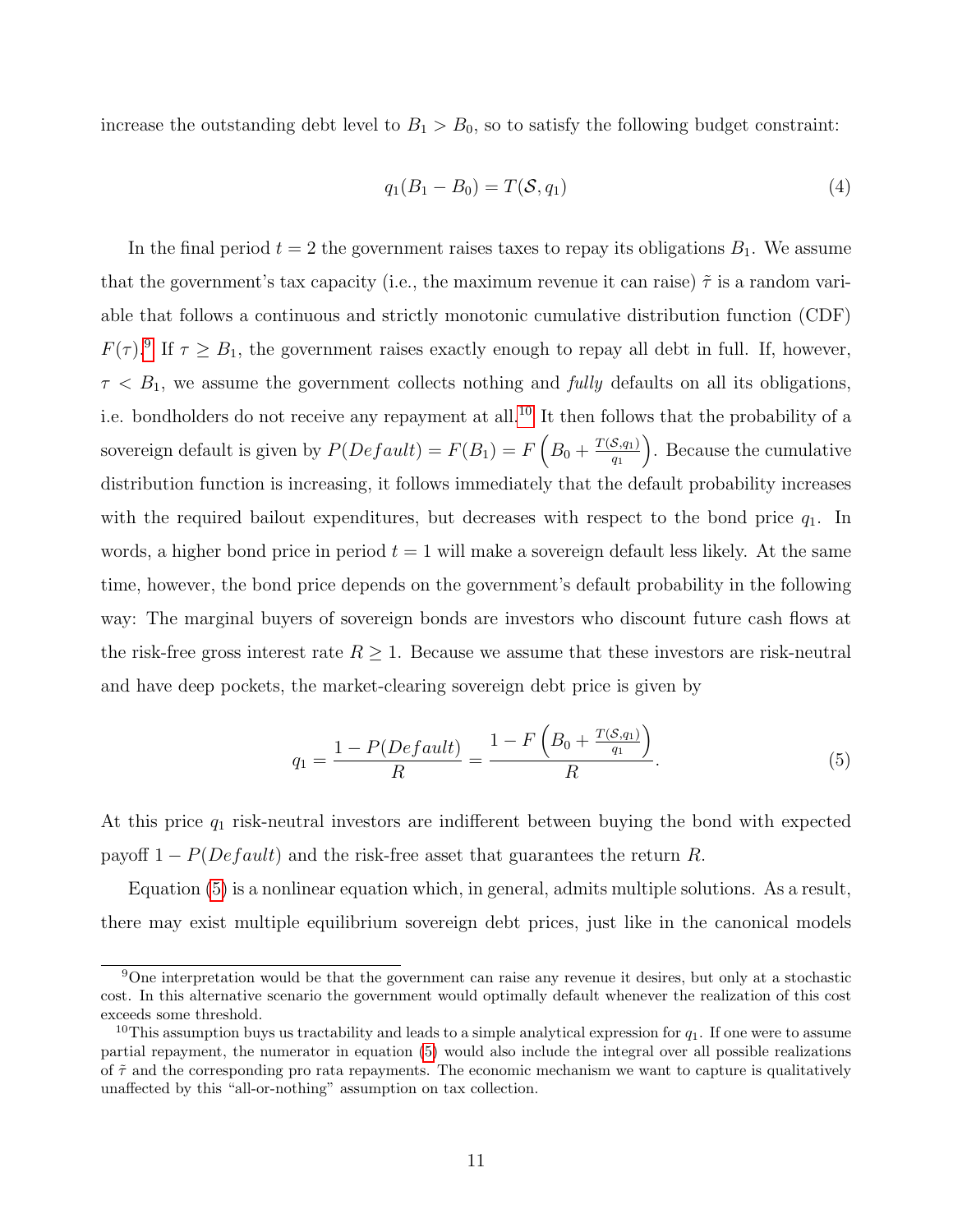increase the outstanding debt level to  $B_1 > B_0$ , so to satisfy the following budget constraint:

$$
q_1(B_1 - B_0) = T(S, q_1)
$$
\n(4)

In the final period  $t = 2$  the government raises taxes to repay its obligations  $B_1$ . We assume that the government's tax capacity (i.e., the maximum revenue it can raise)  $\tilde{\tau}$  is a random variable that follows a continuous and strictly monotonic cumulative distribution function (CDF)  $F(\tau)$ <sup>[9](#page-2-0)</sup> If  $\tau \geq B_1$ , the government raises exactly enough to repay all debt in full. If, however,  $\tau < B_1$ , we assume the government collects nothing and *fully* defaults on all its obligations, i.e. bondholders do not receive any repayment at all.<sup>[10](#page-2-0)</sup> It then follows that the probability of a sovereign default is given by  $P(Default) = F(B_1) = F\left(B_0 + \frac{T(S,q_1)}{q_1}\right)$  $q_1$  . Because the cumulative distribution function is increasing, it follows immediately that the default probability increases with the required bailout expenditures, but decreases with respect to the bond price  $q_1$ . In words, a higher bond price in period  $t = 1$  will make a sovereign default less likely. At the same time, however, the bond price depends on the government's default probability in the following way: The marginal buyers of sovereign bonds are investors who discount future cash flows at the risk-free gross interest rate  $R \geq 1$ . Because we assume that these investors are risk-neutral and have deep pockets, the market-clearing sovereign debt price is given by

<span id="page-12-0"></span>
$$
q_1 = \frac{1 - P(Default)}{R} = \frac{1 - F\left(B_0 + \frac{T(S, q_1)}{q_1}\right)}{R}.
$$
 (5)

At this price  $q_1$  risk-neutral investors are indifferent between buying the bond with expected payoff  $1 - P(Default)$  and the risk-free asset that guarantees the return R.

Equation [\(5\)](#page-12-0) is a nonlinear equation which, in general, admits multiple solutions. As a result, there may exist multiple equilibrium sovereign debt prices, just like in the canonical models

<sup>&</sup>lt;sup>9</sup>One interpretation would be that the government can raise any revenue it desires, but only at a stochastic cost. In this alternative scenario the government would optimally default whenever the realization of this cost exceeds some threshold.

<sup>&</sup>lt;sup>10</sup>This assumption buys us tractability and leads to a simple analytical expression for  $q_1$ . If one were to assume partial repayment, the numerator in equation [\(5\)](#page-12-0) would also include the integral over all possible realizations of  $\tilde{\tau}$  and the corresponding pro rata repayments. The economic mechanism we want to capture is qualitatively unaffected by this "all-or-nothing" assumption on tax collection.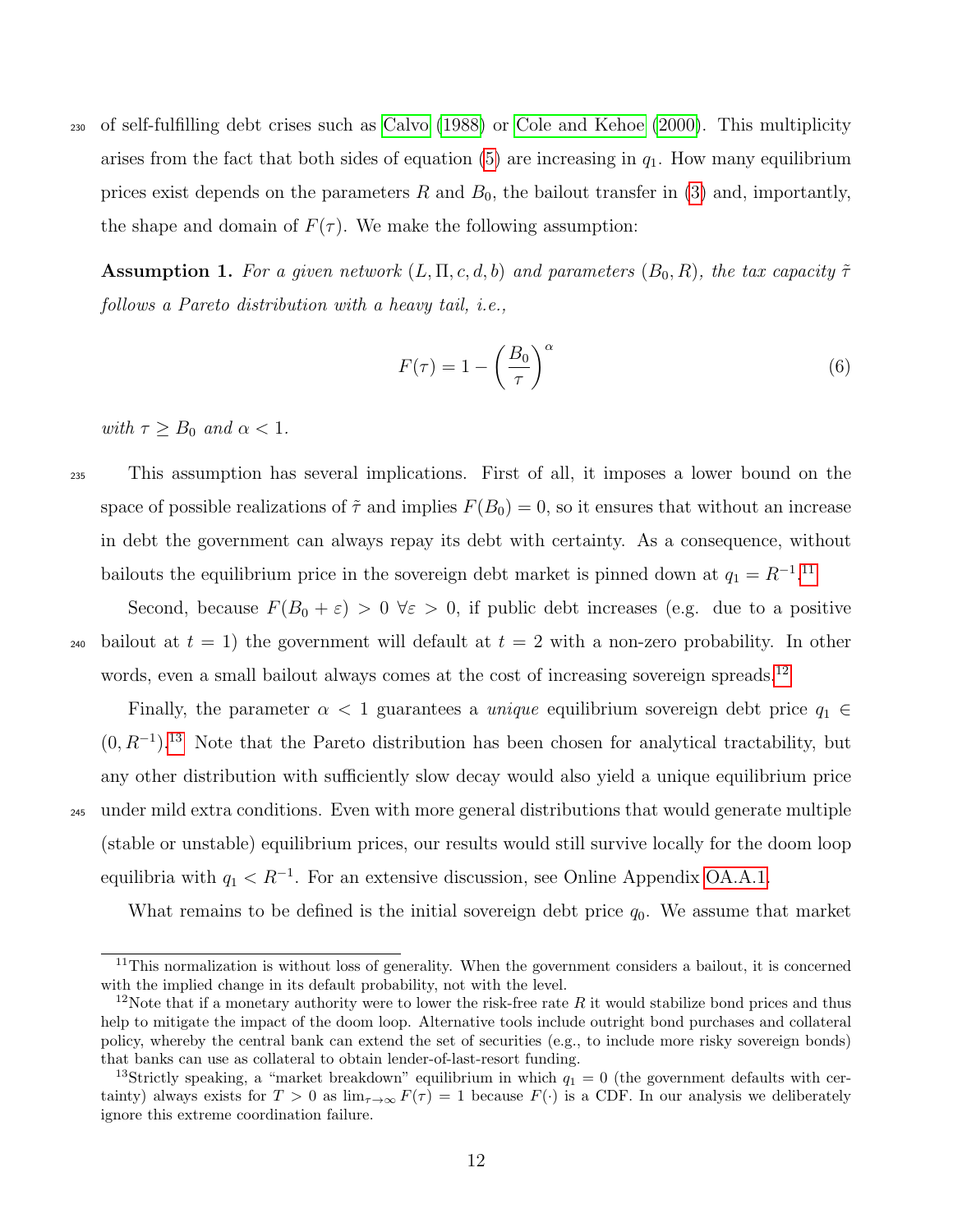<sup>230</sup> of self-fulfilling debt crises such as [Calvo](#page-34-11) [\(1988\)](#page-34-11) or [Cole and Kehoe](#page-34-12) [\(2000\)](#page-34-12). This multiplicity arises from the fact that both sides of equation  $(5)$  are increasing in  $q_1$ . How many equilibrium prices exist depends on the parameters R and  $B_0$ , the bailout transfer in [\(3\)](#page-11-0) and, importantly, the shape and domain of  $F(\tau)$ . We make the following assumption:

**Assumption 1.** For a given network  $(L, \Pi, c, d, b)$  and parameters  $(B_0, R)$ , the tax capacity  $\tilde{\tau}$ follows a Pareto distribution with a heavy tail, i.e.,

$$
F(\tau) = 1 - \left(\frac{B_0}{\tau}\right)^{\alpha} \tag{6}
$$

with  $\tau \geq B_0$  and  $\alpha < 1$ .

<sup>235</sup> This assumption has several implications. First of all, it imposes a lower bound on the space of possible realizations of  $\tilde{\tau}$  and implies  $F(B_0) = 0$ , so it ensures that without an increase in debt the government can always repay its debt with certainty. As a consequence, without bailouts the equilibrium price in the sovereign debt market is pinned down at  $q_1 = R^{-1}$ .<sup>[11](#page-2-0)</sup>

Second, because  $F(B_0 + \varepsilon) > 0 \ \forall \varepsilon > 0$ , if public debt increases (e.g. due to a positive 240 bailout at  $t = 1$ ) the government will default at  $t = 2$  with a non-zero probability. In other words, even a small bailout always comes at the cost of increasing sovereign spreads.<sup>[12](#page-2-0)</sup>

Finally, the parameter  $\alpha < 1$  guarantees a *unique* equilibrium sovereign debt price  $q_1 \in$  $(0, R^{-1})$ <sup>[13](#page-2-0)</sup>. Note that the Pareto distribution has been chosen for analytical tractability, but any other distribution with sufficiently slow decay would also yield a unique equilibrium price <sup>245</sup> under mild extra conditions. Even with more general distributions that would generate multiple (stable or unstable) equilibrium prices, our results would still survive locally for the doom loop equilibria with  $q_1 < R^{-1}$ . For an extensive discussion, see Online Appendix [OA.A.1.](#page-2-0)

What remains to be defined is the initial sovereign debt price  $q_0$ . We assume that market

 $11$ This normalization is without loss of generality. When the government considers a bailout, it is concerned with the implied change in its default probability, not with the level.

<sup>&</sup>lt;sup>12</sup>Note that if a monetary authority were to lower the risk-free rate R it would stabilize bond prices and thus help to mitigate the impact of the doom loop. Alternative tools include outright bond purchases and collateral policy, whereby the central bank can extend the set of securities (e.g., to include more risky sovereign bonds) that banks can use as collateral to obtain lender-of-last-resort funding.

<sup>&</sup>lt;sup>13</sup>Strictly speaking, a "market breakdown" equilibrium in which  $q_1 = 0$  (the government defaults with certainty) always exists for  $T > 0$  as  $\lim_{\tau \to \infty} F(\tau) = 1$  because  $F(\cdot)$  is a CDF. In our analysis we deliberately ignore this extreme coordination failure.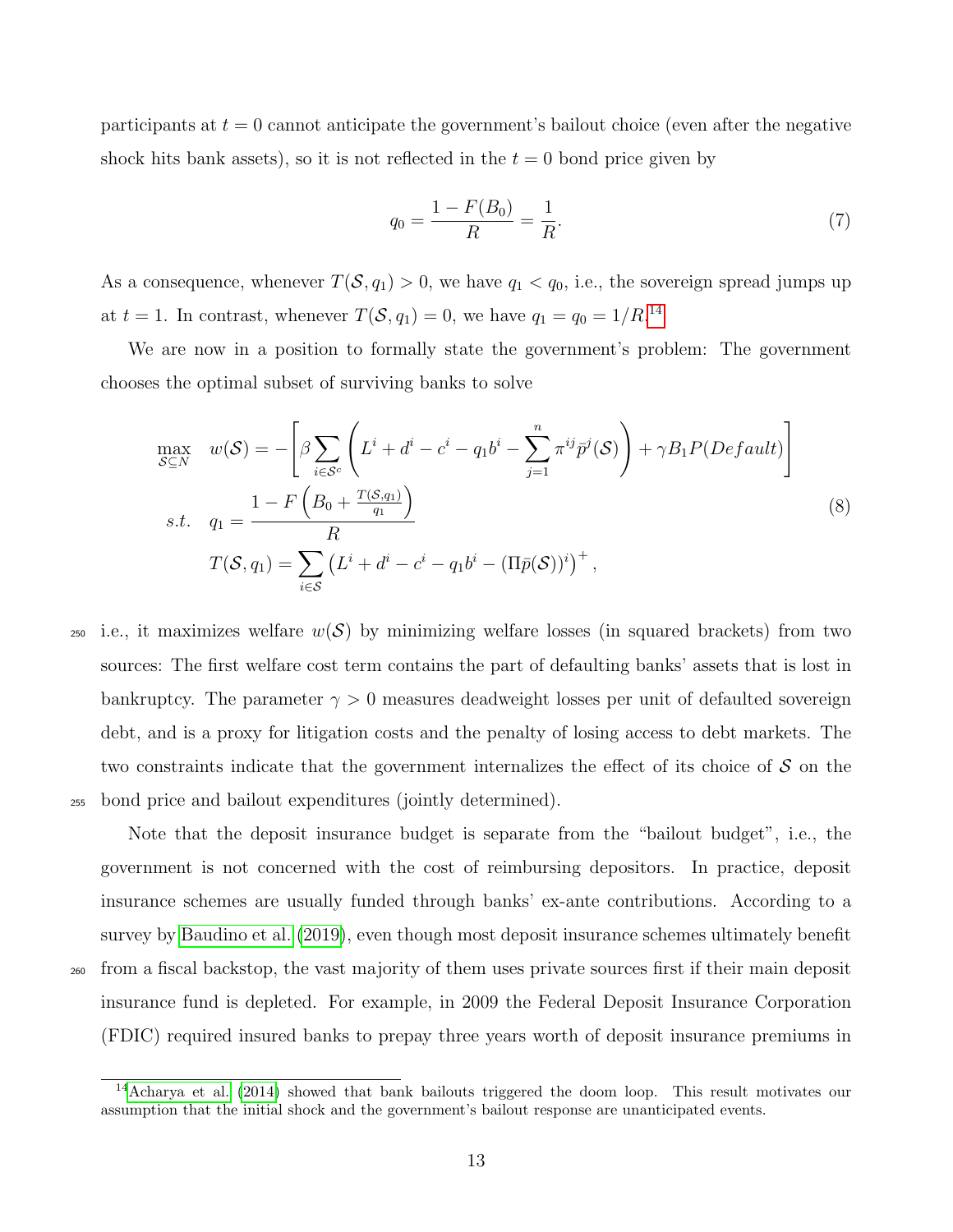participants at  $t = 0$  cannot anticipate the government's bailout choice (even after the negative shock hits bank assets), so it is not reflected in the  $t = 0$  bond price given by

<span id="page-14-0"></span>
$$
q_0 = \frac{1 - F(B_0)}{R} = \frac{1}{R}.\tag{7}
$$

As a consequence, whenever  $T(\mathcal{S}, q_1) > 0$ , we have  $q_1 < q_0$ , i.e., the sovereign spread jumps up at  $t = 1$ . In contrast, whenever  $T(\mathcal{S}, q_1) = 0$ , we have  $q_1 = q_0 = 1/R$ .<sup>[14](#page-2-0)</sup>

We are now in a position to formally state the government's problem: The government chooses the optimal subset of surviving banks to solve

$$
\max_{\mathcal{S}\subseteq N} \quad w(\mathcal{S}) = -\left[\beta \sum_{i \in \mathcal{S}^c} \left( L^i + d^i - c^i - q_1 b^i - \sum_{j=1}^n \pi^{ij} \bar{p}^j(\mathcal{S}) \right) + \gamma B_1 P(Default) \right]
$$
\n
$$
s.t. \quad q_1 = \frac{1 - F\left(B_0 + \frac{T(\mathcal{S}, q_1)}{q_1}\right)}{R}
$$
\n
$$
T(\mathcal{S}, q_1) = \sum_{i \in \mathcal{S}} \left( L^i + d^i - c^i - q_1 b^i - (\Pi \bar{p}(\mathcal{S}))^i \right)^+, \tag{8}
$$

250 i.e., it maximizes welfare  $w(S)$  by minimizing welfare losses (in squared brackets) from two sources: The first welfare cost term contains the part of defaulting banks' assets that is lost in bankruptcy. The parameter  $\gamma > 0$  measures deadweight losses per unit of defaulted sovereign debt, and is a proxy for litigation costs and the penalty of losing access to debt markets. The two constraints indicate that the government internalizes the effect of its choice of  $\mathcal S$  on the <sup>255</sup> bond price and bailout expenditures (jointly determined).

Note that the deposit insurance budget is separate from the "bailout budget", i.e., the government is not concerned with the cost of reimbursing depositors. In practice, deposit insurance schemes are usually funded through banks' ex-ante contributions. According to a survey by [Baudino et al.](#page-34-13) [\(2019\)](#page-34-13), even though most deposit insurance schemes ultimately benefit <sup>260</sup> from a fiscal backstop, the vast majority of them uses private sources first if their main deposit insurance fund is depleted. For example, in 2009 the Federal Deposit Insurance Corporation (FDIC) required insured banks to prepay three years worth of deposit insurance premiums in

<sup>&</sup>lt;sup>14</sup>[Acharya et al.](#page-33-0) [\(2014\)](#page-33-0) showed that bank bailouts triggered the doom loop. This result motivates our assumption that the initial shock and the government's bailout response are unanticipated events.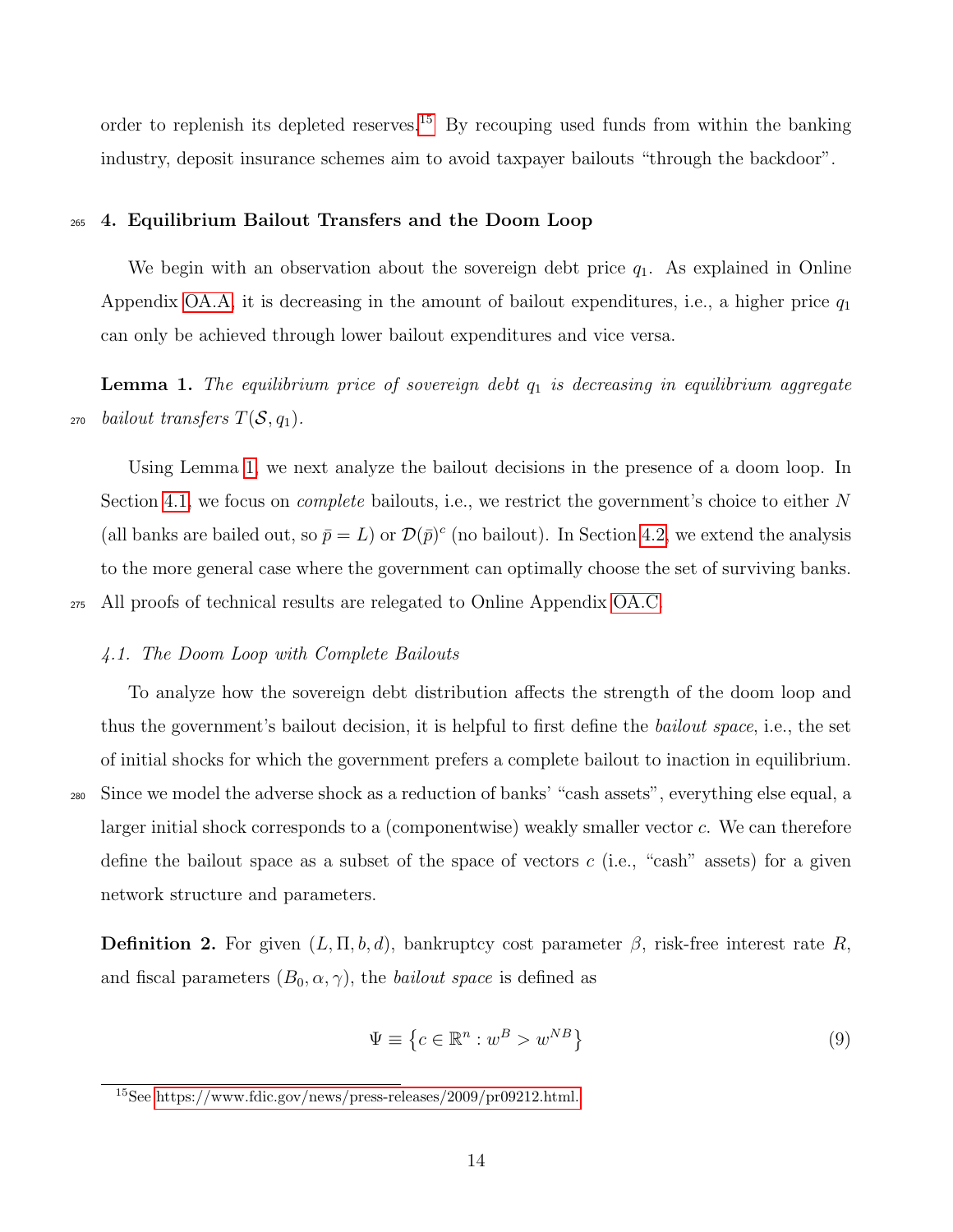order to replenish its depleted reserves.<sup>[15](#page-2-0)</sup> By recouping used funds from within the banking industry, deposit insurance schemes aim to avoid taxpayer bailouts "through the backdoor".

#### <sup>265</sup> 4. Equilibrium Bailout Transfers and the Doom Loop

We begin with an observation about the sovereign debt price  $q_1$ . As explained in Online Appendix [OA.A,](#page-2-0) it is decreasing in the amount of bailout expenditures, i.e., a higher price  $q_1$ can only be achieved through lower bailout expenditures and vice versa.

<span id="page-15-0"></span>**Lemma 1.** The equilibrium price of sovereign debt  $q_1$  is decreasing in equilibrium aggregate 270 bailout transfers  $T(\mathcal{S}, q_1)$ .

Using Lemma [1,](#page-15-0) we next analyze the bailout decisions in the presence of a doom loop. In Section [4.1,](#page-15-1) we focus on *complete* bailouts, i.e., we restrict the government's choice to either N (all banks are bailed out, so  $\bar{p} = L$ ) or  $\mathcal{D}(\bar{p})^c$  (no bailout). In Section [4.2,](#page-18-0) we extend the analysis to the more general case where the government can optimally choose the set of surviving banks. <sup>275</sup> All proofs of technical results are relegated to Online Appendix [OA.C.](#page-2-0)

# <span id="page-15-1"></span>4.1. The Doom Loop with Complete Bailouts

To analyze how the sovereign debt distribution affects the strength of the doom loop and thus the government's bailout decision, it is helpful to first define the bailout space, i.e., the set of initial shocks for which the government prefers a complete bailout to inaction in equilibrium. <sup>280</sup> Since we model the adverse shock as a reduction of banks' "cash assets", everything else equal, a larger initial shock corresponds to a (componentwise) weakly smaller vector c. We can therefore define the bailout space as a subset of the space of vectors  $c$  (i.e., "cash" assets) for a given network structure and parameters.

**Definition 2.** For given  $(L, \Pi, b, d)$ , bankruptcy cost parameter  $\beta$ , risk-free interest rate R, and fiscal parameters  $(B_0, \alpha, \gamma)$ , the *bailout space* is defined as

$$
\Psi \equiv \left\{ c \in \mathbb{R}^n : w^B > w^{NB} \right\} \tag{9}
$$

<sup>15</sup>See [https://www.fdic.gov/news/press-releases/2009/pr09212.html.](#page-2-0)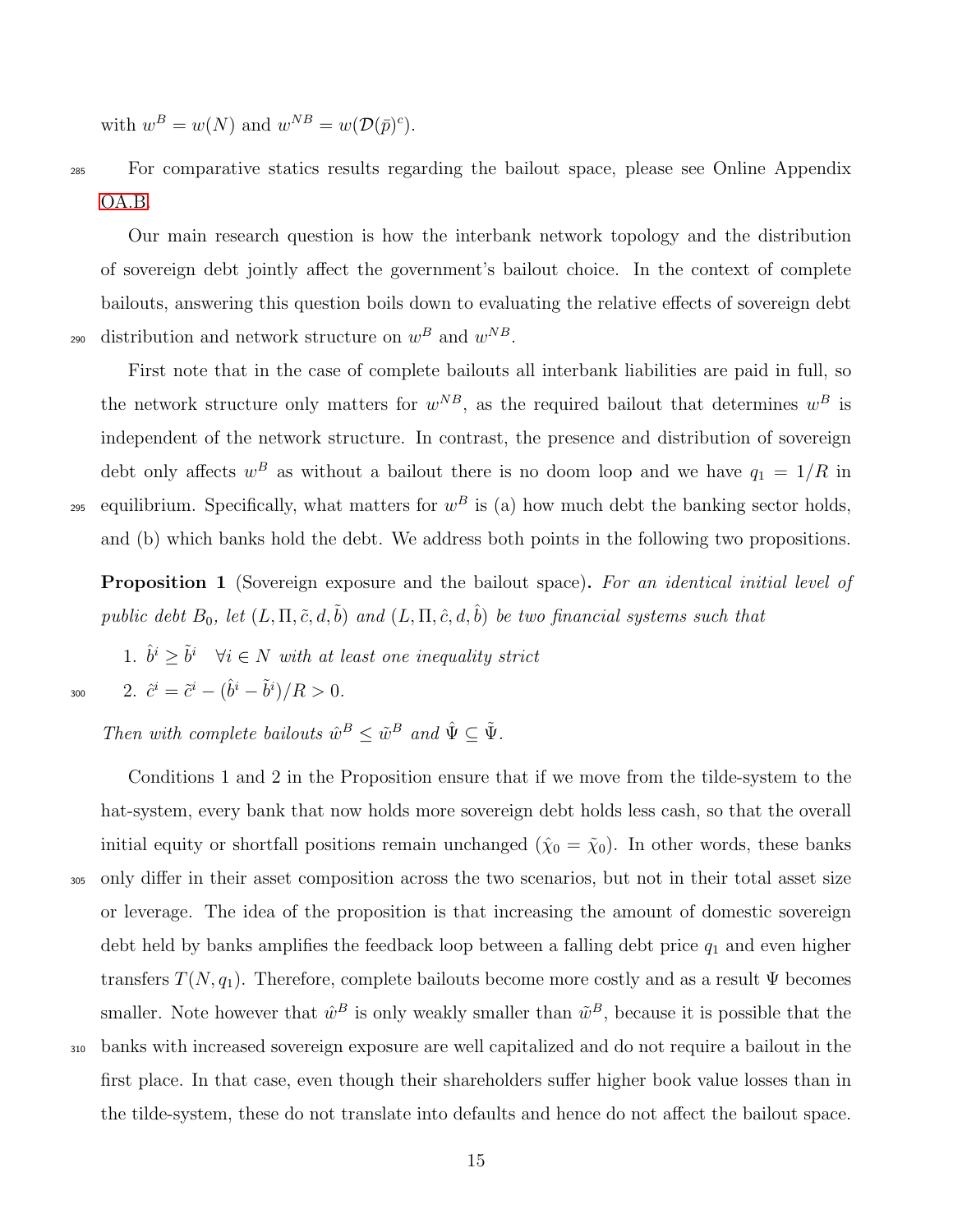with  $w^B = w(N)$  and  $w^{NB} = w(\mathcal{D}(\bar{p})^c)$ .

<sup>285</sup> For comparative statics results regarding the bailout space, please see Online Appendix [OA.B.](#page-2-0)

Our main research question is how the interbank network topology and the distribution of sovereign debt jointly affect the government's bailout choice. In the context of complete bailouts, answering this question boils down to evaluating the relative effects of sovereign debt 290 distribution and network structure on  $w^B$  and  $w^{NB}$ .

First note that in the case of complete bailouts all interbank liabilities are paid in full, so the network structure only matters for  $w^{NB}$ , as the required bailout that determines  $w^{B}$  is independent of the network structure. In contrast, the presence and distribution of sovereign debt only affects  $w^B$  as without a bailout there is no doom loop and we have  $q_1 = 1/R$  in <sup>295</sup> equilibrium. Specifically, what matters for  $w^B$  is (a) how much debt the banking sector holds, and (b) which banks hold the debt. We address both points in the following two propositions.

Proposition 1 (Sovereign exposure and the bailout space). For an identical initial level of public debt  $B_0$ , let  $(L, \Pi, \tilde{c}, d, \tilde{b})$  and  $(L, \Pi, \hat{c}, d, \hat{b})$  be two financial systems such that

1.  $\hat{b}^i \geq \tilde{b}^i$   $\forall i \in N$  with at least one inequality strict 300 2.  $\hat{c}^i = \tilde{c}^i - (\hat{b}^i - \tilde{b}^i)/R > 0$ .

Then with complete bailouts  $\hat{w}^B \leq \tilde{w}^B$  and  $\hat{\Psi} \subseteq \tilde{\Psi}$ .

Conditions 1 and 2 in the Proposition ensure that if we move from the tilde-system to the hat-system, every bank that now holds more sovereign debt holds less cash, so that the overall initial equity or shortfall positions remain unchanged  $(\hat{\chi}_0 = \tilde{\chi}_0)$ . In other words, these banks <sup>305</sup> only differ in their asset composition across the two scenarios, but not in their total asset size or leverage. The idea of the proposition is that increasing the amount of domestic sovereign debt held by banks amplifies the feedback loop between a falling debt price  $q_1$  and even higher transfers  $T(N, q_1)$ . Therefore, complete bailouts become more costly and as a result  $\Psi$  becomes smaller. Note however that  $\hat{w}^B$  is only weakly smaller than  $\tilde{w}^B$ , because it is possible that the <sup>310</sup> banks with increased sovereign exposure are well capitalized and do not require a bailout in the first place. In that case, even though their shareholders suffer higher book value losses than in the tilde-system, these do not translate into defaults and hence do not affect the bailout space.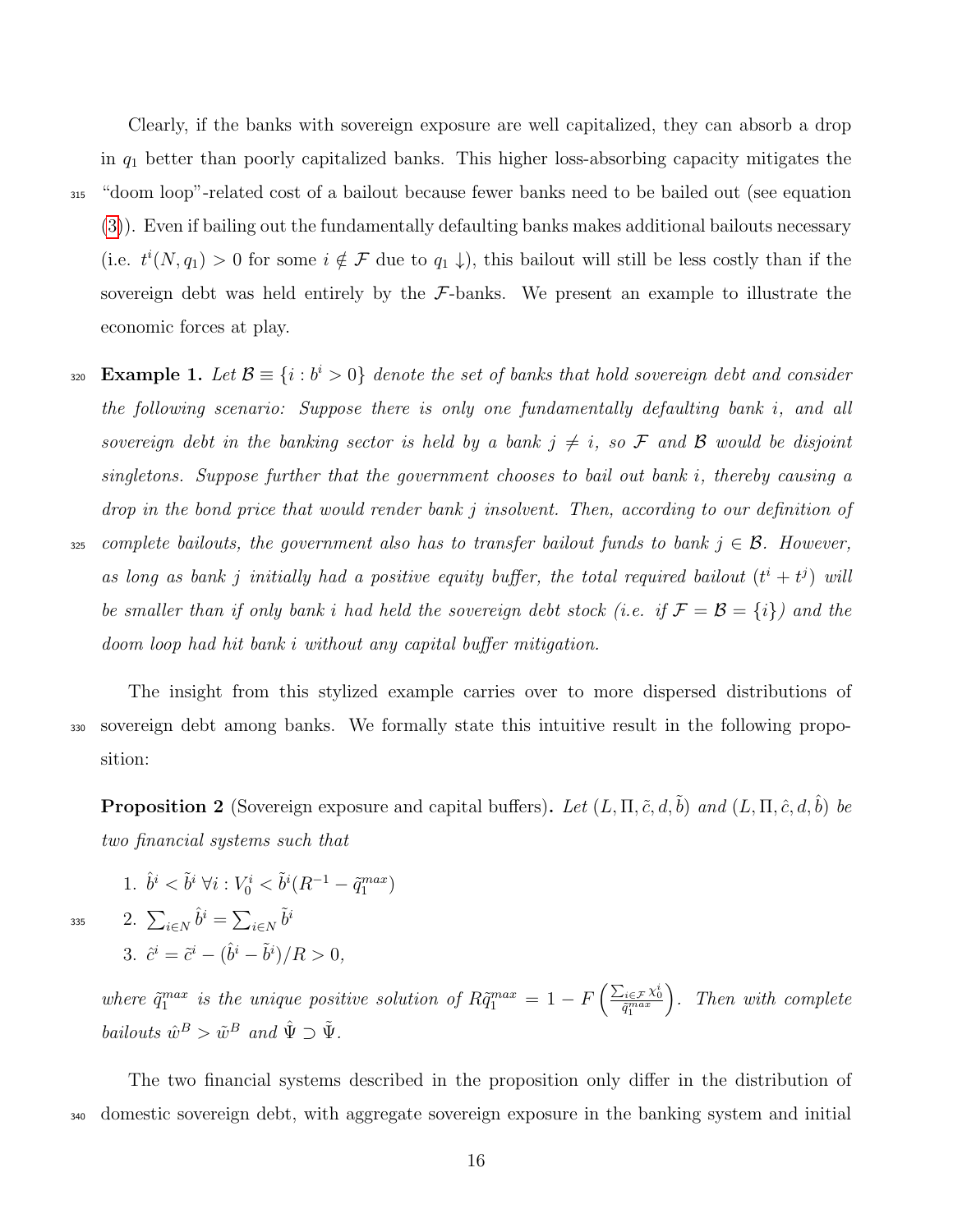Clearly, if the banks with sovereign exposure are well capitalized, they can absorb a drop in  $q_1$  better than poorly capitalized banks. This higher loss-absorbing capacity mitigates the <sup>315</sup> "doom loop"-related cost of a bailout because fewer banks need to be bailed out (see equation [\(3\)](#page-11-0)). Even if bailing out the fundamentally defaulting banks makes additional bailouts necessary (i.e.  $t^{i}(N, q_{1}) > 0$  for some  $i \notin \mathcal{F}$  due to  $q_{1} \downarrow$ ), this bailout will still be less costly than if the sovereign debt was held entirely by the  $\mathcal{F}\text{-banks}$ . We present an example to illustrate the economic forces at play.

Example 1. Let  $\mathcal{B} \equiv \{i : b^i > 0\}$  denote the set of banks that hold sovereign debt and consider the following scenario: Suppose there is only one fundamentally defaulting bank i, and all sovereign debt in the banking sector is held by a bank  $j \neq i$ , so F and B would be disjoint singletons. Suppose further that the government chooses to bail out bank i, thereby causing a drop in the bond price that would render bank j insolvent. Then, according to our definition of

325 complete bailouts, the government also has to transfer bailout funds to bank  $j \in \mathcal{B}$ . However, as long as bank j initially had a positive equity buffer, the total required bailout  $(t^i + t^j)$  will be smaller than if only bank i had held the sovereign debt stock (i.e. if  $\mathcal{F} = \mathcal{B} = \{i\}$ ) and the doom loop had hit bank i without any capital buffer mitigation.

The insight from this stylized example carries over to more dispersed distributions of <sup>330</sup> sovereign debt among banks. We formally state this intuitive result in the following proposition:

<span id="page-17-0"></span>**Proposition 2** (Sovereign exposure and capital buffers). Let  $(L, \Pi, \tilde{c}, d, \tilde{b})$  and  $(L, \Pi, \hat{c}, d, \hat{b})$  be two financial systems such that

1. 
$$
\hat{b}^i < \tilde{b}^i \; \forall i: V_0^i < \tilde{b}^i (R^{-1} - \tilde{q}_1^{max})
$$

335

2. 
$$
\sum_{i \in N} \hat{b}^i = \sum_{i \in N} \tilde{b}^i
$$
  
3. 
$$
\hat{c}^i = \tilde{c}^i - (\hat{b}^i - \tilde{b}^i)/R > 0,
$$

where  $\tilde{q}_1^{max}$  is the unique positive solution of  $R\tilde{q}_1^{max} = 1 - F\left(\frac{\sum_{i \in \mathcal{F}} \chi_0^i}{\tilde{q}_1^{max}}\right)$  . Then with complete bailouts  $\hat{w}^B > \tilde{w}^B$  and  $\hat{\Psi} \supset \tilde{\Psi}$ .

The two financial systems described in the proposition only differ in the distribution of <sup>340</sup> domestic sovereign debt, with aggregate sovereign exposure in the banking system and initial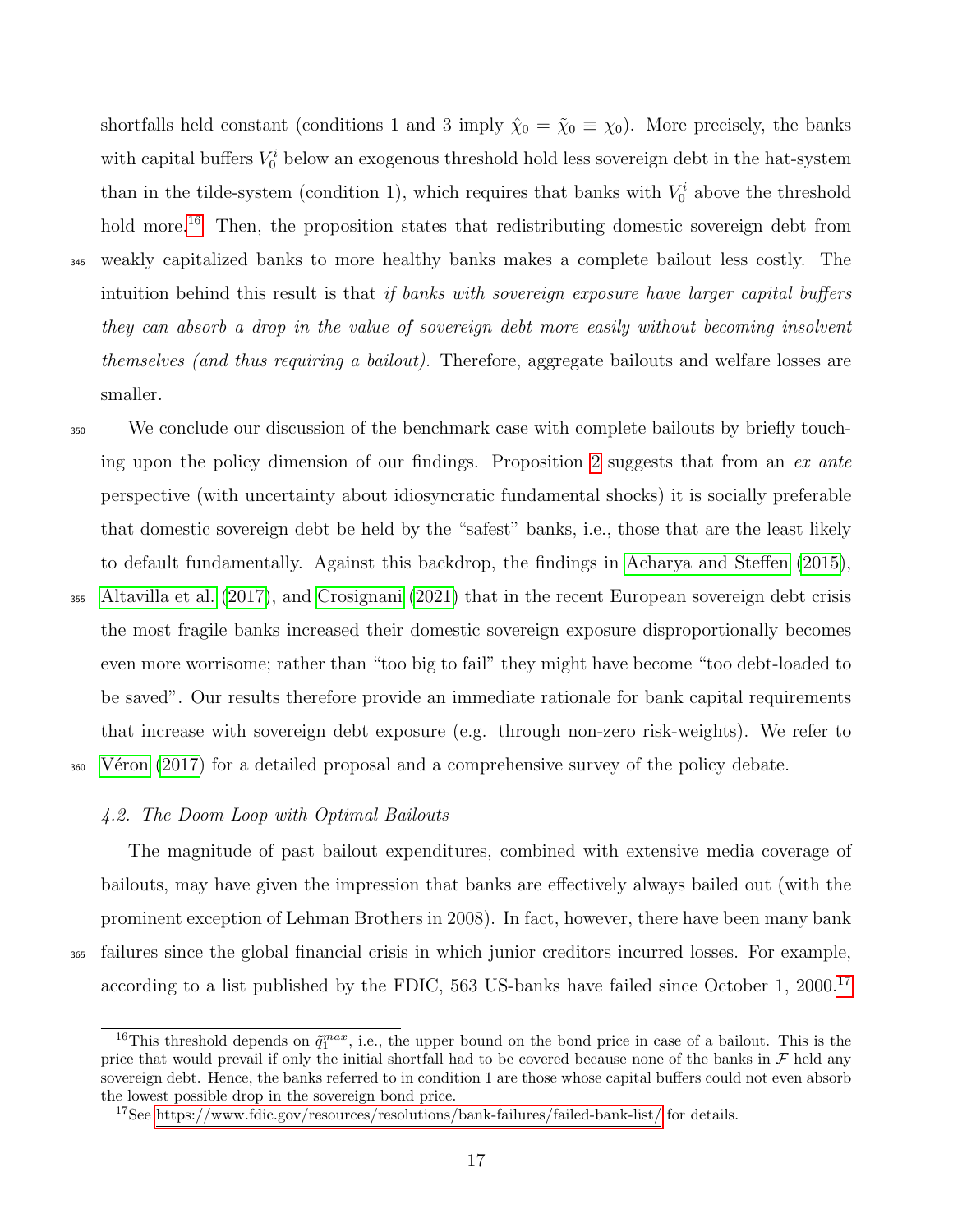shortfalls held constant (conditions 1 and 3 imply  $\hat{\chi}_0 = \tilde{\chi}_0 \equiv \chi_0$ ). More precisely, the banks with capital buffers  $V_0^i$  below an exogenous threshold hold less sovereign debt in the hat-system than in the tilde-system (condition 1), which requires that banks with  $V_0^i$  above the threshold hold more.<sup>[16](#page-2-0)</sup> Then, the proposition states that redistributing domestic sovereign debt from <sup>345</sup> weakly capitalized banks to more healthy banks makes a complete bailout less costly. The intuition behind this result is that if banks with sovereign exposure have larger capital buffers they can absorb a drop in the value of sovereign debt more easily without becoming insolvent themselves (and thus requiring a bailout). Therefore, aggregate bailouts and welfare losses are smaller.

<sup>350</sup> We conclude our discussion of the benchmark case with complete bailouts by briefly touch-ing upon the policy dimension of our findings. Proposition [2](#page-17-0) suggests that from an ex ante perspective (with uncertainty about idiosyncratic fundamental shocks) it is socially preferable that domestic sovereign debt be held by the "safest" banks, i.e., those that are the least likely to default fundamentally. Against this backdrop, the findings in [Acharya and Steffen](#page-33-6) [\(2015\)](#page-33-6), <sup>355</sup> [Altavilla et al.](#page-33-5) [\(2017\)](#page-33-5), and [Crosignani](#page-34-10) [\(2021\)](#page-34-10) that in the recent European sovereign debt crisis the most fragile banks increased their domestic sovereign exposure disproportionally becomes

even more worrisome; rather than "too big to fail" they might have become "too debt-loaded to be saved". Our results therefore provide an immediate rationale for bank capital requirements that increase with sovereign debt exposure (e.g. through non-zero risk-weights). We refer to <sup>360</sup> Véron [\(2017\)](#page-35-11) for a detailed proposal and a comprehensive survey of the policy debate.

#### <span id="page-18-0"></span>4.2. The Doom Loop with Optimal Bailouts

The magnitude of past bailout expenditures, combined with extensive media coverage of bailouts, may have given the impression that banks are effectively always bailed out (with the prominent exception of Lehman Brothers in 2008). In fact, however, there have been many bank <sup>365</sup> failures since the global financial crisis in which junior creditors incurred losses. For example, according to a list published by the FDIC, 563 US-banks have failed since October 1, 2000.<sup>[17](#page-2-0)</sup>

<sup>&</sup>lt;sup>16</sup>This threshold depends on  $\tilde{q}_1^{max}$ , i.e., the upper bound on the bond price in case of a bailout. This is the price that would prevail if only the initial shortfall had to be covered because none of the banks in  $\mathcal F$  held any sovereign debt. Hence, the banks referred to in condition 1 are those whose capital buffers could not even absorb the lowest possible drop in the sovereign bond price.

<sup>&</sup>lt;sup>17</sup>See [https://www.fdic.gov/resources/resolutions/bank-failures/failed-bank-list/](#page-2-0) for details.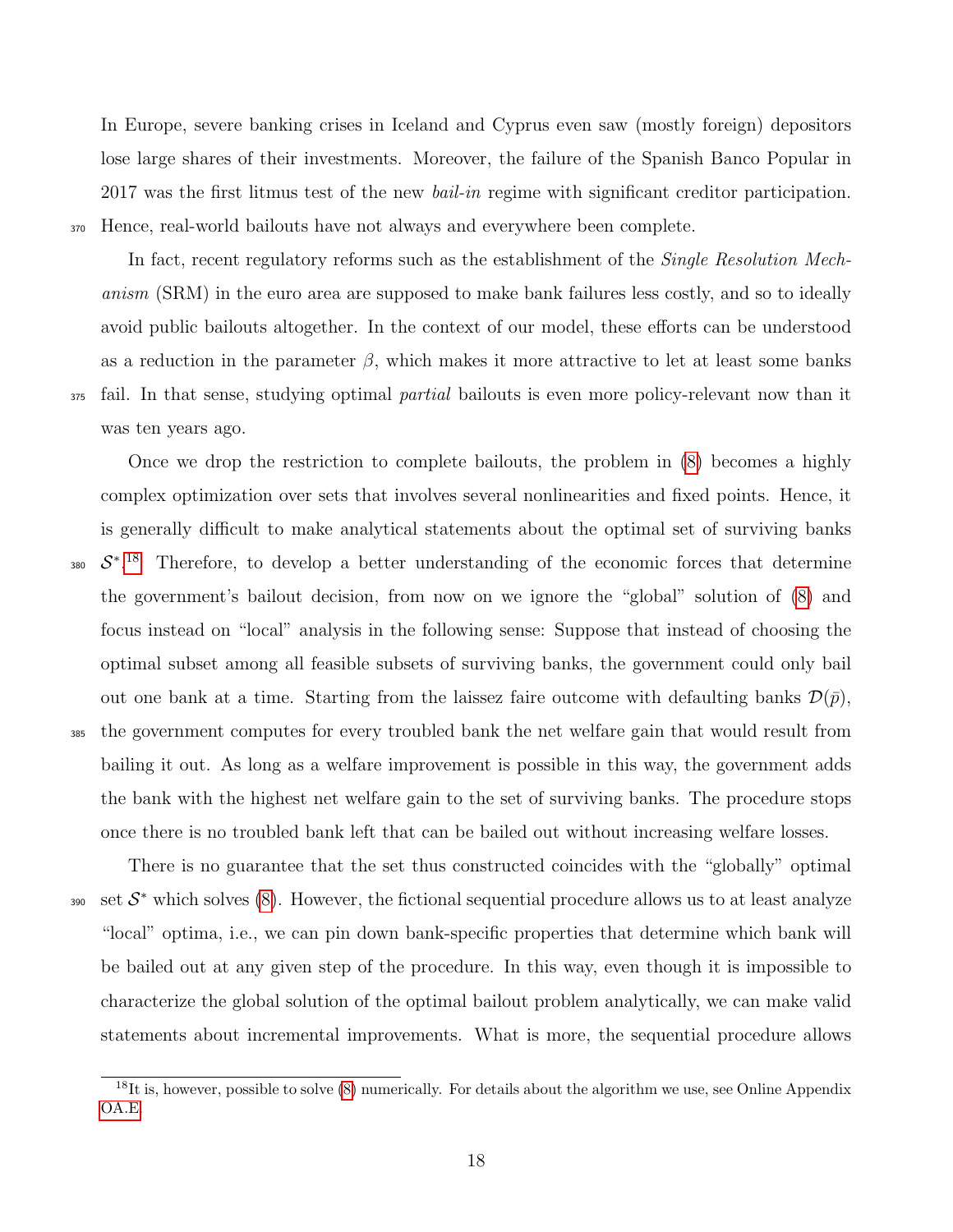In Europe, severe banking crises in Iceland and Cyprus even saw (mostly foreign) depositors lose large shares of their investments. Moreover, the failure of the Spanish Banco Popular in 2017 was the first litmus test of the new *bail-in* regime with significant creditor participation. <sup>370</sup> Hence, real-world bailouts have not always and everywhere been complete.

In fact, recent regulatory reforms such as the establishment of the *Single Resolution Mech*anism (SRM) in the euro area are supposed to make bank failures less costly, and so to ideally avoid public bailouts altogether. In the context of our model, these efforts can be understood as a reduction in the parameter  $\beta$ , which makes it more attractive to let at least some banks <sup>375</sup> fail. In that sense, studying optimal *partial* bailouts is even more policy-relevant now than it was ten years ago.

Once we drop the restriction to complete bailouts, the problem in [\(8\)](#page-14-0) becomes a highly complex optimization over sets that involves several nonlinearities and fixed points. Hence, it is generally difficult to make analytical statements about the optimal set of surviving banks 380  $S^*$ .<sup>[18](#page-2-0)</sup> Therefore, to develop a better understanding of the economic forces that determine the government's bailout decision, from now on we ignore the "global" solution of [\(8\)](#page-14-0) and focus instead on "local" analysis in the following sense: Suppose that instead of choosing the optimal subset among all feasible subsets of surviving banks, the government could only bail out one bank at a time. Starting from the laissez faire outcome with defaulting banks  $\mathcal{D}(\bar{p}),$ <sup>385</sup> the government computes for every troubled bank the net welfare gain that would result from bailing it out. As long as a welfare improvement is possible in this way, the government adds the bank with the highest net welfare gain to the set of surviving banks. The procedure stops once there is no troubled bank left that can be bailed out without increasing welfare losses.

There is no guarantee that the set thus constructed coincides with the "globally" optimal 390 set  $S^*$  which solves [\(8\)](#page-14-0). However, the fictional sequential procedure allows us to at least analyze "local" optima, i.e., we can pin down bank-specific properties that determine which bank will be bailed out at any given step of the procedure. In this way, even though it is impossible to characterize the global solution of the optimal bailout problem analytically, we can make valid statements about incremental improvements. What is more, the sequential procedure allows

<sup>&</sup>lt;sup>18</sup>It is, however, possible to solve [\(8\)](#page-14-0) numerically. For details about the algorithm we use, see Online Appendix [OA.E.](#page-2-0)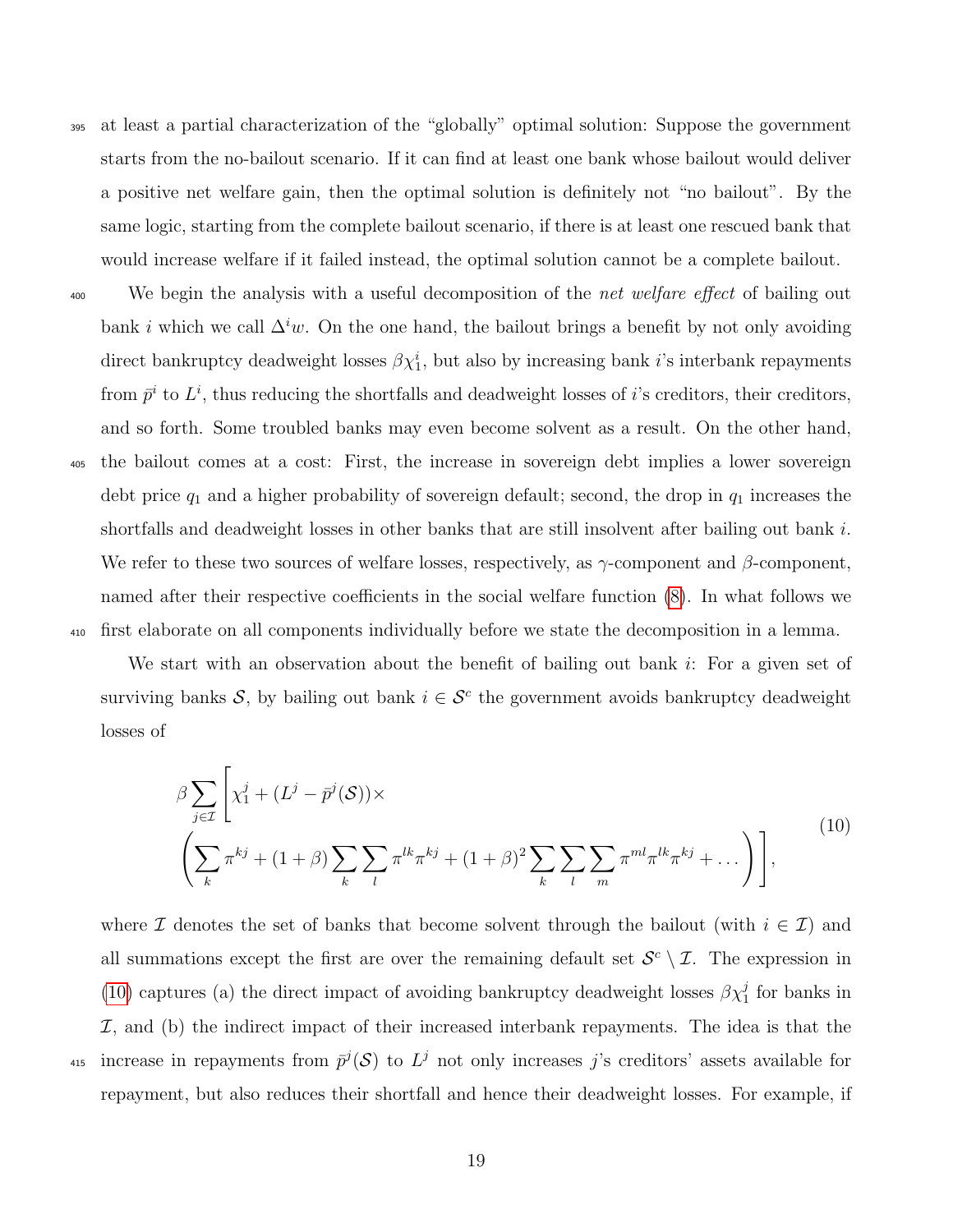- <sup>395</sup> at least a partial characterization of the "globally" optimal solution: Suppose the government starts from the no-bailout scenario. If it can find at least one bank whose bailout would deliver a positive net welfare gain, then the optimal solution is definitely not "no bailout". By the same logic, starting from the complete bailout scenario, if there is at least one rescued bank that would increase welfare if it failed instead, the optimal solution cannot be a complete bailout.
- <sup>400</sup> We begin the analysis with a useful decomposition of the *net welfare effect* of bailing out bank i which we call  $\Delta^i w$ . On the one hand, the bailout brings a benefit by not only avoiding direct bankruptcy deadweight losses  $\beta \chi_1^i$ , but also by increasing bank *i*'s interbank repayments from  $\bar{p}^i$  to  $L^i$ , thus reducing the shortfalls and deadweight losses of *i*'s creditors, their creditors, and so forth. Some troubled banks may even become solvent as a result. On the other hand, <sup>405</sup> the bailout comes at a cost: First, the increase in sovereign debt implies a lower sovereign debt price  $q_1$  and a higher probability of sovereign default; second, the drop in  $q_1$  increases the shortfalls and deadweight losses in other banks that are still insolvent after bailing out bank i. We refer to these two sources of welfare losses, respectively, as  $\gamma$ -component and  $\beta$ -component, named after their respective coefficients in the social welfare function [\(8\)](#page-14-0). In what follows we <sup>410</sup> first elaborate on all components individually before we state the decomposition in a lemma.

We start with an observation about the benefit of bailing out bank  $i$ : For a given set of surviving banks S, by bailing out bank  $i \in S^c$  the government avoids bankruptcy deadweight losses of

<span id="page-20-0"></span>
$$
\beta \sum_{j \in \mathcal{I}} \left[ \chi_1^j + (L^j - \bar{p}^j(\mathcal{S})) \times \left( \sum_k \pi^{kj} + (1+\beta) \sum_k \sum_l \pi^{lk} \pi^{kj} + (1+\beta)^2 \sum_k \sum_l \sum_m \pi^{ml} \pi^{lk} \pi^{kj} + \dots \right) \right],
$$
\n(10)

where I denotes the set of banks that become solvent through the bailout (with  $i \in I$ ) and all summations except the first are over the remaining default set  $\mathcal{S}^c \setminus \mathcal{I}$ . The expression in [\(10\)](#page-20-0) captures (a) the direct impact of avoiding bankruptcy deadweight losses  $\beta \chi_1^j$  for banks in  $I$ , and (b) the indirect impact of their increased interbank repayments. The idea is that the <sup>415</sup> increase in repayments from  $\bar{p}^j(\mathcal{S})$  to  $L^j$  not only increases j's creditors' assets available for repayment, but also reduces their shortfall and hence their deadweight losses. For example, if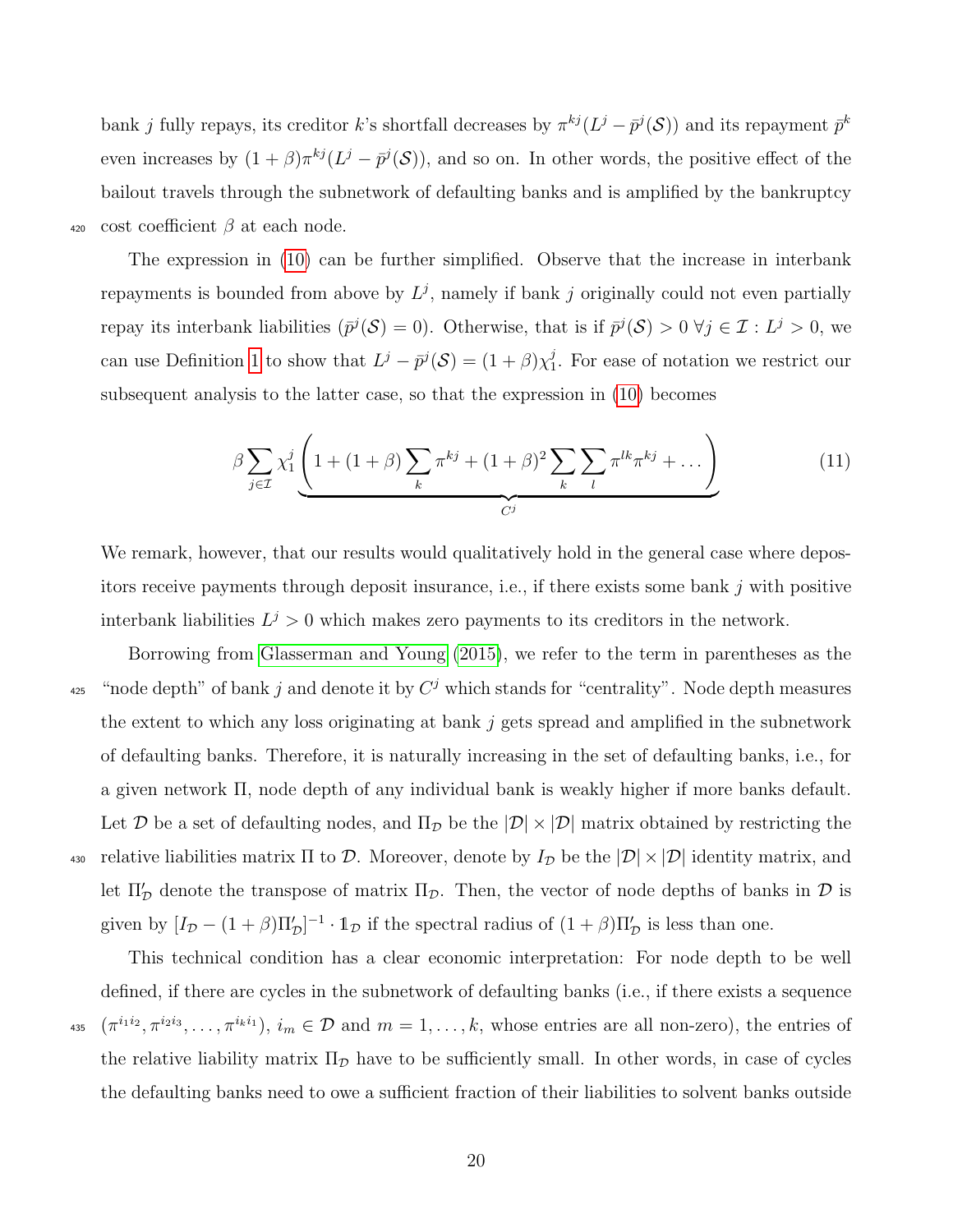bank j fully repays, its creditor k's shortfall decreases by  $\pi^{kj}(L^j - \bar{p}^j(\mathcal{S}))$  and its repayment  $\bar{p}^k$ even increases by  $(1+\beta)\pi^{kj}(L^j-\bar{p}^j(\mathcal{S}))$ , and so on. In other words, the positive effect of the bailout travels through the subnetwork of defaulting banks and is amplified by the bankruptcy 420 cost coefficient  $\beta$  at each node.

The expression in [\(10\)](#page-20-0) can be further simplified. Observe that the increase in interbank repayments is bounded from above by  $L^j$ , namely if bank j originally could not even partially repay its interbank liabilities  $(\bar{p}^j(\mathcal{S}) = 0)$ . Otherwise, that is if  $\bar{p}^j(\mathcal{S}) > 0 \ \forall j \in \mathcal{I} : L^j > 0$ , we can use Definition [1](#page-10-0) to show that  $L^j - \bar{p}^j(\mathcal{S}) = (1 + \beta)\chi_1^j$  $\frac{3}{1}$ . For ease of notation we restrict our subsequent analysis to the latter case, so that the expression in [\(10\)](#page-20-0) becomes

<span id="page-21-0"></span>
$$
\beta \sum_{j \in \mathcal{I}} \chi_1^j \left( 1 + (1+\beta) \sum_k \pi^{kj} + (1+\beta)^2 \sum_k \sum_l \pi^{lk} \pi^{kj} + \dots \right) \tag{11}
$$

We remark, however, that our results would qualitatively hold in the general case where depositors receive payments through deposit insurance, i.e., if there exists some bank  $j$  with positive interbank liabilities  $L^j > 0$  which makes zero payments to its creditors in the network.

Borrowing from [Glasserman and Young](#page-35-5) [\(2015\)](#page-35-5), we refer to the term in parentheses as the <sup>425</sup> "node depth" of bank j and denote it by  $C<sup>j</sup>$  which stands for "centrality". Node depth measures the extent to which any loss originating at bank  $j$  gets spread and amplified in the subnetwork of defaulting banks. Therefore, it is naturally increasing in the set of defaulting banks, i.e., for a given network Π, node depth of any individual bank is weakly higher if more banks default. Let D be a set of defaulting nodes, and  $\Pi_{\mathcal{D}}$  be the  $|\mathcal{D}| \times |\mathcal{D}|$  matrix obtained by restricting the 430 relative liabilities matrix  $\Pi$  to  $\mathcal D$ . Moreover, denote by  $I_{\mathcal D}$  be the  $|\mathcal D| \times |\mathcal D|$  identity matrix, and let  $\Pi_{\mathcal{D}}'$  denote the transpose of matrix  $\Pi_{\mathcal{D}}$ . Then, the vector of node depths of banks in  $\mathcal D$  is given by  $[I_{\mathcal{D}} - (1+\beta)\Pi_{\mathcal{D}}']^{-1} \cdot \mathbb{1}_{\mathcal{D}}$  if the spectral radius of  $(1+\beta)\Pi_{\mathcal{D}}'$  is less than one.

This technical condition has a clear economic interpretation: For node depth to be well defined, if there are cycles in the subnetwork of defaulting banks (i.e., if there exists a sequence <sup>435</sup>  $(\pi^{i_1 i_2}, \pi^{i_2 i_3}, \ldots, \pi^{i_k i_1}), i_m \in \mathcal{D}$  and  $m = 1, \ldots, k$ , whose entries are all non-zero), the entries of the relative liability matrix  $\Pi_{\mathcal{D}}$  have to be sufficiently small. In other words, in case of cycles the defaulting banks need to owe a sufficient fraction of their liabilities to solvent banks outside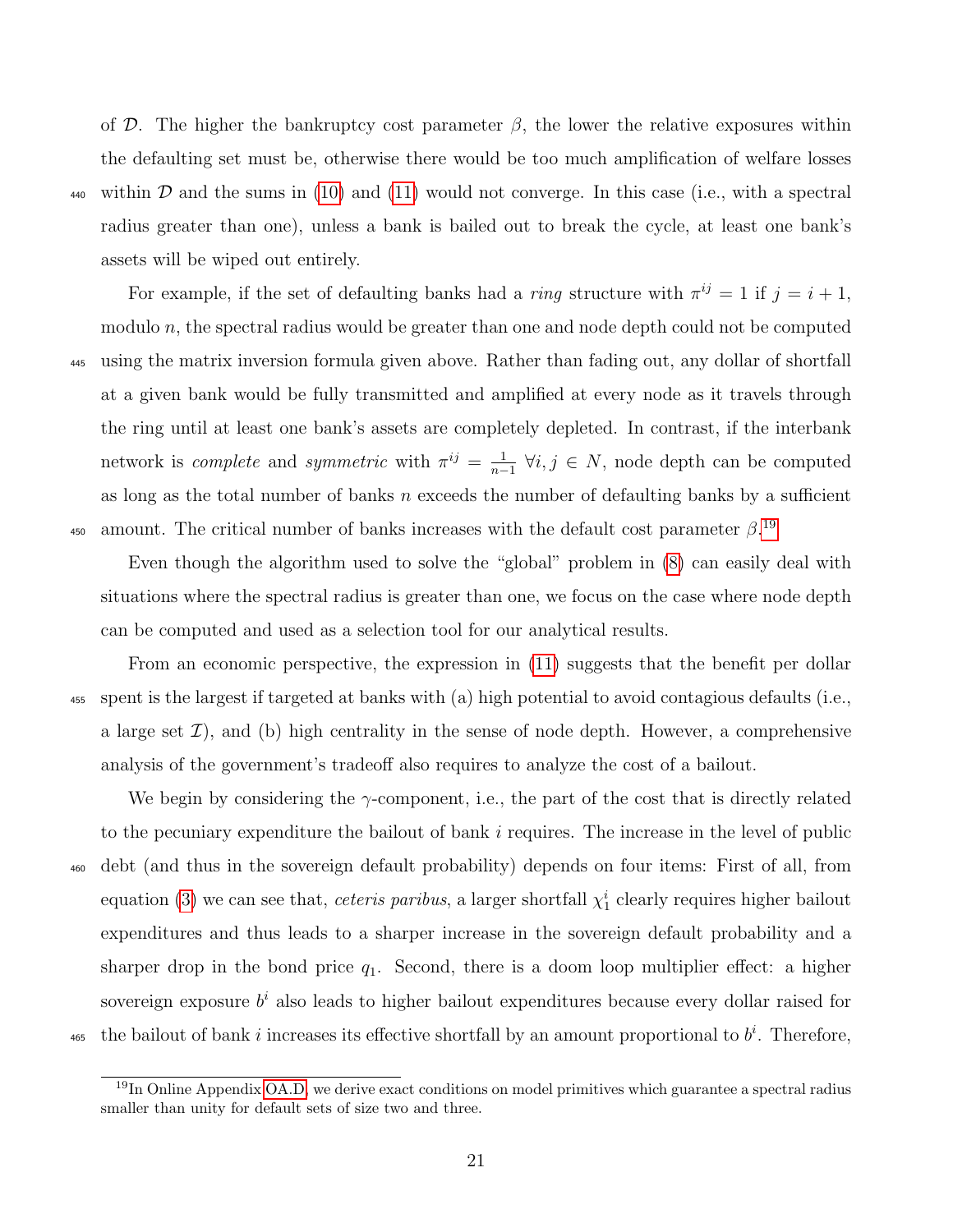of D. The higher the bankruptcy cost parameter  $\beta$ , the lower the relative exposures within the defaulting set must be, otherwise there would be too much amplification of welfare losses 440 within D and the sums in [\(10\)](#page-20-0) and [\(11\)](#page-21-0) would not converge. In this case (i.e., with a spectral radius greater than one), unless a bank is bailed out to break the cycle, at least one bank's assets will be wiped out entirely.

For example, if the set of defaulting banks had a *ring* structure with  $\pi^{ij} = 1$  if  $j = i + 1$ , modulo  $n$ , the spectral radius would be greater than one and node depth could not be computed <sup>445</sup> using the matrix inversion formula given above. Rather than fading out, any dollar of shortfall at a given bank would be fully transmitted and amplified at every node as it travels through the ring until at least one bank's assets are completely depleted. In contrast, if the interbank network is *complete* and *symmetric* with  $\pi^{ij} = \frac{1}{n}$  $\frac{1}{n-1}$  ∀*i*, *j* ∈ *N*, node depth can be computed as long as the total number of banks  $n$  exceeds the number of defaulting banks by a sufficient amount. The critical number of banks increases with the default cost parameter  $\beta$ <sup>[19](#page-2-0)</sup> 450

Even though the algorithm used to solve the "global" problem in [\(8\)](#page-14-0) can easily deal with situations where the spectral radius is greater than one, we focus on the case where node depth can be computed and used as a selection tool for our analytical results.

From an economic perspective, the expression in [\(11\)](#page-21-0) suggests that the benefit per dollar <sup>455</sup> spent is the largest if targeted at banks with (a) high potential to avoid contagious defaults (i.e., a large set  $\mathcal{I}$ ), and (b) high centrality in the sense of node depth. However, a comprehensive analysis of the government's tradeoff also requires to analyze the cost of a bailout.

We begin by considering the  $\gamma$ -component, i.e., the part of the cost that is directly related to the pecuniary expenditure the bailout of bank i requires. The increase in the level of public <sup>460</sup> debt (and thus in the sovereign default probability) depends on four items: First of all, from equation [\(3\)](#page-11-0) we can see that, *ceteris paribus*, a larger shortfall  $\chi_1^i$  clearly requires higher bailout expenditures and thus leads to a sharper increase in the sovereign default probability and a sharper drop in the bond price  $q_1$ . Second, there is a doom loop multiplier effect: a higher sovereign exposure  $b^i$  also leads to higher bailout expenditures because every dollar raised for 465 the bailout of bank i increases its effective shortfall by an amount proportional to  $b^i$ . Therefore,

<sup>&</sup>lt;sup>19</sup>In Online Appendix [OA.D,](#page-2-0) we derive exact conditions on model primitives which guarantee a spectral radius smaller than unity for default sets of size two and three.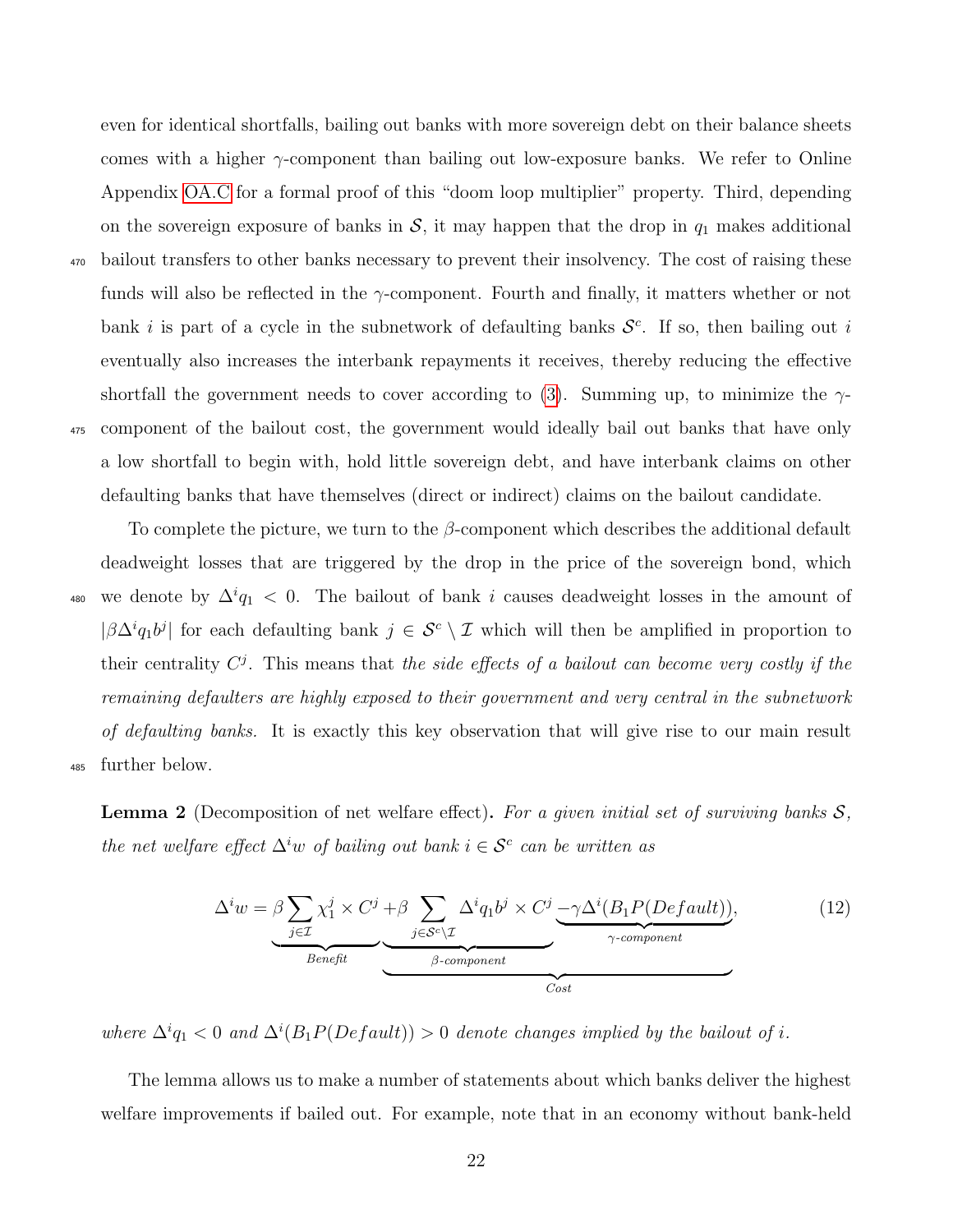comes with a higher  $\gamma$ -component than bailing out low-exposure banks. We refer to Online Appendix [OA.C](#page-2-0) for a formal proof of this "doom loop multiplier" property. Third, depending on the sovereign exposure of banks in  $S$ , it may happen that the drop in  $q_1$  makes additional <sup>470</sup> bailout transfers to other banks necessary to prevent their insolvency. The cost of raising these funds will also be reflected in the  $\gamma$ -component. Fourth and finally, it matters whether or not bank i is part of a cycle in the subnetwork of defaulting banks  $\mathcal{S}^c$ . If so, then bailing out i eventually also increases the interbank repayments it receives, thereby reducing the effective shortfall the government needs to cover according to [\(3\)](#page-11-0). Summing up, to minimize the  $\gamma$ -<sup>475</sup> component of the bailout cost, the government would ideally bail out banks that have only a low shortfall to begin with, hold little sovereign debt, and have interbank claims on other

To complete the picture, we turn to the  $\beta$ -component which describes the additional default deadweight losses that are triggered by the drop in the price of the sovereign bond, which 480 we denote by  $\Delta^i q_1 < 0$ . The bailout of bank i causes deadweight losses in the amount of  $|\beta\Delta^i q_1 b^j|$  for each defaulting bank  $j \in S^c \setminus \mathcal{I}$  which will then be amplified in proportion to their centrality  $C^j$ . This means that the side effects of a bailout can become very costly if the remaining defaulters are highly exposed to their government and very central in the subnetwork of defaulting banks. It is exactly this key observation that will give rise to our main result <sup>485</sup> further below.

defaulting banks that have themselves (direct or indirect) claims on the bailout candidate.

even for identical shortfalls, bailing out banks with more sovereign debt on their balance sheets

<span id="page-23-0"></span>**Lemma 2** (Decomposition of net welfare effect). For a given initial set of surviving banks  $S$ , the net welfare effect  $\Delta^i w$  of bailing out bank  $i \in \mathcal{S}^c$  can be written as

$$
\Delta^i w = \beta \sum_{j \in \mathcal{I}} \chi_1^j \times C^j + \beta \sum_{j \in \mathcal{S}^c \setminus \mathcal{I}} \Delta^i q_1 b^j \times C^j \underbrace{-\gamma \Delta^i (B_1 P(Default))}_{\gamma\text{-component}},
$$
\n(12)

where  $\Delta^i q_1 < 0$  and  $\Delta^i(B_1P(Default)) > 0$  denote changes implied by the bailout of i.

The lemma allows us to make a number of statements about which banks deliver the highest welfare improvements if bailed out. For example, note that in an economy without bank-held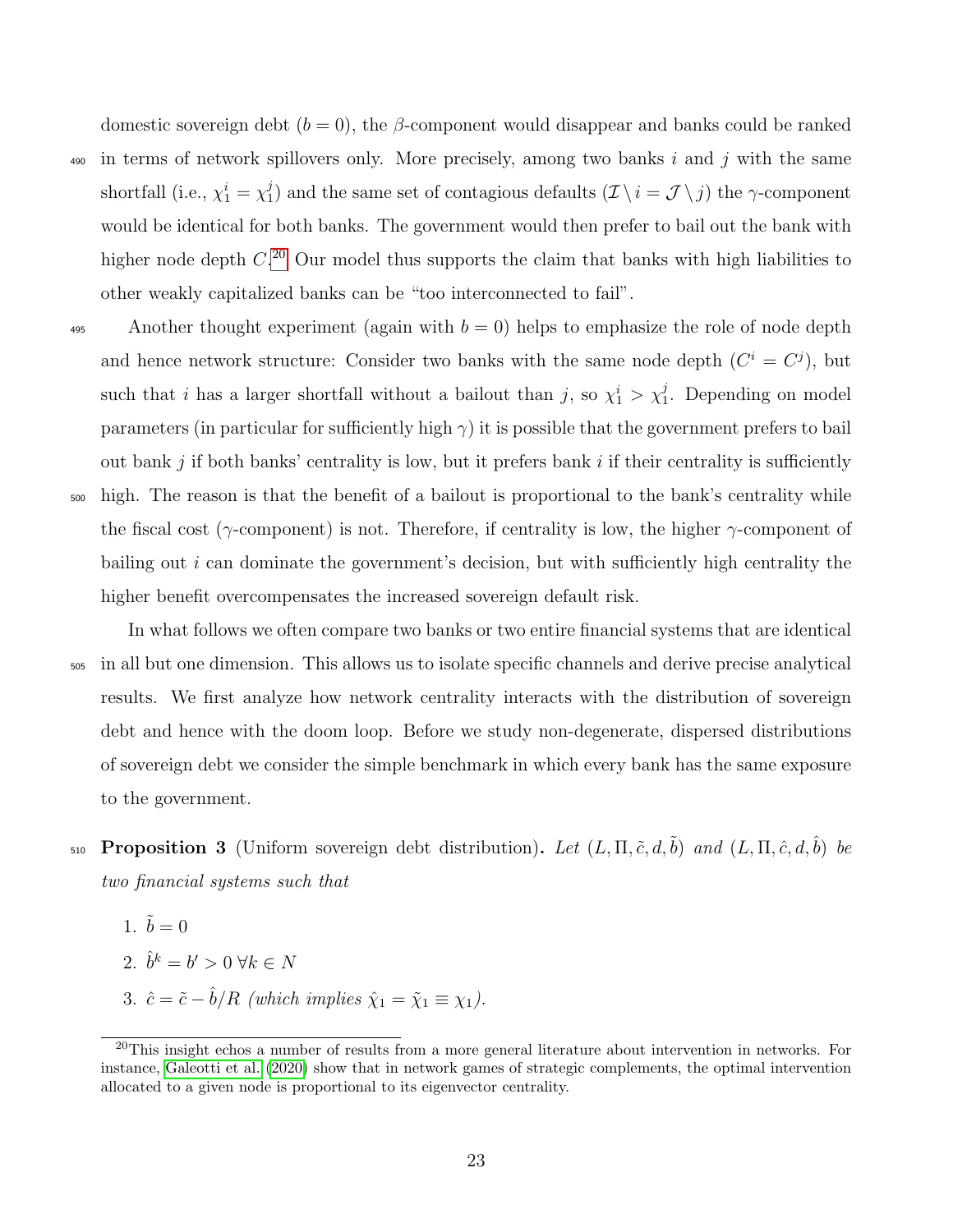domestic sovereign debt  $(b = 0)$ , the *β*-component would disappear and banks could be ranked 490 in terms of network spillovers only. More precisely, among two banks i and j with the same shortfall (i.e.,  $\chi_1^i = \chi_1^j$ <sup>1</sup>/<sub>1</sub>) and the same set of contagious defaults  $(\mathcal{I} \setminus i = \mathcal{J} \setminus j)$  the  $\gamma$ -component would be identical for both banks. The government would then prefer to bail out the bank with higher node depth  $C^{20}$  $C^{20}$  $C^{20}$  Our model thus supports the claim that banks with high liabilities to other weakly capitalized banks can be "too interconnected to fail".

Another thought experiment (again with  $b = 0$ ) helps to emphasize the role of node depth and hence network structure: Consider two banks with the same node depth  $(C^i = C^j)$ , but such that *i* has a larger shortfall without a bailout than *j*, so  $\chi_1^i > \chi_1^j$ . Depending on model parameters (in particular for sufficiently high  $\gamma$ ) it is possible that the government prefers to bail out bank  $j$  if both banks' centrality is low, but it prefers bank  $i$  if their centrality is sufficiently <sup>500</sup> high. The reason is that the benefit of a bailout is proportional to the bank's centrality while the fiscal cost ( $\gamma$ -component) is not. Therefore, if centrality is low, the higher  $\gamma$ -component of bailing out  $i$  can dominate the government's decision, but with sufficiently high centrality the higher benefit overcompensates the increased sovereign default risk.

In what follows we often compare two banks or two entire financial systems that are identical <sup>505</sup> in all but one dimension. This allows us to isolate specific channels and derive precise analytical results. We first analyze how network centrality interacts with the distribution of sovereign debt and hence with the doom loop. Before we study non-degenerate, dispersed distributions of sovereign debt we consider the simple benchmark in which every bank has the same exposure to the government.

- 510 **Proposition 3** (Uniform sovereign debt distribution). Let  $(L, \Pi, \tilde{c}, d, \tilde{b})$  and  $(L, \Pi, \hat{c}, d, \hat{b})$  be two financial systems such that
	- 1.  $\tilde{b} = 0$
	- 2.  $\hat{b}^k = b' > 0 \ \forall k \in N$
	- 3.  $\hat{c} = \tilde{c} \hat{b}/R$  (which implies  $\hat{\chi}_1 = \tilde{\chi}_1 \equiv \chi_1$ ).

<sup>&</sup>lt;sup>20</sup>This insight echos a number of results from a more general literature about intervention in networks. For instance, [Galeotti et al.](#page-35-12) [\(2020\)](#page-35-12) show that in network games of strategic complements, the optimal intervention allocated to a given node is proportional to its eigenvector centrality.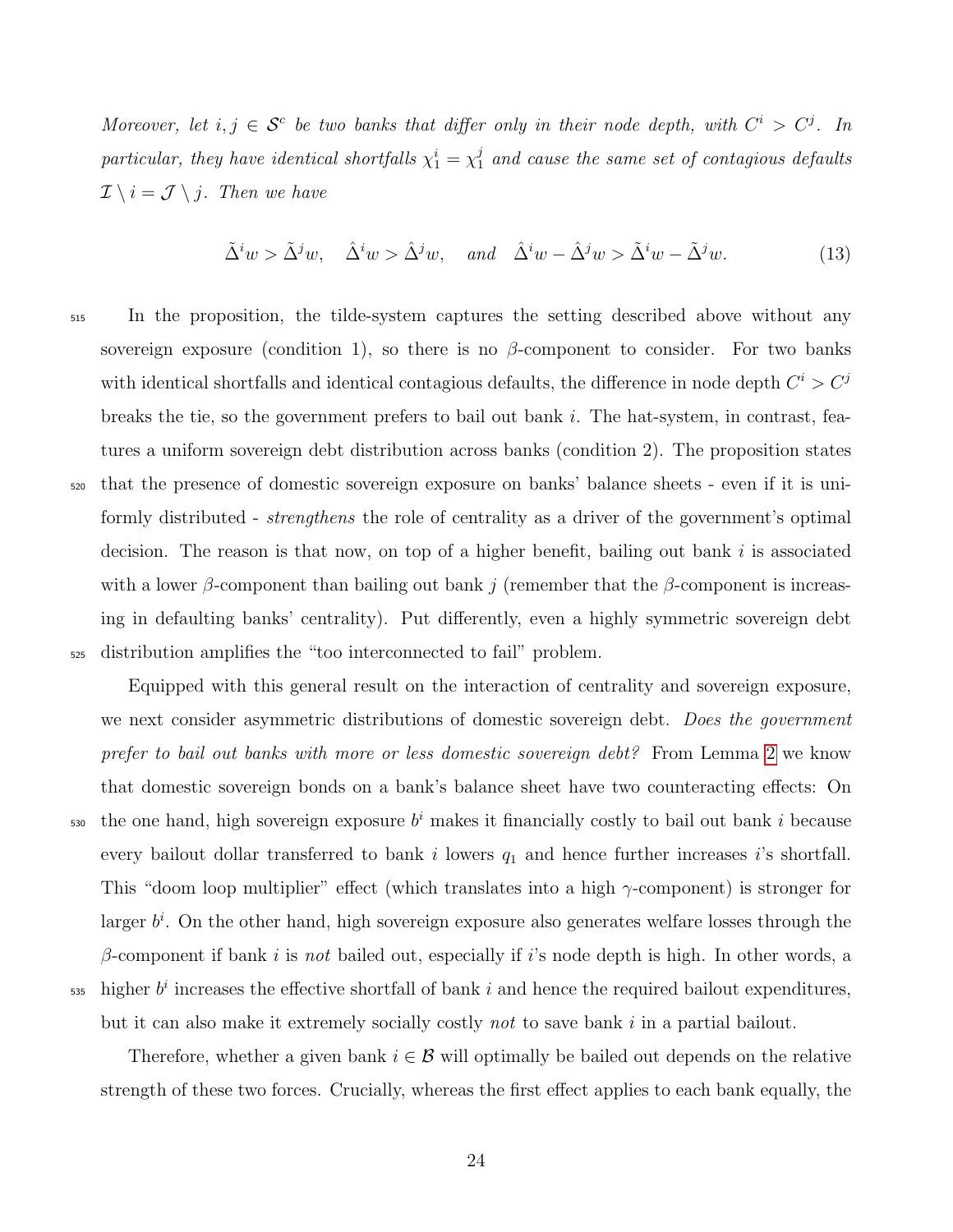Moreover, let  $i, j \in S^c$  be two banks that differ only in their node depth, with  $C^i > C^j$ . In particular, they have identical shortfalls  $\chi_1^i = \chi_1^j$  and cause the same set of contagious defaults  $\mathcal{I} \setminus i = \mathcal{J} \setminus j$ . Then we have

$$
\tilde{\Delta}^i w > \tilde{\Delta}^j w, \quad \hat{\Delta}^i w > \hat{\Delta}^j w, \quad and \quad \hat{\Delta}^i w - \hat{\Delta}^j w > \tilde{\Delta}^i w - \tilde{\Delta}^j w.
$$
\n(13)

<sup>515</sup> In the proposition, the tilde-system captures the setting described above without any sovereign exposure (condition 1), so there is no  $\beta$ -component to consider. For two banks with identical shortfalls and identical contagious defaults, the difference in node depth  $C<sup>i</sup> > C<sup>j</sup>$ breaks the tie, so the government prefers to bail out bank  $i$ . The hat-system, in contrast, features a uniform sovereign debt distribution across banks (condition 2). The proposition states <sup>520</sup> that the presence of domestic sovereign exposure on banks' balance sheets - even if it is uniformly distributed - *strengthens* the role of centrality as a driver of the government's optimal decision. The reason is that now, on top of a higher benefit, bailing out bank i is associated with a lower  $\beta$ -component than bailing out bank j (remember that the  $\beta$ -component is increasing in defaulting banks' centrality). Put differently, even a highly symmetric sovereign debt <sup>525</sup> distribution amplifies the "too interconnected to fail" problem.

Equipped with this general result on the interaction of centrality and sovereign exposure, we next consider asymmetric distributions of domestic sovereign debt. Does the government prefer to bail out banks with more or less domestic sovereign debt? From Lemma [2](#page-23-0) we know that domestic sovereign bonds on a bank's balance sheet have two counteracting effects: On  $\epsilon$ <sub>530</sub> the one hand, high sovereign exposure  $b^i$  makes it financially costly to bail out bank i because every bailout dollar transferred to bank  $i$  lowers  $q_1$  and hence further increases  $i$ 's shortfall. This "doom loop multiplier" effect (which translates into a high  $\gamma$ -component) is stronger for larger  $b^i$ . On the other hand, high sovereign exposure also generates welfare losses through the β-component if bank *i* is *not* bailed out, especially if *i*'s node depth is high. In other words, a  $\frac{1}{535}$  higher  $b^i$  increases the effective shortfall of bank i and hence the required bailout expenditures,

but it can also make it extremely socially costly not to save bank i in a partial bailout.

Therefore, whether a given bank  $i \in \mathcal{B}$  will optimally be bailed out depends on the relative strength of these two forces. Crucially, whereas the first effect applies to each bank equally, the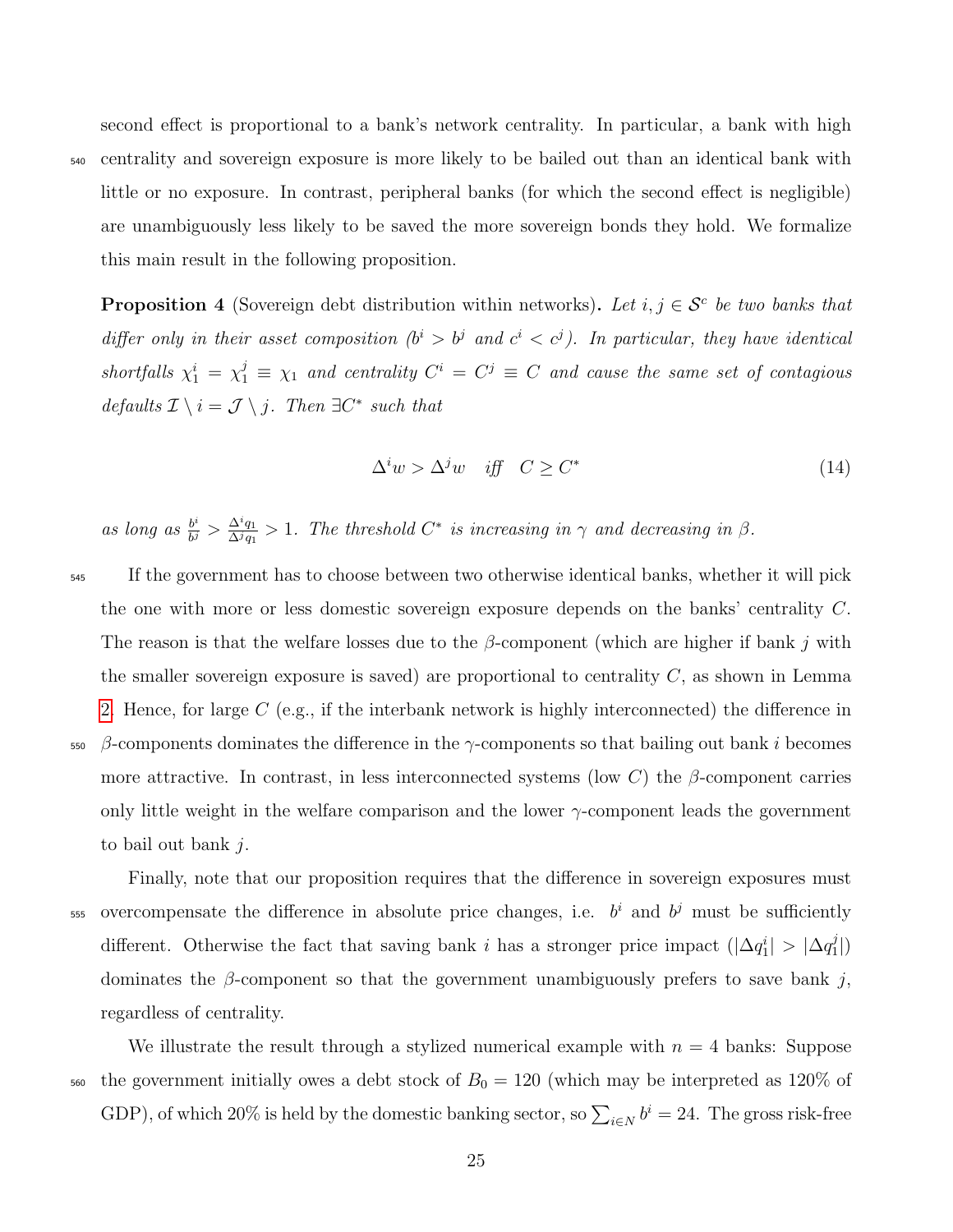second effect is proportional to a bank's network centrality. In particular, a bank with high <sup>540</sup> centrality and sovereign exposure is more likely to be bailed out than an identical bank with little or no exposure. In contrast, peripheral banks (for which the second effect is negligible) are unambiguously less likely to be saved the more sovereign bonds they hold. We formalize this main result in the following proposition.

<span id="page-26-0"></span>**Proposition 4** (Sovereign debt distribution within networks). Let  $i, j \in S^c$  be two banks that differ only in their asset composition  $(b^i > b^j$  and  $c^i < c^j$ ). In particular, they have identical shortfalls  $\chi_1^i = \chi_1^j \equiv \chi_1$  and centrality  $C^i = C^j \equiv C$  and cause the same set of contagious defaults  $\mathcal{I} \setminus i = \mathcal{J} \setminus j$ . Then  $\exists C^*$  such that

$$
\Delta^i w > \Delta^j w \quad \text{iff} \quad C \ge C^* \tag{14}
$$

 $\binom{J}{1}$ 

as long as  $\frac{b^i}{b^j}$  $\frac{b^i}{b^j} > \frac{\Delta^i q_1}{\Delta^j q_1}$  $\frac{\Delta^i q_1}{\Delta^j q_1} > 1$ . The threshold  $C^*$  is increasing in  $\gamma$  and decreasing in  $\beta$ .

- <sup>545</sup> If the government has to choose between two otherwise identical banks, whether it will pick the one with more or less domestic sovereign exposure depends on the banks' centrality C. The reason is that the welfare losses due to the  $\beta$ -component (which are higher if bank j with the smaller sovereign exposure is saved) are proportional to centrality  $C$ , as shown in Lemma [2.](#page-23-0) Hence, for large  $C$  (e.g., if the interbank network is highly interconnected) the difference in  $\beta$ -components dominates the difference in the γ-components so that bailing out bank *i* becomes more attractive. In contrast, in less interconnected systems (low C) the  $\beta$ -component carries only little weight in the welfare comparison and the lower  $\gamma$ -component leads the government to bail out bank j.
- <sup>555</sup> overcompensate the difference in absolute price changes, i.e.  $b^i$  and  $b^j$  must be sufficiently different. Otherwise the fact that saving bank i has a stronger price impact  $(|\Delta q_1^i| > |\Delta q_1^j|)$

dominates the  $\beta$ -component so that the government unambiguously prefers to save bank j, regardless of centrality. We illustrate the result through a stylized numerical example with  $n = 4$  banks: Suppose 560 the government initially owes a debt stock of  $B_0 = 120$  (which may be interpreted as 120% of

Finally, note that our proposition requires that the difference in sovereign exposures must

GDP), of which 20% is held by the domestic banking sector, so  $\sum_{i\in N} b^i = 24$ . The gross risk-free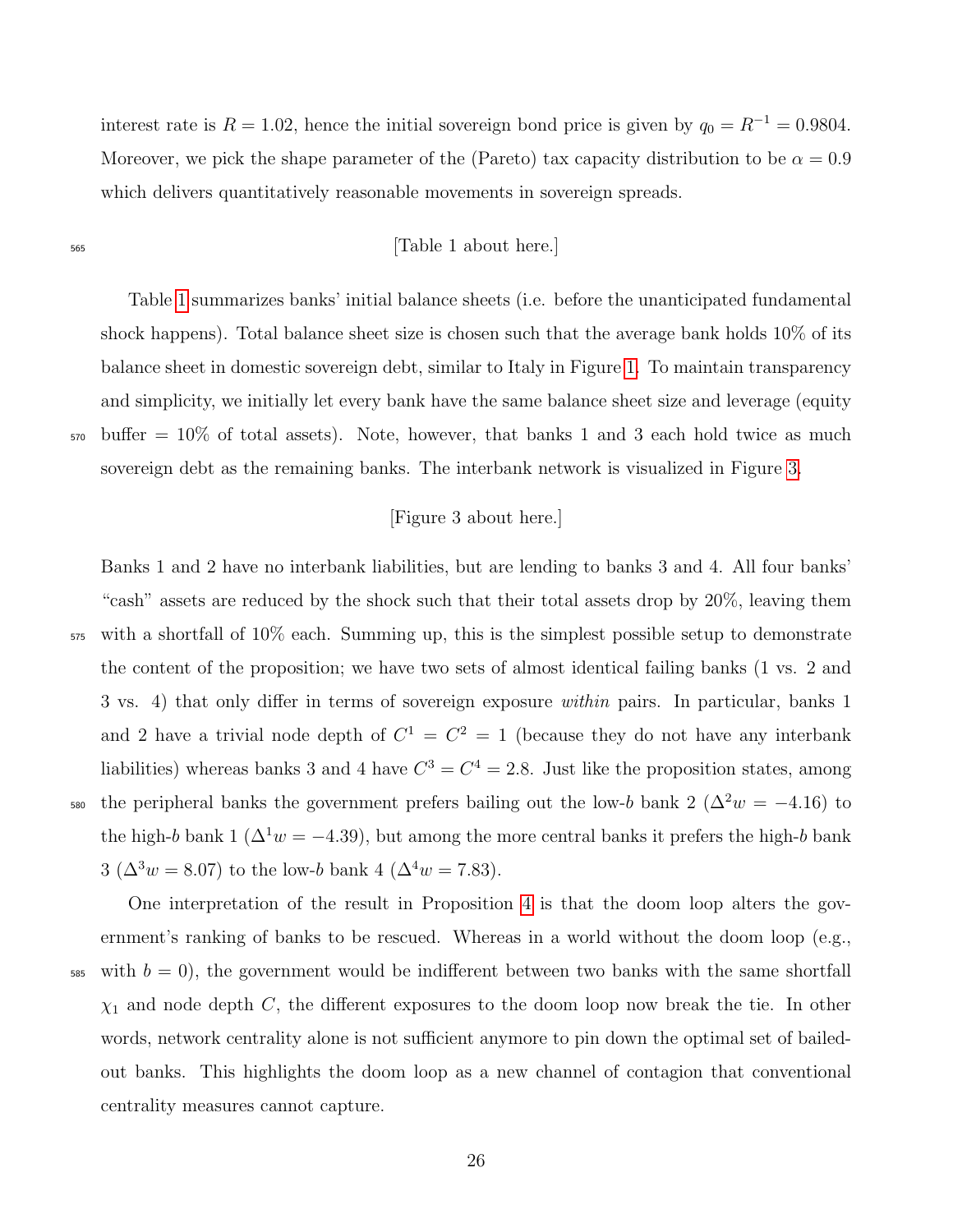interest rate is  $R = 1.02$ , hence the initial sovereign bond price is given by  $q_0 = R^{-1} = 0.9804$ . Moreover, we pick the shape parameter of the (Pareto) tax capacity distribution to be  $\alpha = 0.9$ which delivers quantitatively reasonable movements in sovereign spreads.

#### <sup>565</sup> [Table 1 about here.]

Table [1](#page-41-0) summarizes banks' initial balance sheets (i.e. before the unanticipated fundamental shock happens). Total balance sheet size is chosen such that the average bank holds 10% of its balance sheet in domestic sovereign debt, similar to Italy in Figure [1.](#page-37-0) To maintain transparency and simplicity, we initially let every bank have the same balance sheet size and leverage (equity <sup>570</sup> buffer = 10% of total assets). Note, however, that banks 1 and 3 each hold twice as much sovereign debt as the remaining banks. The interbank network is visualized in Figure [3.](#page-39-0)

## [Figure 3 about here.]

Banks 1 and 2 have no interbank liabilities, but are lending to banks 3 and 4. All four banks' "cash" assets are reduced by the shock such that their total assets drop by 20%, leaving them <sup>575</sup> with a shortfall of 10% each. Summing up, this is the simplest possible setup to demonstrate the content of the proposition; we have two sets of almost identical failing banks (1 vs. 2 and 3 vs. 4) that only differ in terms of sovereign exposure within pairs. In particular, banks 1 and 2 have a trivial node depth of  $C^1 = C^2 = 1$  (because they do not have any interbank liabilities) whereas banks 3 and 4 have  $C^3 = C^4 = 2.8$ . Just like the proposition states, among 580 the peripheral banks the government prefers bailing out the low-b bank 2 ( $\Delta^2 w = -4.16$ ) to the high-b bank 1 ( $\Delta^1 w = -4.39$ ), but among the more central banks it prefers the high-b bank 3 ( $\Delta^3 w = 8.07$ ) to the low-b bank 4 ( $\Delta^4 w = 7.83$ ).

One interpretation of the result in Proposition [4](#page-26-0) is that the doom loop alters the government's ranking of banks to be rescued. Whereas in a world without the doom loop (e.g.,  $585$  with  $b = 0$ , the government would be indifferent between two banks with the same shortfall  $\chi_1$  and node depth C, the different exposures to the doom loop now break the tie. In other words, network centrality alone is not sufficient anymore to pin down the optimal set of bailedout banks. This highlights the doom loop as a new channel of contagion that conventional centrality measures cannot capture.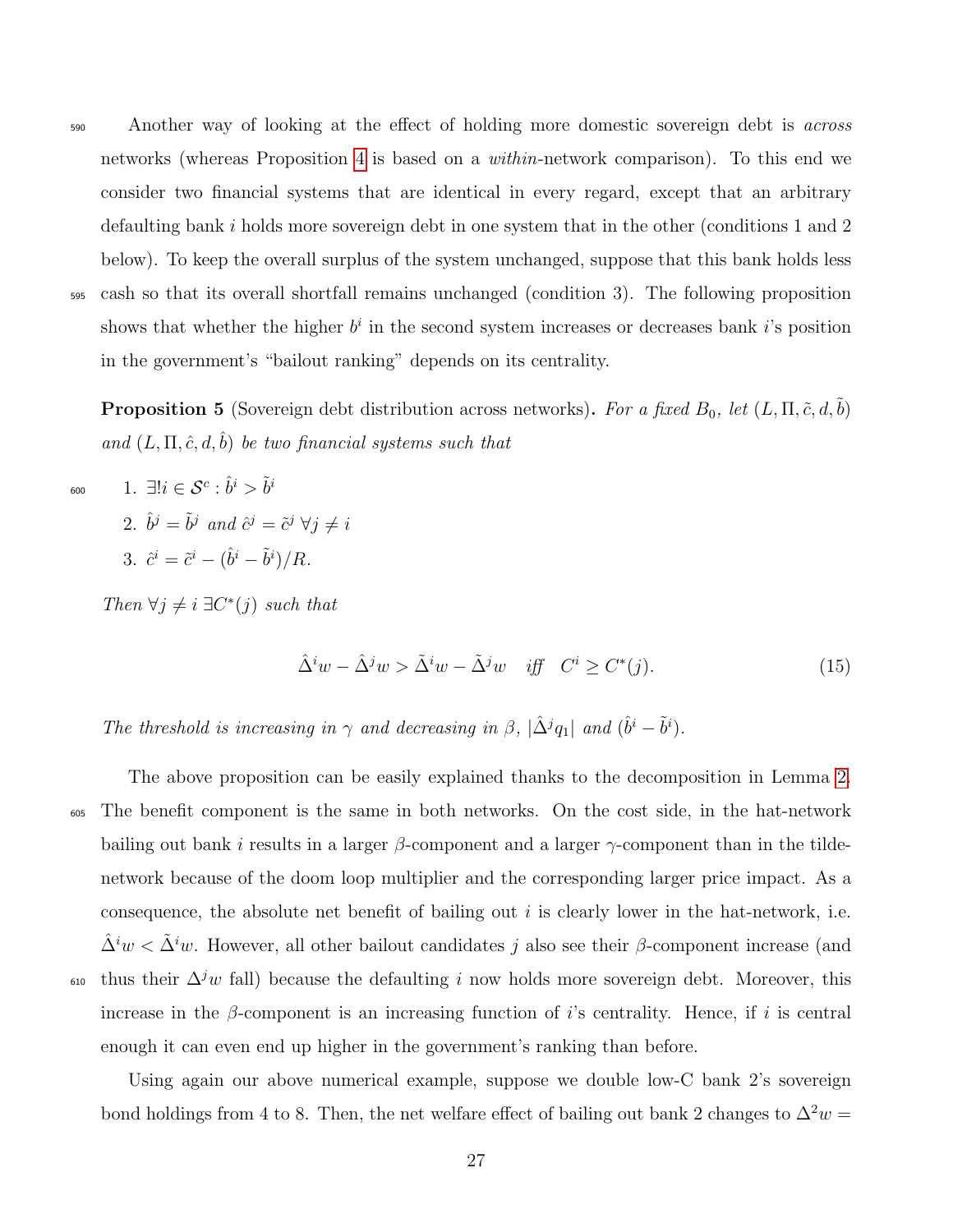- 
- <sub>590</sub> Another way of looking at the effect of holding more domestic sovereign debt is *across* networks (whereas Proposition [4](#page-26-0) is based on a within-network comparison). To this end we consider two financial systems that are identical in every regard, except that an arbitrary defaulting bank i holds more sovereign debt in one system that in the other (conditions 1 and 2 below). To keep the overall surplus of the system unchanged, suppose that this bank holds less <sup>595</sup> cash so that its overall shortfall remains unchanged (condition 3). The following proposition shows that whether the higher  $b^i$  in the second system increases or decreases bank i's position in the government's "bailout ranking" depends on its centrality.

<span id="page-28-0"></span>**Proposition 5** (Sovereign debt distribution across networks). For a fixed  $B_0$ , let  $(L, \Pi, \tilde{c}, d, \tilde{b})$ and  $(L, \Pi, \hat{c}, d, \hat{b})$  be two financial systems such that

- 1.  $\exists ! i \in \mathcal{S}^c : \hat{b}^i > \tilde{b}^i$ 600 2.  $\hat{b}^j = \tilde{b}^j$  and  $\hat{c}^j = \tilde{c}^j \ \forall j \neq i$ 
	- 3.  $\hat{c}^i = \tilde{c}^i (\hat{b}^i \tilde{b}^i)/R$ .

Then  $\forall j \neq i \exists C^*(j)$  such that

$$
\hat{\Delta}^i w - \hat{\Delta}^j w > \tilde{\Delta}^i w - \tilde{\Delta}^j w \quad \text{iff} \quad C^i \ge C^*(j). \tag{15}
$$

The threshold is increasing in  $\gamma$  and decreasing in  $\beta$ ,  $|\hat{\Delta}^j q_1|$  and  $(\hat{b}^i - \tilde{b}^i)$ .

The above proposition can be easily explained thanks to the decomposition in Lemma [2.](#page-23-0) <sup>605</sup> The benefit component is the same in both networks. On the cost side, in the hat-network bailing out bank i results in a larger  $\beta$ -component and a larger  $\gamma$ -component than in the tildenetwork because of the doom loop multiplier and the corresponding larger price impact. As a consequence, the absolute net benefit of bailing out  $i$  is clearly lower in the hat-network, i.e.  $\Delta^i w < \Delta^i w$ . However, all other bailout candidates j also see their β-component increase (and <sub>610</sub> thus their  $\Delta^j w$  fall) because the defaulting i now holds more sovereign debt. Moreover, this increase in the  $\beta$ -component is an increasing function of *i*'s centrality. Hence, if *i* is central enough it can even end up higher in the government's ranking than before.

Using again our above numerical example, suppose we double low-C bank 2's sovereign bond holdings from 4 to 8. Then, the net welfare effect of bailing out bank 2 changes to  $\Delta^2 w =$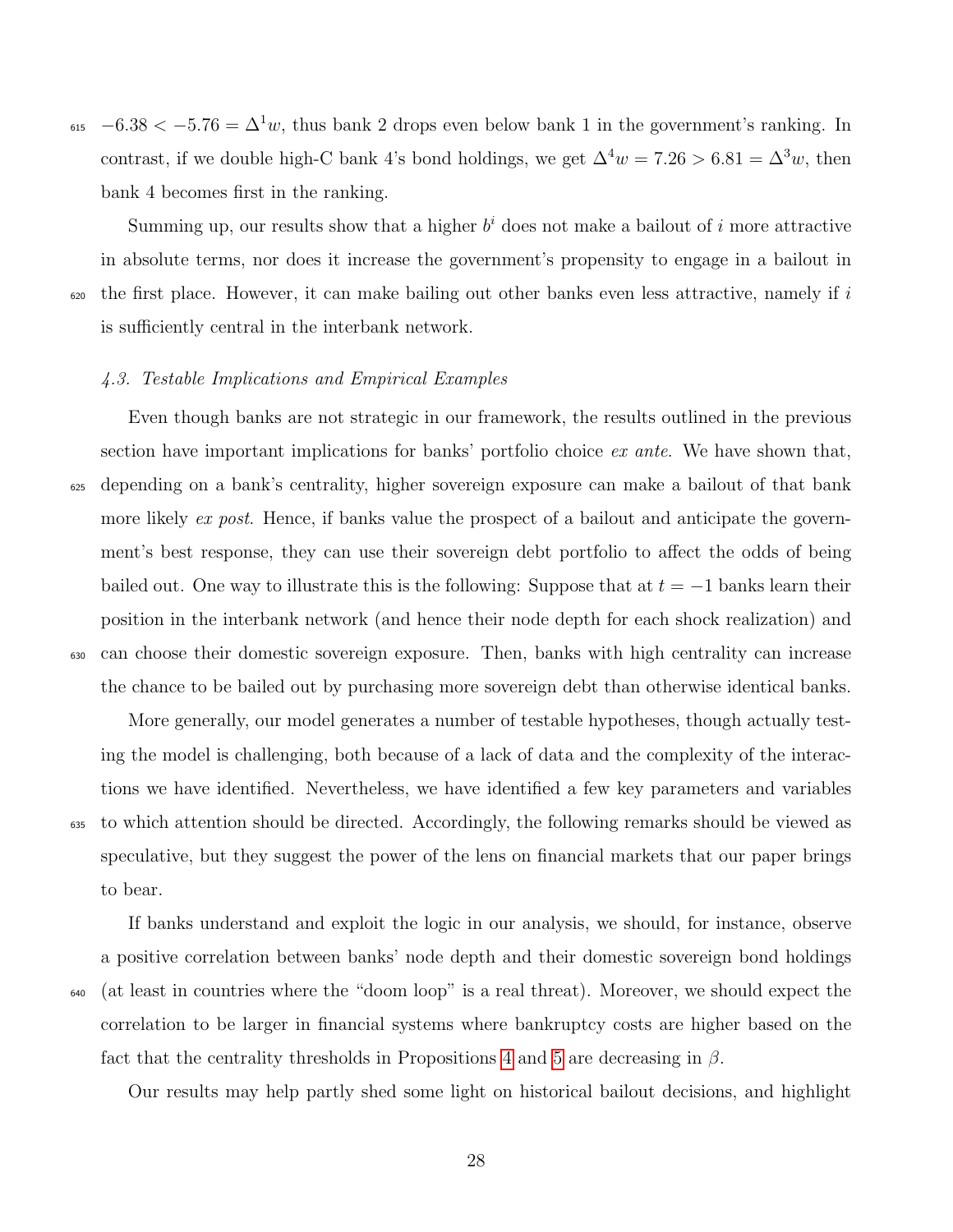$_{615}$  -6.38 < -5.76 =  $\Delta^{1}w$ , thus bank 2 drops even below bank 1 in the government's ranking. In contrast, if we double high-C bank 4's bond holdings, we get  $\Delta^4 w = 7.26 > 6.81 = \Delta^3 w$ , then bank 4 becomes first in the ranking.

Summing up, our results show that a higher  $b^i$  does not make a bailout of i more attractive in absolute terms, nor does it increase the government's propensity to engage in a bailout in  $\epsilon_{620}$  the first place. However, it can make bailing out other banks even less attractive, namely if i is sufficiently central in the interbank network.

#### 4.3. Testable Implications and Empirical Examples

Even though banks are not strategic in our framework, the results outlined in the previous section have important implications for banks' portfolio choice ex ante. We have shown that, <sup>625</sup> depending on a bank's centrality, higher sovereign exposure can make a bailout of that bank more likely ex post. Hence, if banks value the prospect of a bailout and anticipate the government's best response, they can use their sovereign debt portfolio to affect the odds of being bailed out. One way to illustrate this is the following: Suppose that at  $t = -1$  banks learn their position in the interbank network (and hence their node depth for each shock realization) and <sup>630</sup> can choose their domestic sovereign exposure. Then, banks with high centrality can increase the chance to be bailed out by purchasing more sovereign debt than otherwise identical banks.

More generally, our model generates a number of testable hypotheses, though actually testing the model is challenging, both because of a lack of data and the complexity of the interactions we have identified. Nevertheless, we have identified a few key parameters and variables <sup>635</sup> to which attention should be directed. Accordingly, the following remarks should be viewed as speculative, but they suggest the power of the lens on financial markets that our paper brings to bear.

If banks understand and exploit the logic in our analysis, we should, for instance, observe a positive correlation between banks' node depth and their domestic sovereign bond holdings <sup>640</sup> (at least in countries where the "doom loop" is a real threat). Moreover, we should expect the correlation to be larger in financial systems where bankruptcy costs are higher based on the fact that the centrality thresholds in Propositions [4](#page-26-0) and [5](#page-28-0) are decreasing in  $\beta$ .

Our results may help partly shed some light on historical bailout decisions, and highlight

28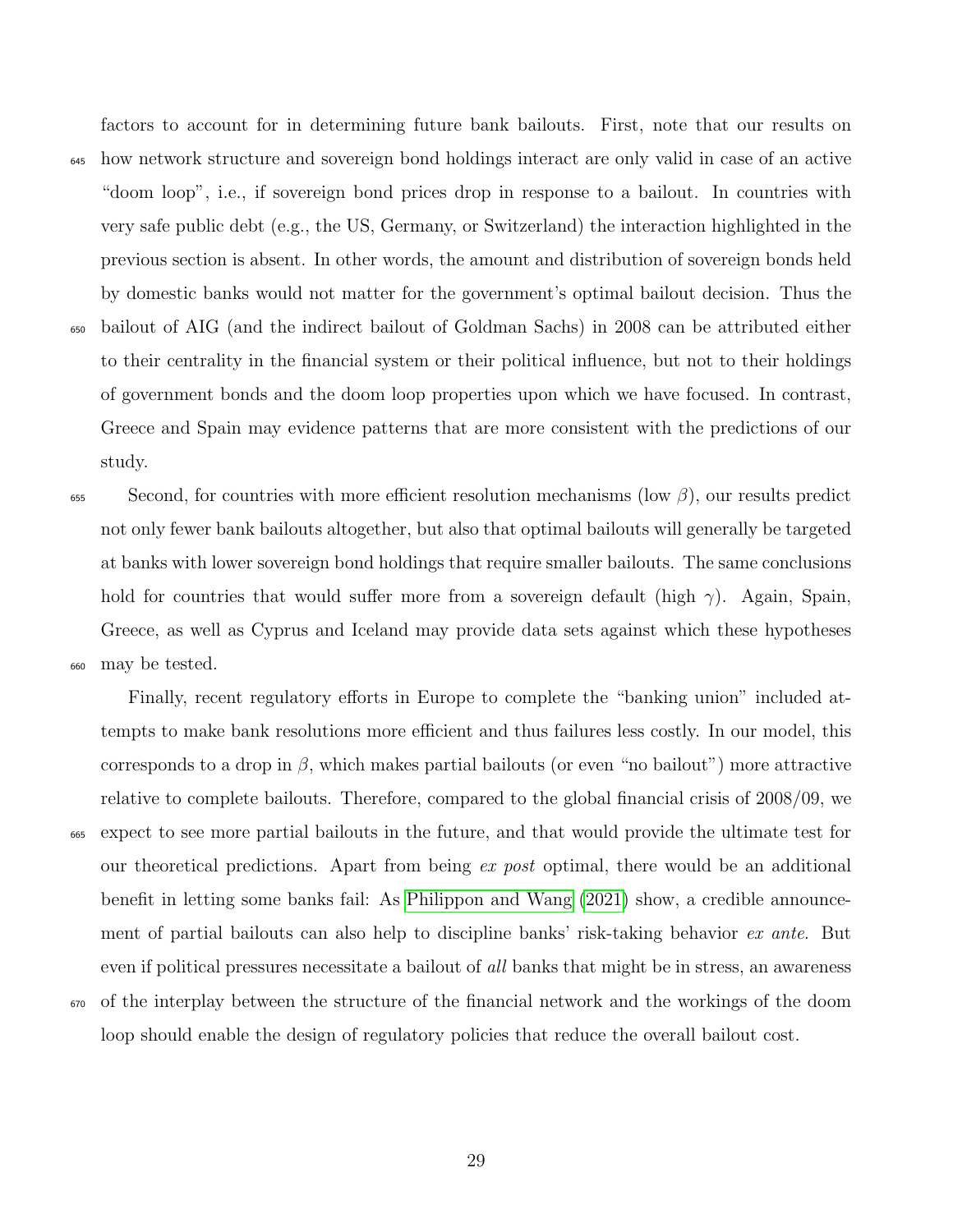factors to account for in determining future bank bailouts. First, note that our results on <sup>645</sup> how network structure and sovereign bond holdings interact are only valid in case of an active "doom loop", i.e., if sovereign bond prices drop in response to a bailout. In countries with very safe public debt (e.g., the US, Germany, or Switzerland) the interaction highlighted in the previous section is absent. In other words, the amount and distribution of sovereign bonds held by domestic banks would not matter for the government's optimal bailout decision. Thus the <sup>650</sup> bailout of AIG (and the indirect bailout of Goldman Sachs) in 2008 can be attributed either to their centrality in the financial system or their political influence, but not to their holdings of government bonds and the doom loop properties upon which we have focused. In contrast, Greece and Spain may evidence patterns that are more consistent with the predictions of our study.

 $\delta$ <sub>655</sub> Second, for countries with more efficient resolution mechanisms (low  $\beta$ ), our results predict not only fewer bank bailouts altogether, but also that optimal bailouts will generally be targeted at banks with lower sovereign bond holdings that require smaller bailouts. The same conclusions hold for countries that would suffer more from a sovereign default (high  $\gamma$ ). Again, Spain, Greece, as well as Cyprus and Iceland may provide data sets against which these hypotheses <sup>660</sup> may be tested.

Finally, recent regulatory efforts in Europe to complete the "banking union" included attempts to make bank resolutions more efficient and thus failures less costly. In our model, this corresponds to a drop in  $\beta$ , which makes partial bailouts (or even "no bailout") more attractive relative to complete bailouts. Therefore, compared to the global financial crisis of 2008/09, we <sup>665</sup> expect to see more partial bailouts in the future, and that would provide the ultimate test for our theoretical predictions. Apart from being ex post optimal, there would be an additional benefit in letting some banks fail: As [Philippon and Wang](#page-35-13) [\(2021\)](#page-35-13) show, a credible announcement of partial bailouts can also help to discipline banks' risk-taking behavior ex ante. But even if political pressures necessitate a bailout of *all* banks that might be in stress, an awareness <sup>670</sup> of the interplay between the structure of the financial network and the workings of the doom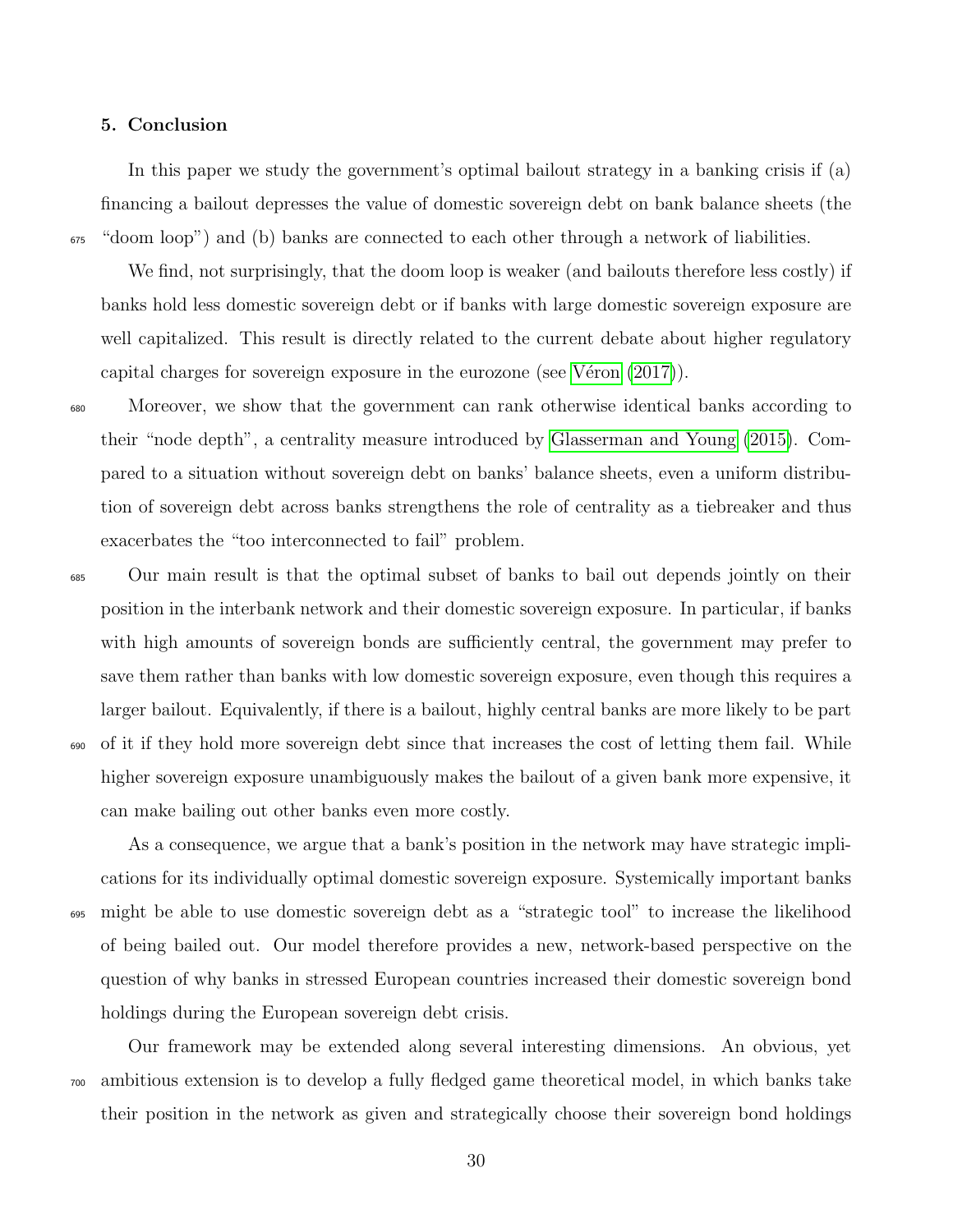#### 5. Conclusion

In this paper we study the government's optimal bailout strategy in a banking crisis if (a) financing a bailout depresses the value of domestic sovereign debt on bank balance sheets (the  $\epsilon_{655}$  "doom loop") and (b) banks are connected to each other through a network of liabilities.

We find, not surprisingly, that the doom loop is weaker (and bailouts therefore less costly) if banks hold less domestic sovereign debt or if banks with large domestic sovereign exposure are well capitalized. This result is directly related to the current debate about higher regulatory capital charges for sovereign exposure in the eurozone (see V $\acute{e}$ ron [\(2017\)](#page-35-11)).

<sup>680</sup> Moreover, we show that the government can rank otherwise identical banks according to their "node depth", a centrality measure introduced by [Glasserman and Young](#page-35-5) [\(2015\)](#page-35-5). Compared to a situation without sovereign debt on banks' balance sheets, even a uniform distribution of sovereign debt across banks strengthens the role of centrality as a tiebreaker and thus exacerbates the "too interconnected to fail" problem.

<sup>685</sup> Our main result is that the optimal subset of banks to bail out depends jointly on their position in the interbank network and their domestic sovereign exposure. In particular, if banks with high amounts of sovereign bonds are sufficiently central, the government may prefer to save them rather than banks with low domestic sovereign exposure, even though this requires a larger bailout. Equivalently, if there is a bailout, highly central banks are more likely to be part <sup>690</sup> of it if they hold more sovereign debt since that increases the cost of letting them fail. While higher sovereign exposure unambiguously makes the bailout of a given bank more expensive, it can make bailing out other banks even more costly.

As a consequence, we argue that a bank's position in the network may have strategic implications for its individually optimal domestic sovereign exposure. Systemically important banks <sup>695</sup> might be able to use domestic sovereign debt as a "strategic tool" to increase the likelihood of being bailed out. Our model therefore provides a new, network-based perspective on the question of why banks in stressed European countries increased their domestic sovereign bond holdings during the European sovereign debt crisis.

Our framework may be extended along several interesting dimensions. An obvious, yet <sup>700</sup> ambitious extension is to develop a fully fledged game theoretical model, in which banks take their position in the network as given and strategically choose their sovereign bond holdings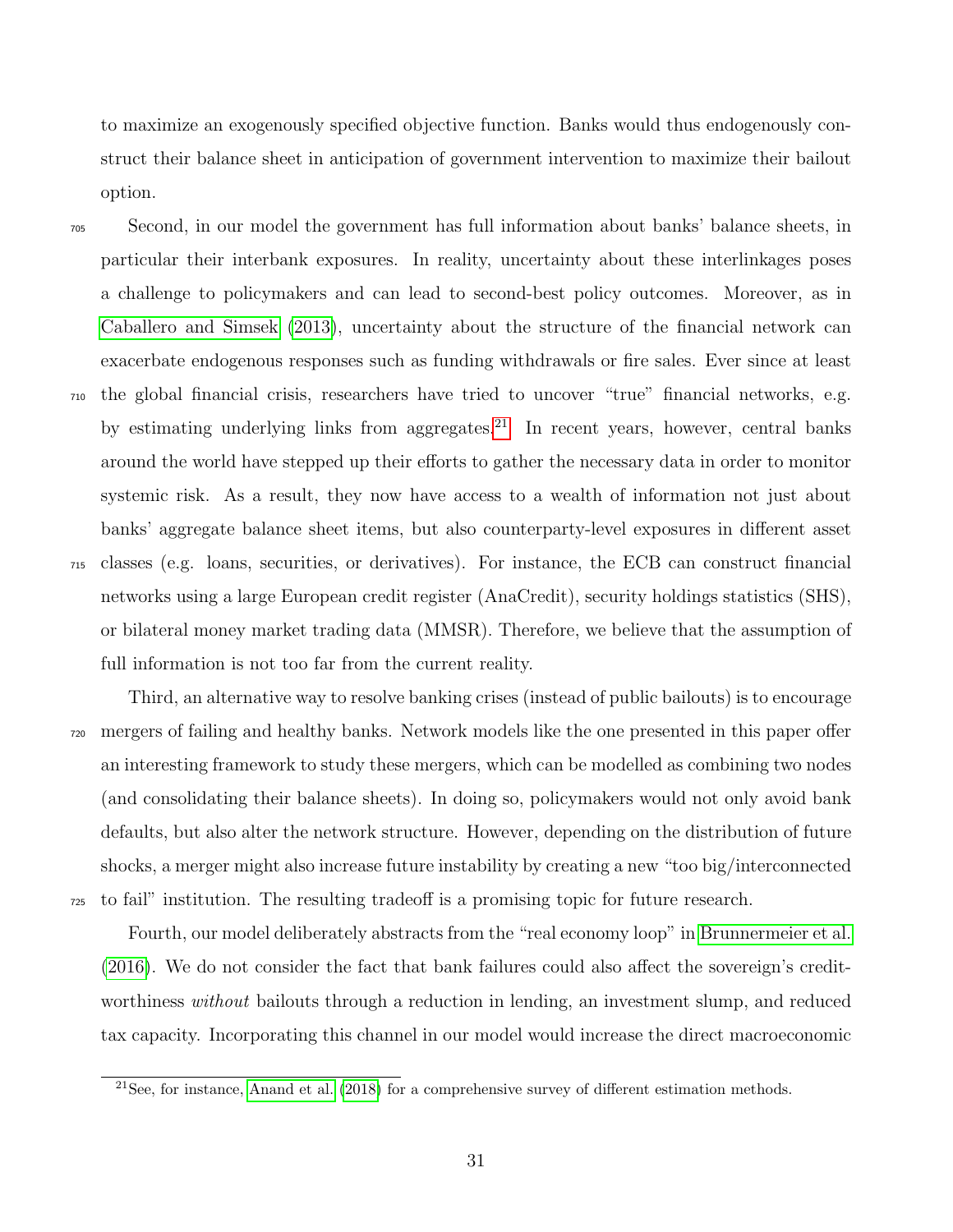to maximize an exogenously specified objective function. Banks would thus endogenously construct their balance sheet in anticipation of government intervention to maximize their bailout option.

<sup>705</sup> Second, in our model the government has full information about banks' balance sheets, in particular their interbank exposures. In reality, uncertainty about these interlinkages poses a challenge to policymakers and can lead to second-best policy outcomes. Moreover, as in [Caballero and Simsek](#page-34-14) [\(2013\)](#page-34-14), uncertainty about the structure of the financial network can exacerbate endogenous responses such as funding withdrawals or fire sales. Ever since at least <sup>710</sup> the global financial crisis, researchers have tried to uncover "true" financial networks, e.g. by estimating underlying links from aggregates.<sup>[21](#page-2-0)</sup> In recent years, however, central banks around the world have stepped up their efforts to gather the necessary data in order to monitor systemic risk. As a result, they now have access to a wealth of information not just about banks' aggregate balance sheet items, but also counterparty-level exposures in different asset <sup>715</sup> classes (e.g. loans, securities, or derivatives). For instance, the ECB can construct financial networks using a large European credit register (AnaCredit), security holdings statistics (SHS), or bilateral money market trading data (MMSR). Therefore, we believe that the assumption of full information is not too far from the current reality.

Third, an alternative way to resolve banking crises (instead of public bailouts) is to encourage <sup>720</sup> mergers of failing and healthy banks. Network models like the one presented in this paper offer an interesting framework to study these mergers, which can be modelled as combining two nodes (and consolidating their balance sheets). In doing so, policymakers would not only avoid bank defaults, but also alter the network structure. However, depending on the distribution of future shocks, a merger might also increase future instability by creating a new "too big/interconnected <sup>725</sup> to fail" institution. The resulting tradeoff is a promising topic for future research.

Fourth, our model deliberately abstracts from the "real economy loop" in [Brunnermeier et al.](#page-34-0) [\(2016\)](#page-34-0). We do not consider the fact that bank failures could also affect the sovereign's creditworthiness *without* bailouts through a reduction in lending, an investment slump, and reduced tax capacity. Incorporating this channel in our model would increase the direct macroeconomic

<sup>&</sup>lt;sup>21</sup>See, for instance, [Anand et al.](#page-33-7)  $(2018)$  for a comprehensive survey of different estimation methods.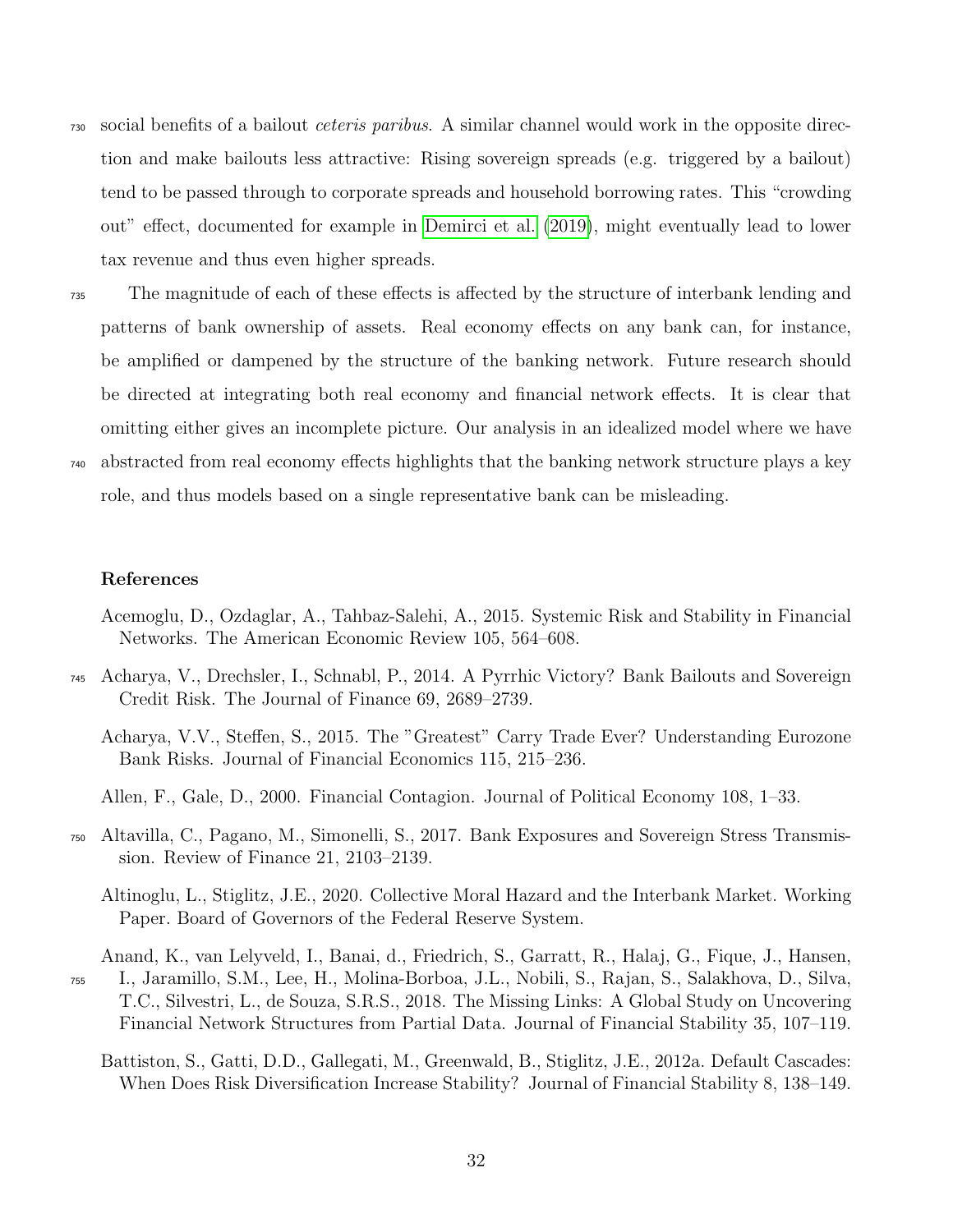- <sup>730</sup> social benefits of a bailout ceteris paribus. A similar channel would work in the opposite direction and make bailouts less attractive: Rising sovereign spreads (e.g. triggered by a bailout) tend to be passed through to corporate spreads and household borrowing rates. This "crowding out" effect, documented for example in [Demirci et al.](#page-34-15) [\(2019\)](#page-34-15), might eventually lead to lower tax revenue and thus even higher spreads.
- <sup>735</sup> The magnitude of each of these effects is affected by the structure of interbank lending and patterns of bank ownership of assets. Real economy effects on any bank can, for instance, be amplified or dampened by the structure of the banking network. Future research should be directed at integrating both real economy and financial network effects. It is clear that omitting either gives an incomplete picture. Our analysis in an idealized model where we have <sup>740</sup> abstracted from real economy effects highlights that the banking network structure plays a key role, and thus models based on a single representative bank can be misleading.

# References

- <span id="page-33-3"></span>Acemoglu, D., Ozdaglar, A., Tahbaz-Salehi, A., 2015. Systemic Risk and Stability in Financial Networks. The American Economic Review 105, 564–608.
- <span id="page-33-6"></span><span id="page-33-0"></span><sup>745</sup> Acharya, V., Drechsler, I., Schnabl, P., 2014. A Pyrrhic Victory? Bank Bailouts and Sovereign Credit Risk. The Journal of Finance 69, 2689–2739.
	- Acharya, V.V., Steffen, S., 2015. The "Greatest" Carry Trade Ever? Understanding Eurozone Bank Risks. Journal of Financial Economics 115, 215–236.
	- Allen, F., Gale, D., 2000. Financial Contagion. Journal of Political Economy 108, 1–33.
- <span id="page-33-5"></span><span id="page-33-4"></span><span id="page-33-1"></span><sup>750</sup> Altavilla, C., Pagano, M., Simonelli, S., 2017. Bank Exposures and Sovereign Stress Transmission. Review of Finance 21, 2103–2139.
	- Altinoglu, L., Stiglitz, J.E., 2020. Collective Moral Hazard and the Interbank Market. Working Paper. Board of Governors of the Federal Reserve System.
- <span id="page-33-7"></span><span id="page-33-2"></span>Anand, K., van Lelyveld, I., Banai, d., Friedrich, S., Garratt, R., Halaj, G., Fique, J., Hansen, <sup>755</sup> I., Jaramillo, S.M., Lee, H., Molina-Borboa, J.L., Nobili, S., Rajan, S., Salakhova, D., Silva, T.C., Silvestri, L., de Souza, S.R.S., 2018. The Missing Links: A Global Study on Uncovering Financial Network Structures from Partial Data. Journal of Financial Stability 35, 107–119.
	- Battiston, S., Gatti, D.D., Gallegati, M., Greenwald, B., Stiglitz, J.E., 2012a. Default Cascades: When Does Risk Diversification Increase Stability? Journal of Financial Stability 8, 138–149.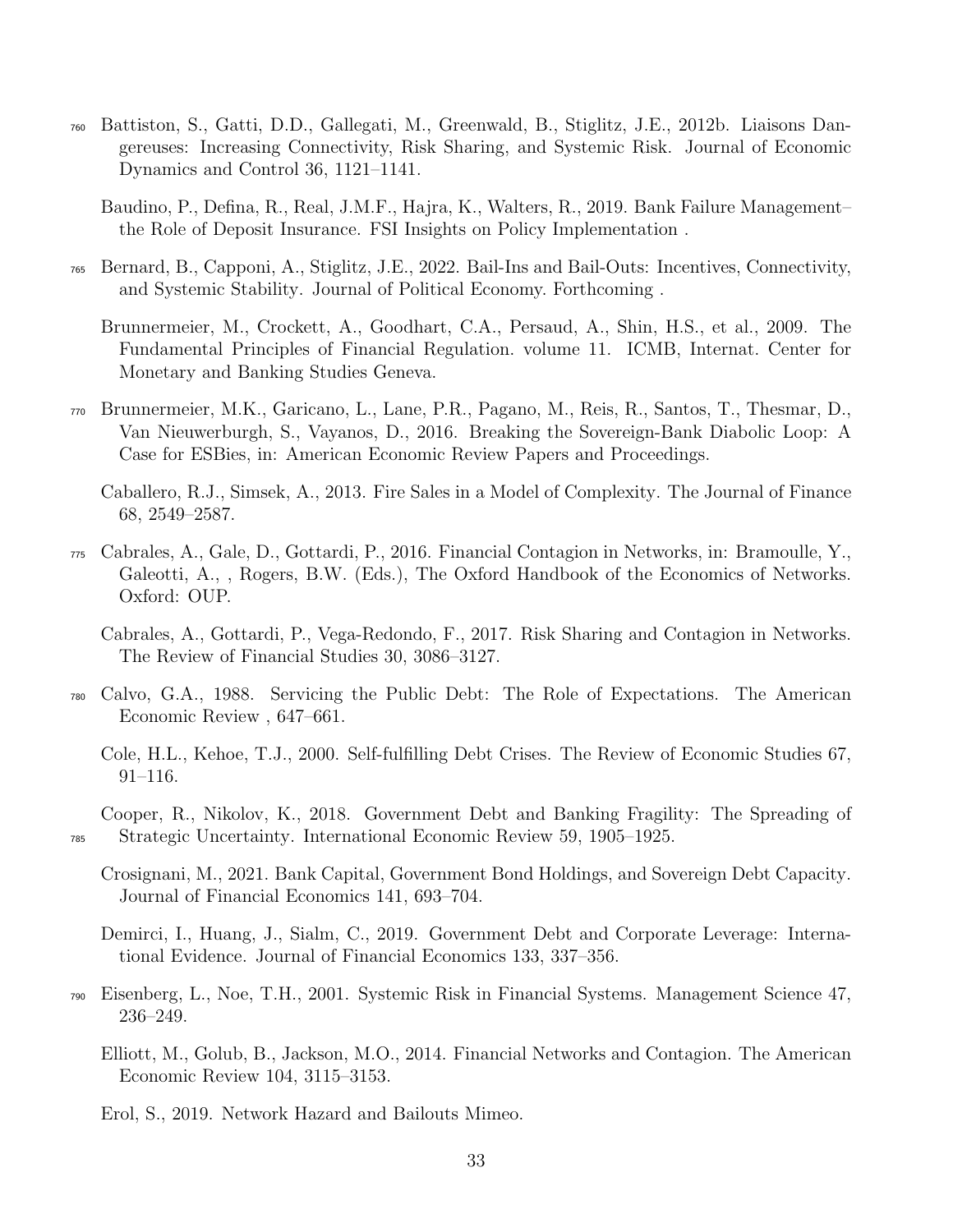- <span id="page-34-2"></span><sup>760</sup> Battiston, S., Gatti, D.D., Gallegati, M., Greenwald, B., Stiglitz, J.E., 2012b. Liaisons Dangereuses: Increasing Connectivity, Risk Sharing, and Systemic Risk. Journal of Economic Dynamics and Control 36, 1121–1141.
	- Baudino, P., Defina, R., Real, J.M.F., Hajra, K., Walters, R., 2019. Bank Failure Management– the Role of Deposit Insurance. FSI Insights on Policy Implementation .
- <span id="page-34-13"></span><span id="page-34-8"></span><span id="page-34-5"></span><sup>765</sup> Bernard, B., Capponi, A., Stiglitz, J.E., 2022. Bail-Ins and Bail-Outs: Incentives, Connectivity, and Systemic Stability. Journal of Political Economy. Forthcoming .
	- Brunnermeier, M., Crockett, A., Goodhart, C.A., Persaud, A., Shin, H.S., et al., 2009. The Fundamental Principles of Financial Regulation. volume 11. ICMB, Internat. Center for Monetary and Banking Studies Geneva.
- <span id="page-34-0"></span><sup>770</sup> Brunnermeier, M.K., Garicano, L., Lane, P.R., Pagano, M., Reis, R., Santos, T., Thesmar, D., Van Nieuwerburgh, S., Vayanos, D., 2016. Breaking the Sovereign-Bank Diabolic Loop: A Case for ESBies, in: American Economic Review Papers and Proceedings.

<span id="page-34-14"></span>Caballero, R.J., Simsek, A., 2013. Fire Sales in a Model of Complexity. The Journal of Finance 68, 2549–2587.

- <span id="page-34-7"></span><sup>775</sup> Cabrales, A., Gale, D., Gottardi, P., 2016. Financial Contagion in Networks, in: Bramoulle, Y., Galeotti, A., , Rogers, B.W. (Eds.), The Oxford Handbook of the Economics of Networks. Oxford: OUP.
	- Cabrales, A., Gottardi, P., Vega-Redondo, F., 2017. Risk Sharing and Contagion in Networks. The Review of Financial Studies 30, 3086–3127.
- <span id="page-34-12"></span><span id="page-34-11"></span><span id="page-34-4"></span><sup>780</sup> Calvo, G.A., 1988. Servicing the Public Debt: The Role of Expectations. The American Economic Review , 647–661.
	- Cole, H.L., Kehoe, T.J., 2000. Self-fulfilling Debt Crises. The Review of Economic Studies 67, 91–116.
- <span id="page-34-10"></span><span id="page-34-1"></span>Cooper, R., Nikolov, K., 2018. Government Debt and Banking Fragility: The Spreading of <sup>785</sup> Strategic Uncertainty. International Economic Review 59, 1905–1925.
	- Crosignani, M., 2021. Bank Capital, Government Bond Holdings, and Sovereign Debt Capacity. Journal of Financial Economics 141, 693–704.

<span id="page-34-15"></span>Demirci, I., Huang, J., Sialm, C., 2019. Government Debt and Corporate Leverage: International Evidence. Journal of Financial Economics 133, 337–356.

- <span id="page-34-6"></span><span id="page-34-3"></span><sup>790</sup> Eisenberg, L., Noe, T.H., 2001. Systemic Risk in Financial Systems. Management Science 47, 236–249.
	- Elliott, M., Golub, B., Jackson, M.O., 2014. Financial Networks and Contagion. The American Economic Review 104, 3115–3153.

<span id="page-34-9"></span>Erol, S., 2019. Network Hazard and Bailouts Mimeo.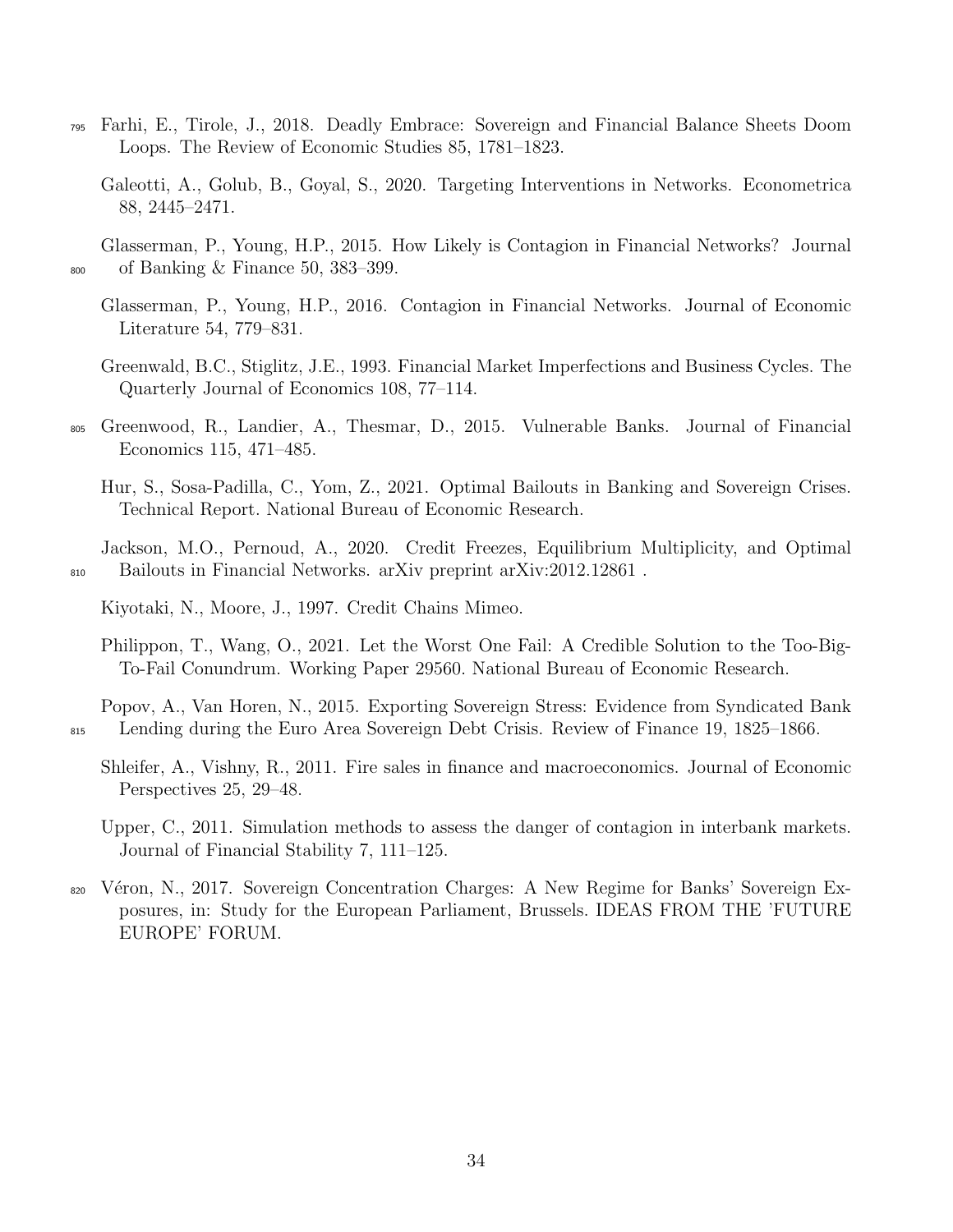- <span id="page-35-12"></span><span id="page-35-0"></span><sup>795</sup> Farhi, E., Tirole, J., 2018. Deadly Embrace: Sovereign and Financial Balance Sheets Doom Loops. The Review of Economic Studies 85, 1781–1823.
	- Galeotti, A., Golub, B., Goyal, S., 2020. Targeting Interventions in Networks. Econometrica 88, 2445–2471.

<span id="page-35-5"></span>Glasserman, P., Young, H.P., 2015. How Likely is Contagion in Financial Networks? Journal <sup>800</sup> of Banking & Finance 50, 383–399.

- <span id="page-35-1"></span>Glasserman, P., Young, H.P., 2016. Contagion in Financial Networks. Journal of Economic Literature 54, 779–831.
- <span id="page-35-7"></span>Greenwald, B.C., Stiglitz, J.E., 1993. Financial Market Imperfections and Business Cycles. The Quarterly Journal of Economics 108, 77–114.
- <span id="page-35-9"></span><span id="page-35-3"></span><sup>805</sup> Greenwood, R., Landier, A., Thesmar, D., 2015. Vulnerable Banks. Journal of Financial Economics 115, 471–485.
	- Hur, S., Sosa-Padilla, C., Yom, Z., 2021. Optimal Bailouts in Banking and Sovereign Crises. Technical Report. National Bureau of Economic Research.

<span id="page-35-10"></span>Jackson, M.O., Pernoud, A., 2020. Credit Freezes, Equilibrium Multiplicity, and Optimal <sup>810</sup> Bailouts in Financial Networks. arXiv preprint arXiv:2012.12861 .

<span id="page-35-6"></span>Kiyotaki, N., Moore, J., 1997. Credit Chains Mimeo.

<span id="page-35-13"></span>Philippon, T., Wang, O., 2021. Let the Worst One Fail: A Credible Solution to the Too-Big-To-Fail Conundrum. Working Paper 29560. National Bureau of Economic Research.

<span id="page-35-8"></span>Popov, A., Van Horen, N., 2015. Exporting Sovereign Stress: Evidence from Syndicated Bank <sup>815</sup> Lending during the Euro Area Sovereign Debt Crisis. Review of Finance 19, 1825–1866.

<span id="page-35-2"></span>Shleifer, A., Vishny, R., 2011. Fire sales in finance and macroeconomics. Journal of Economic Perspectives 25, 29–48.

<span id="page-35-4"></span>Upper, C., 2011. Simulation methods to assess the danger of contagion in interbank markets. Journal of Financial Stability 7, 111–125.

<span id="page-35-11"></span><sup>820</sup> Véron, N., 2017. Sovereign Concentration Charges: A New Regime for Banks' Sovereign Exposures, in: Study for the European Parliament, Brussels. IDEAS FROM THE 'FUTURE EUROPE' FORUM.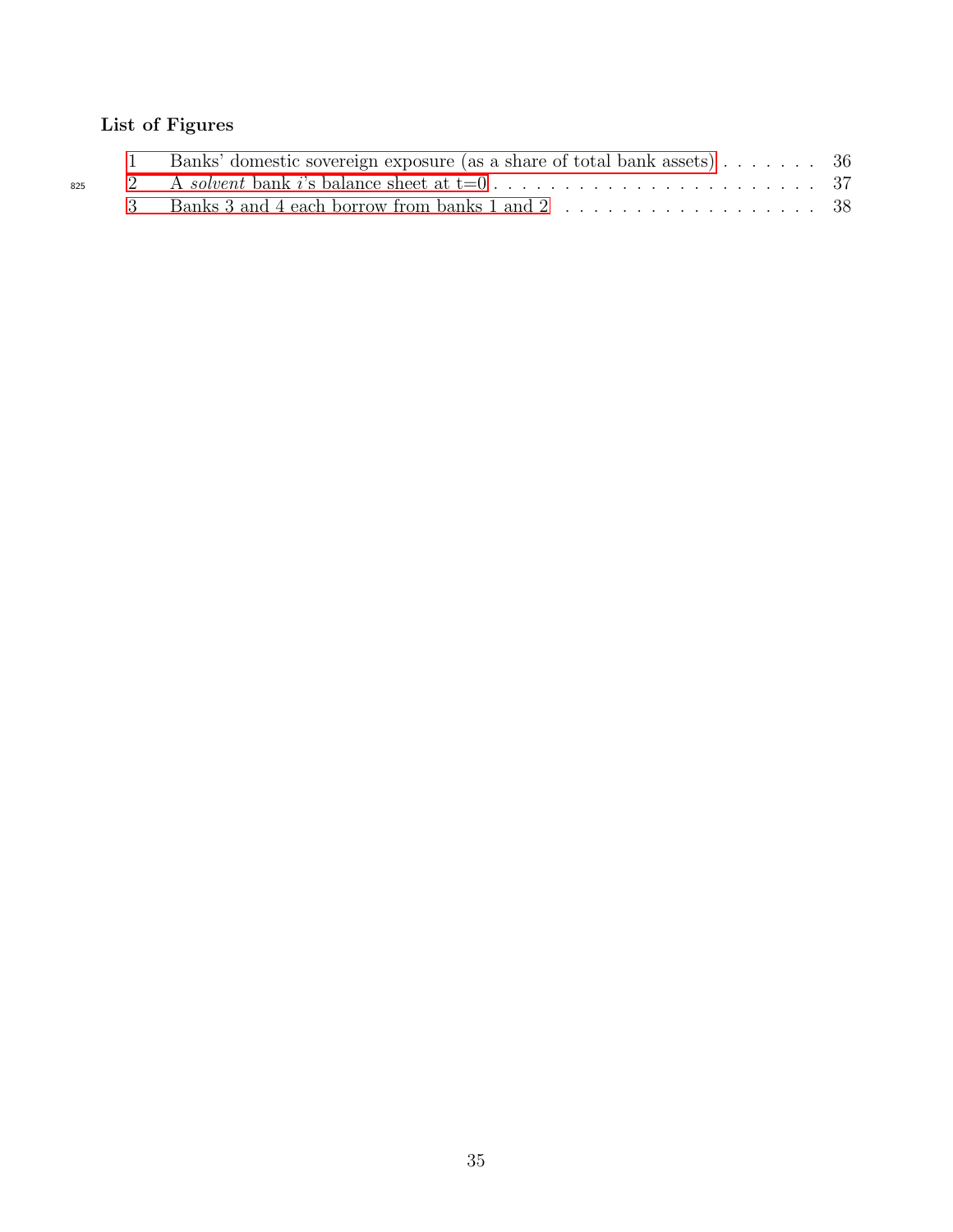# List of Figures

|     | Banks' domestic sovereign exposure (as a share of total bank assets) 36 |  |
|-----|-------------------------------------------------------------------------|--|
| 825 |                                                                         |  |
|     | 3 Banks 3 and 4 each borrow from banks 1 and 2 38                       |  |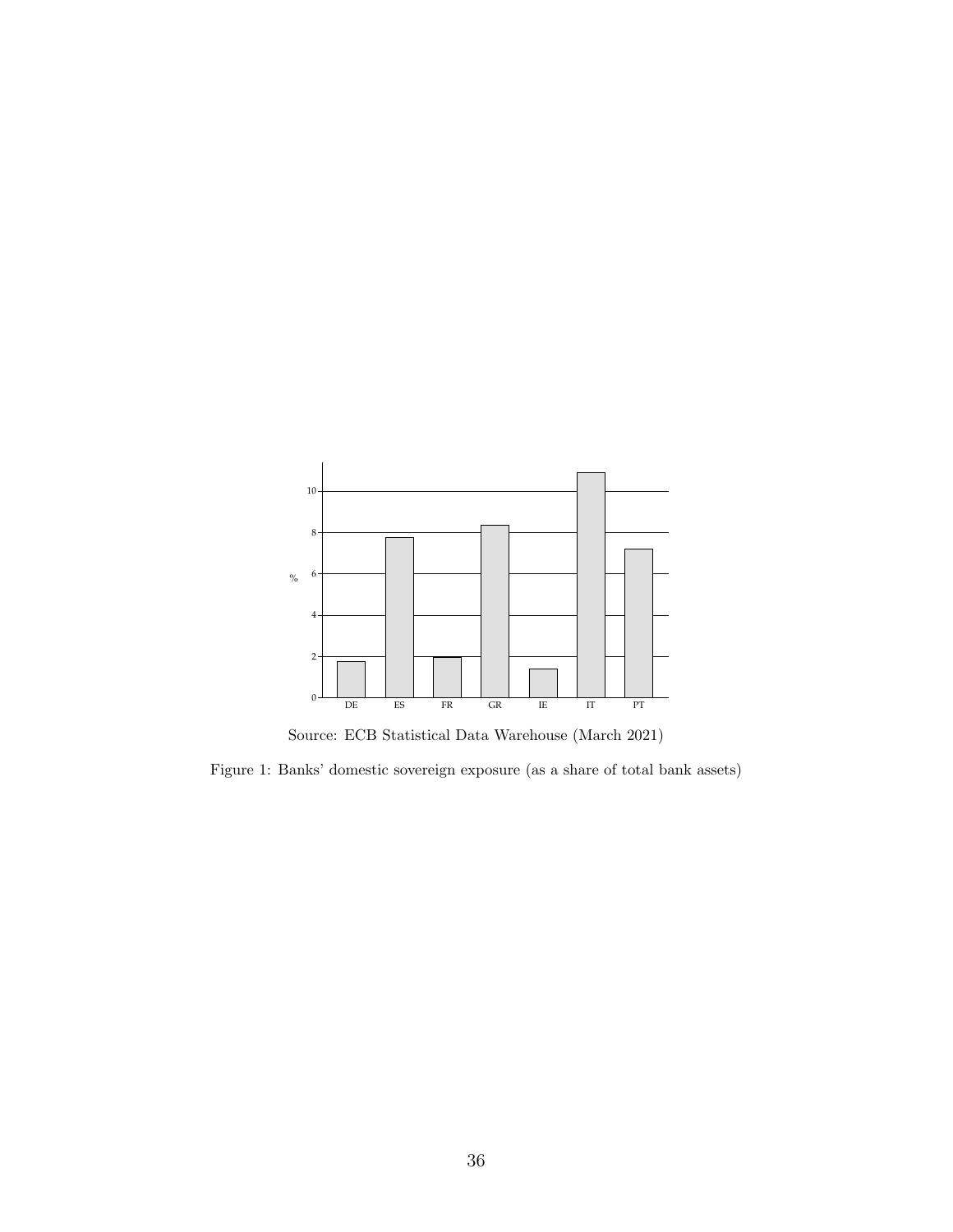

<span id="page-37-0"></span>Source: ECB Statistical Data Warehouse (March 2021)

Figure 1: Banks' domestic sovereign exposure (as a share of total bank assets)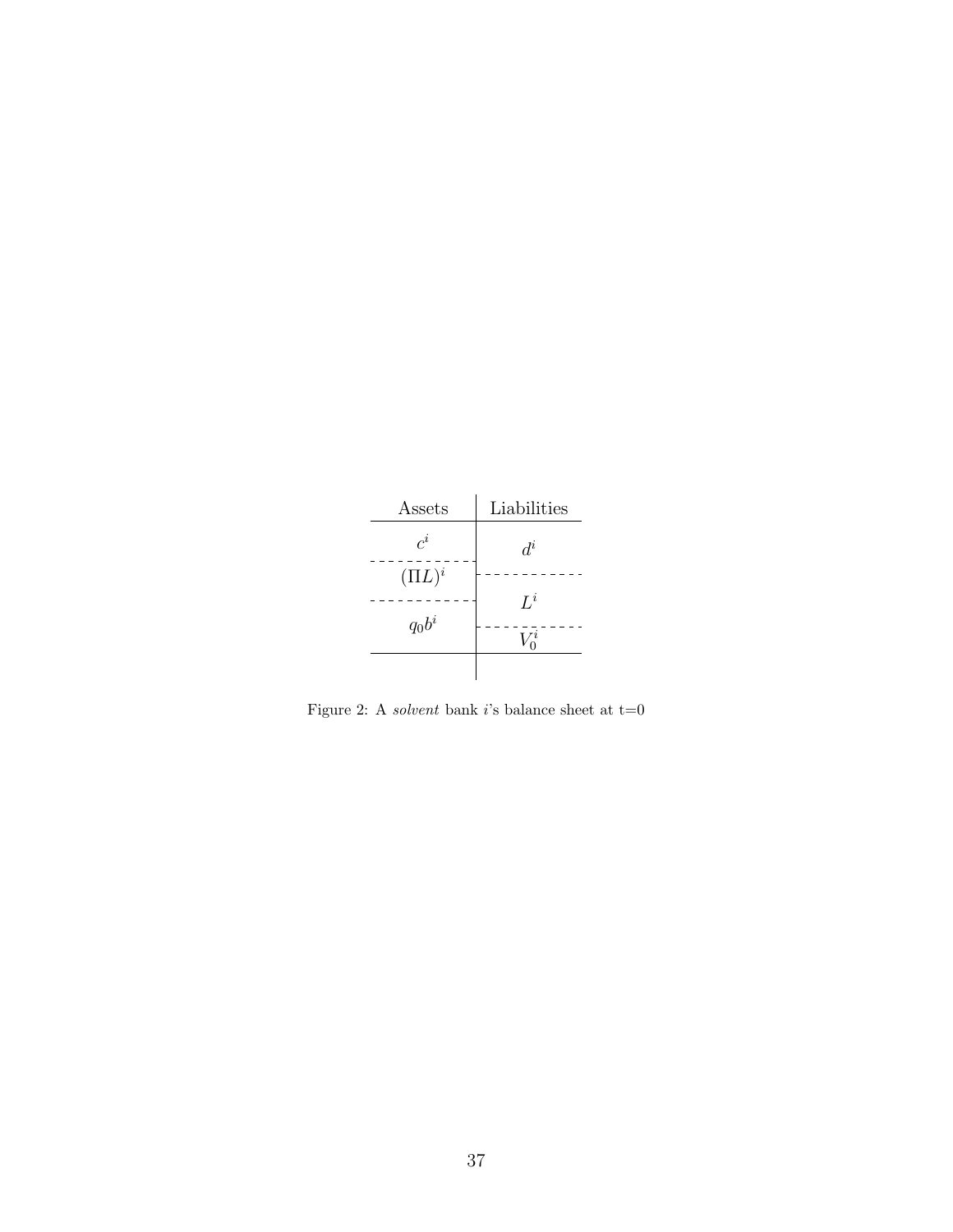| Assets       | Liabilities |  |  |  |  |
|--------------|-------------|--|--|--|--|
| $c^i$        | $d^i$       |  |  |  |  |
| $( \Pi L)^i$ |             |  |  |  |  |
|              | $L^i$       |  |  |  |  |
| $q_0b^i$     | $\imath$    |  |  |  |  |
|              |             |  |  |  |  |

<span id="page-38-0"></span>Figure 2: A  $solvent$  bank  $i\text{'s}$  balance sheet at t=0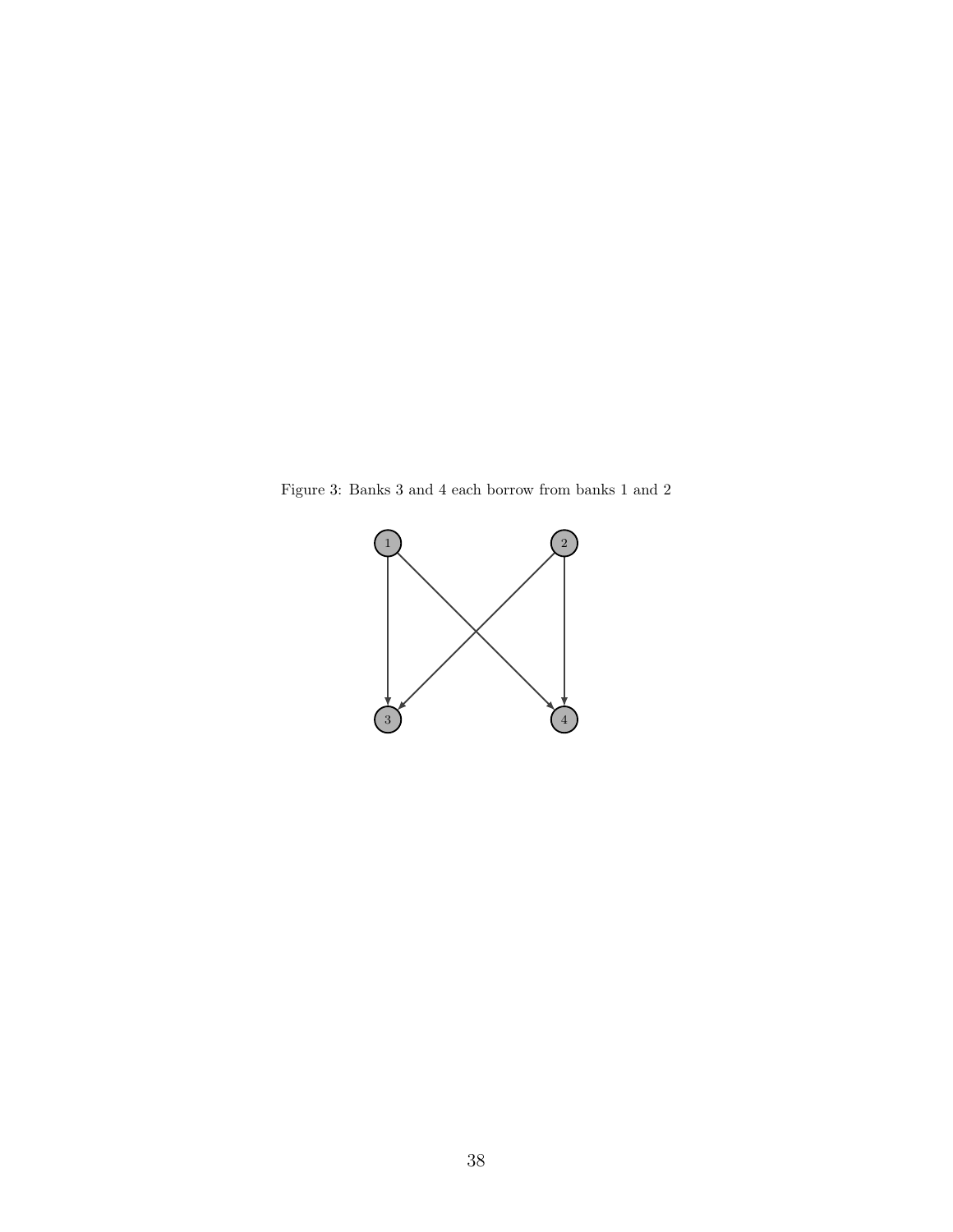Figure 3: Banks 3 and 4 each borrow from banks 1 and 2

<span id="page-39-0"></span>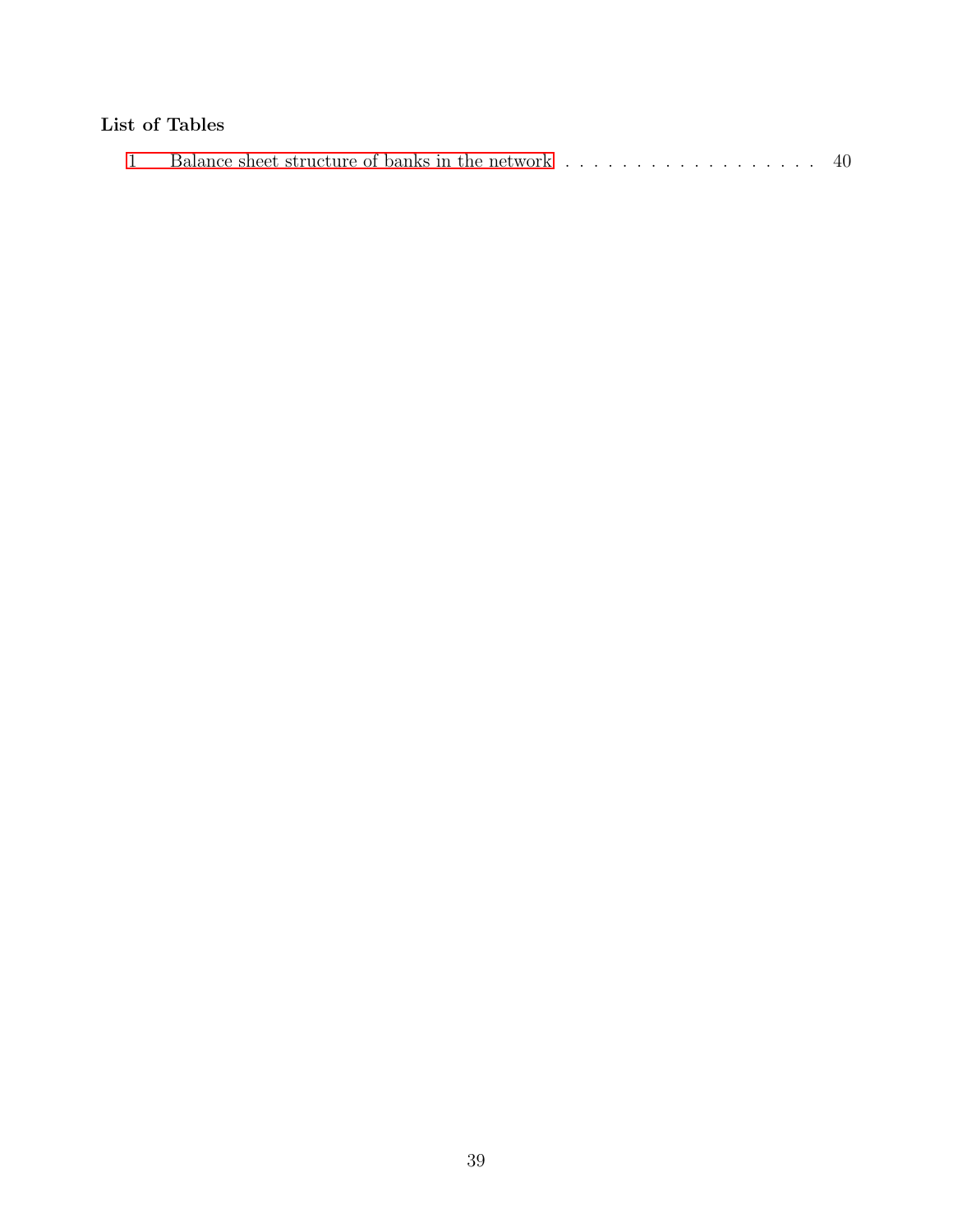# List of Tables